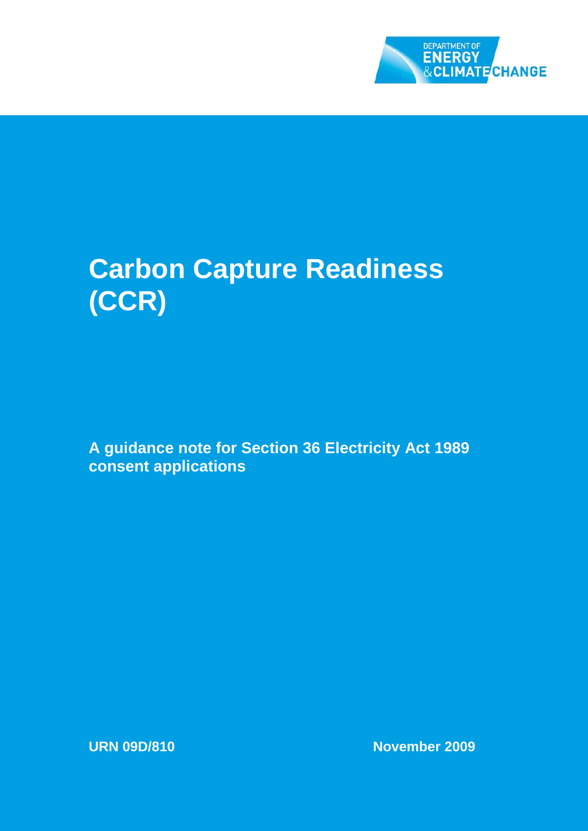

# **Carbon Capture Readiness (CCR)**

**A guidance note for Section 36 Electricity Act 1989 consent applications**

**URN 09D/810 November 2009**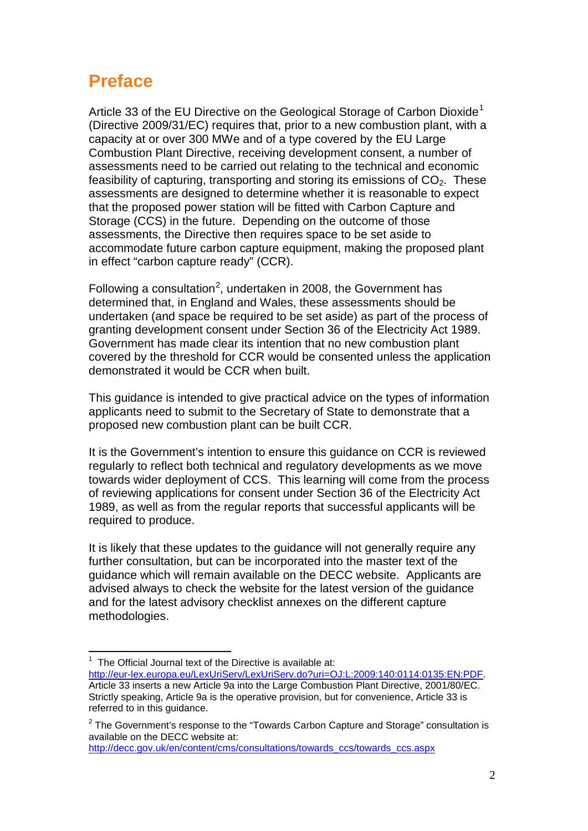## **Preface**

Article 33 of the EU Directive on the Geological Storage of Carbon Dioxide<sup>[1](#page-1-0)</sup> (Directive 2009/31/EC) requires that, prior to a new combustion plant, with a capacity at or over 300 MWe and of a type covered by the EU Large Combustion Plant Directive, receiving development consent, a number of assessments need to be carried out relating to the technical and economic feasibility of capturing, transporting and storing its emissions of  $CO<sub>2</sub>$ . These assessments are designed to determine whether it is reasonable to expect that the proposed power station will be fitted with Carbon Capture and Storage (CCS) in the future. Depending on the outcome of those assessments, the Directive then requires space to be set aside to accommodate future carbon capture equipment, making the proposed plant in effect "carbon capture ready" (CCR).

<span id="page-1-2"></span>Following a consultation<sup>[2](#page-1-1)</sup>, undertaken in 2008, the Government has determined that, in England and Wales, these assessments should be undertaken (and space be required to be set aside) as part of the process of granting development consent under Section 36 of the Electricity Act 1989. Government has made clear its intention that no new combustion plant covered by the threshold for CCR would be consented unless the application demonstrated it would be CCR when built.

This guidance is intended to give practical advice on the types of information applicants need to submit to the Secretary of State to demonstrate that a proposed new combustion plant can be built CCR.

It is the Government's intention to ensure this guidance on CCR is reviewed regularly to reflect both technical and regulatory developments as we move towards wider deployment of CCS. This learning will come from the process of reviewing applications for consent under Section 36 of the Electricity Act 1989, as well as from the regular reports that successful applicants will be required to produce.

It is likely that these updates to the guidance will not generally require any further consultation, but can be incorporated into the master text of the guidance which will remain available on the DECC website. Applicants are advised always to check the website for the latest version of the guidance and for the latest advisory checklist annexes on the different capture methodologies.

[http://decc.gov.uk/en/content/cms/consultations/towards\\_ccs/towards\\_ccs.aspx](http://decc.gov.uk/en/content/cms/consultations/towards_ccs/towards_ccs.aspx)

**The Official Journal text of the Directive is available at:**<br><sup>1</sup> The Official Journal text of the Directive is available at:

<span id="page-1-0"></span>[http://eur-lex.europa.eu/LexUriServ/LexUriServ.do?uri=OJ:L:2009:140:0114:0135:EN:PDF.](http://eur-lex.europa.eu/LexUriServ/LexUriServ.do?uri=OJ:L:2009:140:0114:0135:EN:PDF) Article 33 inserts a new Article 9a into the Large Combustion Plant Directive, 2001/80/EC. Strictly speaking, Article 9a is the operative provision, but for convenience, Article 33 is referred to in this guidance.

<span id="page-1-1"></span> $2$  The Government's response to the "Towards Carbon Capture and Storage" consultation is available on the DECC website at: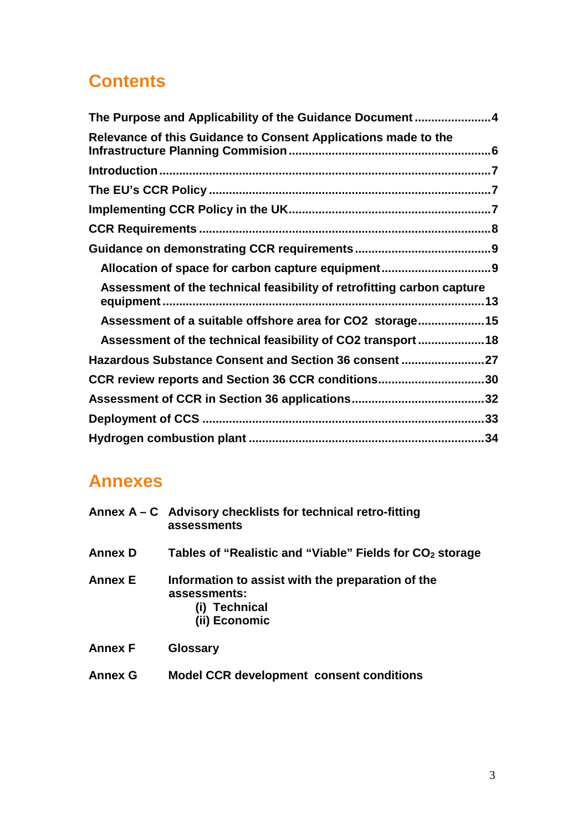## **Contents**

| The Purpose and Applicability of the Guidance Document4                |
|------------------------------------------------------------------------|
| Relevance of this Guidance to Consent Applications made to the         |
|                                                                        |
|                                                                        |
|                                                                        |
|                                                                        |
|                                                                        |
|                                                                        |
| Assessment of the technical feasibility of retrofitting carbon capture |
| Assessment of a suitable offshore area for CO2 storage 15              |
| Assessment of the technical feasibility of CO2 transport18             |
| Hazardous Substance Consent and Section 36 consent 27                  |
| CCR review reports and Section 36 CCR conditions30                     |
|                                                                        |
|                                                                        |
|                                                                        |

## **Annexes**

|                | Annex A - C Advisory checklists for technical retro-fitting<br>assessments                          |
|----------------|-----------------------------------------------------------------------------------------------------|
| <b>Annex D</b> | Tables of "Realistic and "Viable" Fields for $CO2$ storage                                          |
| Annex E        | Information to assist with the preparation of the<br>assessments:<br>(i) Technical<br>(ii) Economic |
| <b>Annex F</b> | <b>Glossary</b>                                                                                     |
| <b>Annex G</b> | <b>Model CCR development consent conditions</b>                                                     |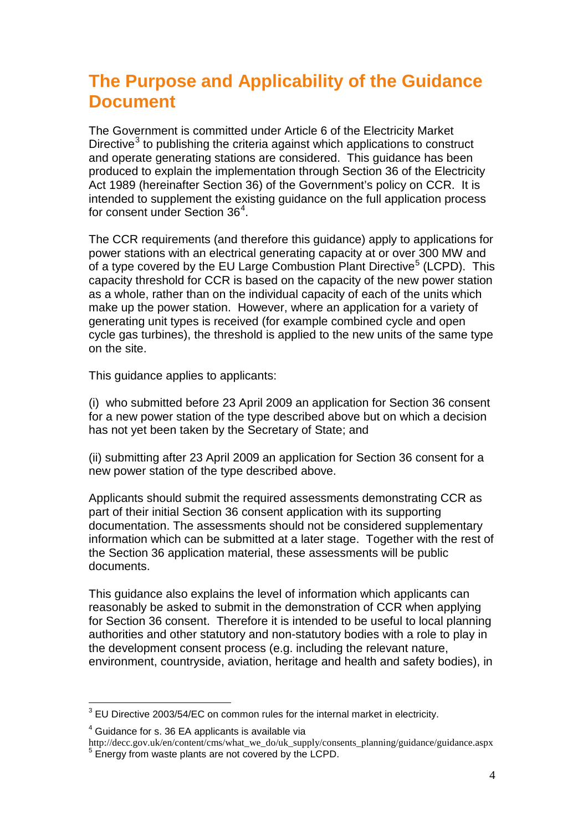## <span id="page-3-0"></span>**The Purpose and Applicability of the Guidance Document**

The Government is committed under Article 6 of the Electricity Market Directive<sup>[3](#page-3-1)</sup> to publishing the criteria against which applications to construct and operate generating stations are considered. This guidance has been produced to explain the implementation through Section 36 of the Electricity Act 1989 (hereinafter Section 36) of the Government's policy on CCR. It is intended to supplement the existing guidance on the full application process for consent under Section 36<sup>[4](#page-3-2)</sup>.

The CCR requirements (and therefore this guidance) apply to applications for power stations with an electrical generating capacity at or over 300 MW and of a type covered by the EU Large Combustion Plant Directive<sup>[5](#page-3-3)</sup> (LCPD). This capacity threshold for CCR is based on the capacity of the new power station as a whole, rather than on the individual capacity of each of the units which make up the power station. However, where an application for a variety of generating unit types is received (for example combined cycle and open cycle gas turbines), the threshold is applied to the new units of the same type on the site.

This guidance applies to applicants:

(i) who submitted before 23 April 2009 an application for Section 36 consent for a new power station of the type described above but on which a decision has not yet been taken by the Secretary of State; and

(ii) submitting after 23 April 2009 an application for Section 36 consent for a new power station of the type described above.

Applicants should submit the required assessments demonstrating CCR as part of their initial Section 36 consent application with its supporting documentation. The assessments should not be considered supplementary information which can be submitted at a later stage. Together with the rest of the Section 36 application material, these assessments will be public documents.

This guidance also explains the level of information which applicants can reasonably be asked to submit in the demonstration of CCR when applying for Section 36 consent. Therefore it is intended to be useful to local planning authorities and other statutory and non-statutory bodies with a role to play in the development consent process (e.g. including the relevant nature, environment, countryside, aviation, heritage and health and safety bodies), in

<span id="page-3-1"></span> $3$  EU Directive 2003/54/EC on common rules for the internal market in electricity.

<span id="page-3-2"></span><sup>4</sup> Guidance for s. 36 EA applicants is available via

<span id="page-3-3"></span>http://decc.gov.uk/en/content/cms/what\_we\_do/uk\_supply/consents\_planning/guidance/guidance.aspx <sup>5</sup> Energy from waste plants are not covered by the LCPD.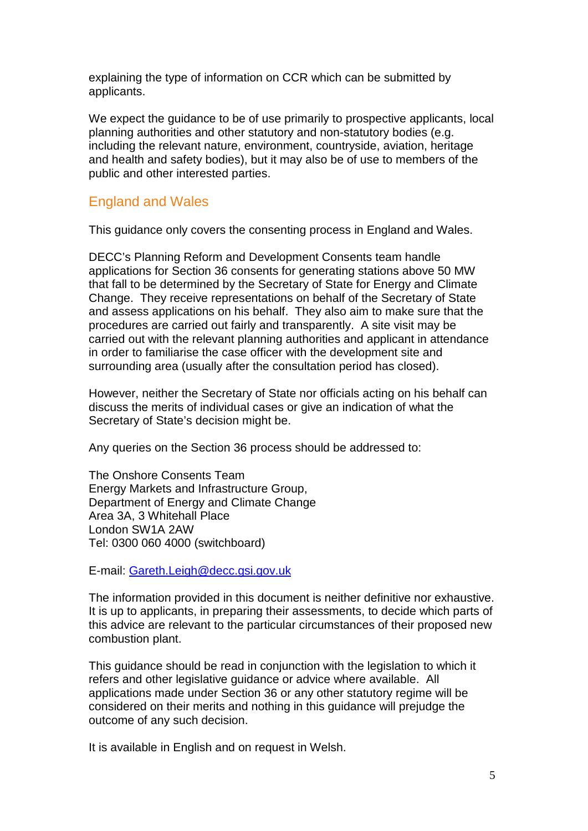explaining the type of information on CCR which can be submitted by applicants.

We expect the guidance to be of use primarily to prospective applicants, local planning authorities and other statutory and non-statutory bodies (e.g. including the relevant nature, environment, countryside, aviation, heritage and health and safety bodies), but it may also be of use to members of the public and other interested parties.

## England and Wales

This guidance only covers the consenting process in England and Wales.

DECC's Planning Reform and Development Consents team handle applications for Section 36 consents for generating stations above 50 MW that fall to be determined by the Secretary of State for Energy and Climate Change. They receive representations on behalf of the Secretary of State and assess applications on his behalf. They also aim to make sure that the procedures are carried out fairly and transparently. A site visit may be carried out with the relevant planning authorities and applicant in attendance in order to familiarise the case officer with the development site and surrounding area (usually after the consultation period has closed).

However, neither the Secretary of State nor officials acting on his behalf can discuss the merits of individual cases or give an indication of what the Secretary of State's decision might be.

Any queries on the Section 36 process should be addressed to:

The Onshore Consents Team Energy Markets and Infrastructure Group, Department of Energy and Climate Change Area 3A, 3 Whitehall Place London SW1A 2AW Tel: 0300 060 4000 (switchboard)

E-mail: [Gareth.Leigh@decc.gsi.gov.uk](mailto:Gareth.Leigh@decc.gsi.gov.uk)

The information provided in this document is neither definitive nor exhaustive. It is up to applicants, in preparing their assessments, to decide which parts of this advice are relevant to the particular circumstances of their proposed new combustion plant.

This guidance should be read in conjunction with the legislation to which it refers and other legislative guidance or advice where available. All applications made under Section 36 or any other statutory regime will be considered on their merits and nothing in this guidance will prejudge the outcome of any such decision.

It is available in English and on request in Welsh.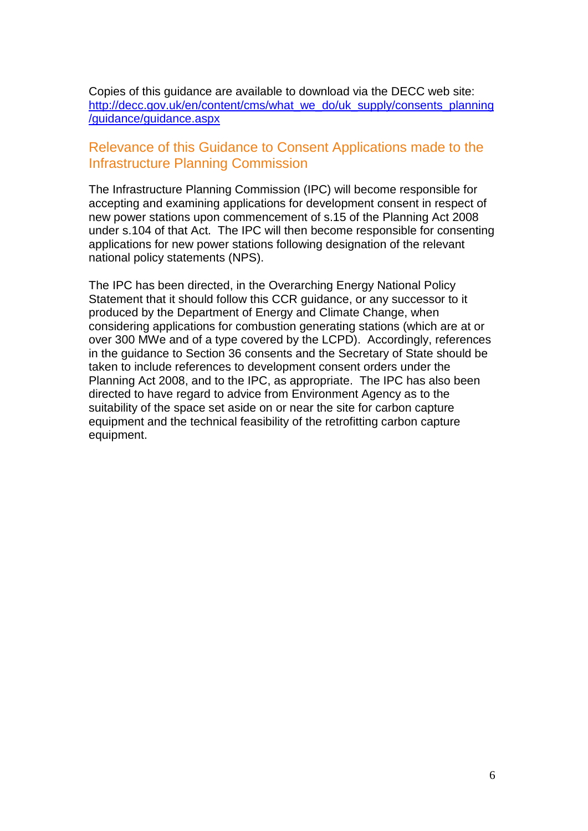Copies of this guidance are available to download via the DECC web site: [http://decc.gov.uk/en/content/cms/what\\_we\\_do/uk\\_supply/consents\\_planning](http://decc.gov.uk/en/content/cms/what_we_do/uk_supply/consents_planning/guidance/guidance.aspx) [/guidance/guidance.aspx](http://decc.gov.uk/en/content/cms/what_we_do/uk_supply/consents_planning/guidance/guidance.aspx)

### <span id="page-5-0"></span>Relevance of this Guidance to Consent Applications made to the Infrastructure Planning Commission

The Infrastructure Planning Commission (IPC) will become responsible for accepting and examining applications for development consent in respect of new power stations upon commencement of s.15 of the Planning Act 2008 under s.104 of that Act. The IPC will then become responsible for consenting applications for new power stations following designation of the relevant national policy statements (NPS).

The IPC has been directed, in the Overarching Energy National Policy Statement that it should follow this CCR guidance, or any successor to it produced by the Department of Energy and Climate Change, when considering applications for combustion generating stations (which are at or over 300 MWe and of a type covered by the LCPD). Accordingly, references in the guidance to Section 36 consents and the Secretary of State should be taken to include references to development consent orders under the Planning Act 2008, and to the IPC, as appropriate. The IPC has also been directed to have regard to advice from Environment Agency as to the suitability of the space set aside on or near the site for carbon capture equipment and the technical feasibility of the retrofitting carbon capture equipment.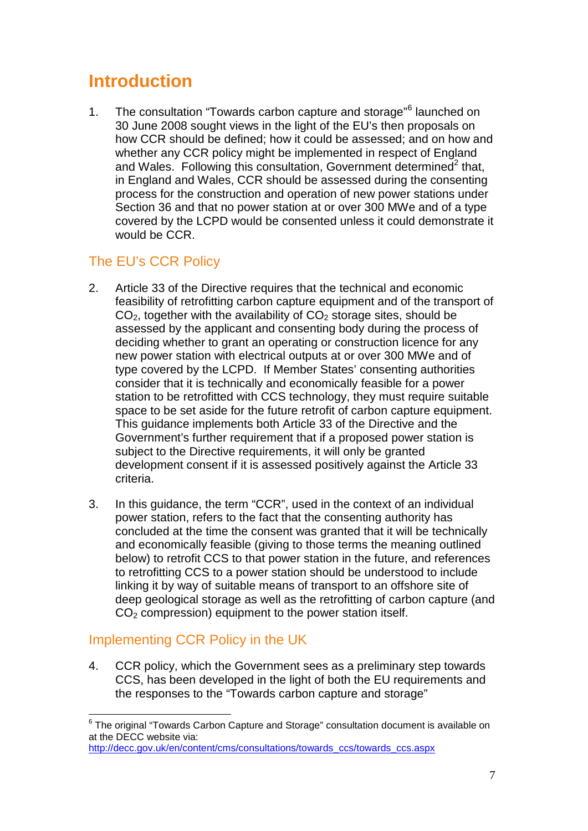## <span id="page-6-0"></span>**Introduction**

1. The consultation "Towards carbon capture and storage"<sup>[6](#page-6-3)</sup> launched on an[d](#page-1-2) Wales. Following this consultation, Government determined<sup>2</sup> that, 30 June 2008 sought views in the light of the EU's then proposals on how CCR should be defined; how it could be assessed; and on how and whether any CCR policy might be implemented in respect of England in England and Wales, CCR should be assessed during the consenting process for the construction and operation of new power stations under Section 36 and that no power station at or over 300 MWe and of a type covered by the LCPD would be consented unless it could demonstrate it would be CCR.

## <span id="page-6-1"></span>The EU's CCR Policy

- 2. Article 33 of the Directive requires that the technical and economic feasibility of retrofitting carbon capture equipment and of the transport of  $CO<sub>2</sub>$ , together with the availability of  $CO<sub>2</sub>$  storage sites, should be assessed by the applicant and consenting body during the process of deciding whether to grant an operating or construction licence for any new power station with electrical outputs at or over 300 MWe and of type covered by the LCPD. If Member States' consenting authorities consider that it is technically and economically feasible for a power station to be retrofitted with CCS technology, they must require suitable space to be set aside for the future retrofit of carbon capture equipment. This guidance implements both Article 33 of the Directive and the Government's further requirement that if a proposed power station is subject to the Directive requirements, it will only be granted development consent if it is assessed positively against the Article 33 criteria.
- 3. In this guidance, the term "CCR", used in the context of an individual power station, refers to the fact that the consenting authority has concluded at the time the consent was granted that it will be technically and economically feasible (giving to those terms the meaning outlined below) to retrofit CCS to that power station in the future, and references to retrofitting CCS to a power station should be understood to include linking it by way of suitable means of transport to an offshore site of deep geological storage as well as the retrofitting of carbon capture (and  $CO<sub>2</sub>$  compression) equipment to the power station itself.

## <span id="page-6-2"></span>Implementing CCR Policy in the UK

4. CCR policy, which the Government sees as a preliminary step towards CCS, has been developed in the light of both the EU requirements and the responses to the "Towards carbon capture and storage"

<span id="page-6-3"></span><sup>&</sup>lt;sup>6</sup> The original "Towards Carbon Capture and Storage" consultation document is available on at the DECC website via:

[http://decc.gov.uk/en/content/cms/consultations/towards\\_ccs/towards\\_ccs.aspx](http://decc.gov.uk/en/content/cms/consultations/towards_ccs/towards_ccs.aspx)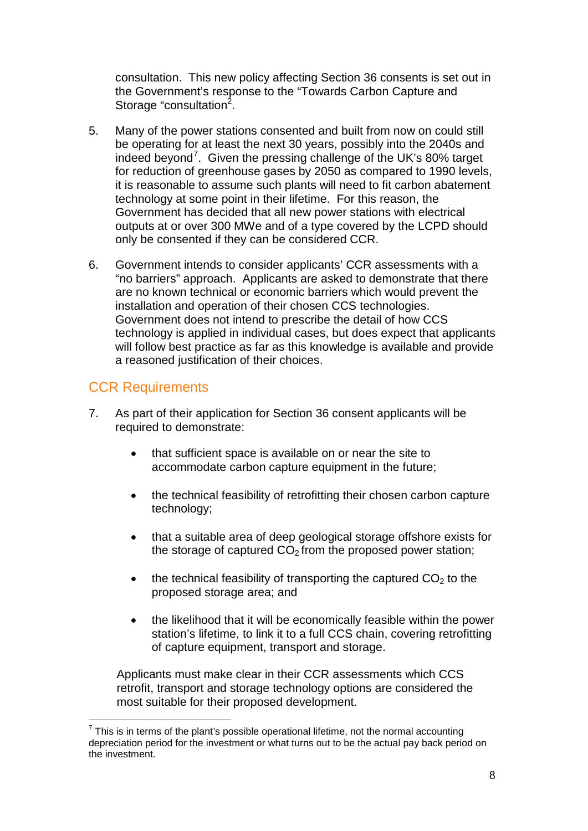consultation. This new policy affecting Section 36 consents is set out in the Government's response to the "Towards Carbon Capture and Storage "consultation<sup>[2](#page-1-2)</sup>.

- 5. Many of the power stations consented and built from now on could still be operating for at least the next 30 years, possibly into the 2040s and indeed beyond<sup>[7](#page-7-1)</sup>. Given the pressing challenge of the UK's 80% target for reduction of greenhouse gases by 2050 as compared to 1990 levels, it is reasonable to assume such plants will need to fit carbon abatement technology at some point in their lifetime. For this reason, the Government has decided that all new power stations with electrical outputs at or over 300 MWe and of a type covered by the LCPD should only be consented if they can be considered CCR.
- <span id="page-7-2"></span>6. Government intends to consider applicants' CCR assessments with a "no barriers" approach. Applicants are asked to demonstrate that there are no known technical or economic barriers which would prevent the installation and operation of their chosen CCS technologies. Government does not intend to prescribe the detail of how CCS technology is applied in individual cases, but does expect that applicants will follow best practice as far as this knowledge is available and provide a reasoned justification of their choices.

## <span id="page-7-0"></span>CCR Requirements

- 7. As part of their application for Section 36 consent applicants will be required to demonstrate:
	- that sufficient space is available on or near the site to accommodate carbon capture equipment in the future;
	- the technical feasibility of retrofitting their chosen carbon capture technology;
	- that a suitable area of deep geological storage offshore exists for the storage of captured  $CO<sub>2</sub>$  from the proposed power station;
	- the technical feasibility of transporting the captured  $CO<sub>2</sub>$  to the proposed storage area; and
	- the likelihood that it will be economically feasible within the power station's lifetime, to link it to a full CCS chain, covering retrofitting of capture equipment, transport and storage.

Applicants must make clear in their CCR assessments which CCS retrofit, transport and storage technology options are considered the most suitable for their proposed development.

<span id="page-7-1"></span> $7$  This is in terms of the plant's possible operational lifetime, not the normal accounting depreciation period for the investment or what turns out to be the actual pay back period on the investment.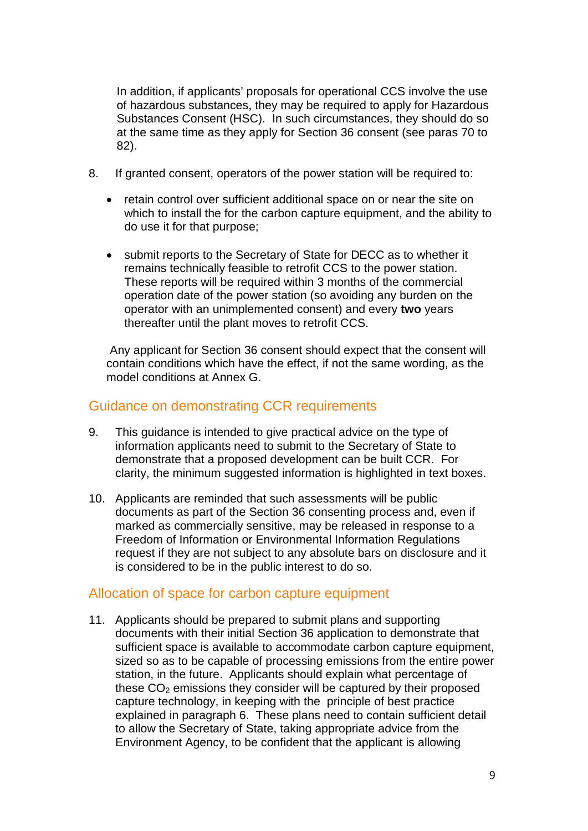In addition, if applicants' proposals for operational CCS involve the use of hazardous substances, they may be required to apply for Hazardous Substances Consent (HSC). In such circumstances, they should do so at the same time as they apply for Section 36 consent (see paras [70](#page-26-1) to [82\)](#page-28-0).

- 8. If granted consent, operators of the power station will be required to:
	- retain control over sufficient additional space on or near the site on which to install the for the carbon capture equipment, and the ability to do use it for that purpose;
	- submit reports to the Secretary of State for DECC as to whether it remains technically feasible to retrofit CCS to the power station. These reports will be required within 3 months of the commercial operation date of the power station (so avoiding any burden on the operator with an unimplemented consent) and every **two** years thereafter until the plant moves to retrofit CCS.

Any applicant for Section 36 consent should expect that the consent will contain conditions which have the effect, if not the same wording, as the model conditions at Annex G.

## <span id="page-8-0"></span>Guidance on demonstrating CCR requirements

- 9. This guidance is intended to give practical advice on the type of information applicants need to submit to the Secretary of State to demonstrate that a proposed development can be built CCR. For clarity, the minimum suggested information is highlighted in text boxes.
- 10. Applicants are reminded that such assessments will be public documents as part of the Section 36 consenting process and, even if marked as commercially sensitive, may be released in response to a Freedom of Information or Environmental Information Regulations request if they are not subject to any absolute bars on disclosure and it is considered to be in the public interest to do so.

### <span id="page-8-1"></span>Allocation of space for carbon capture equipment

11. Applicants should be prepared to submit plans and supporting documents with their initial Section 36 application to demonstrate that sufficient space is available to accommodate carbon capture equipment, sized so as to be capable of processing emissions from the entire power station, in the future. Applicants should explain what percentage of these  $CO<sub>2</sub>$  emissions they consider will be captured by their proposed capture technology, in keeping with the principle of best practice explained in paragraph [6.](#page-7-2) These plans need to contain sufficient detail to allow the Secretary of State, taking appropriate advice from the Environment Agency, to be confident that the applicant is allowing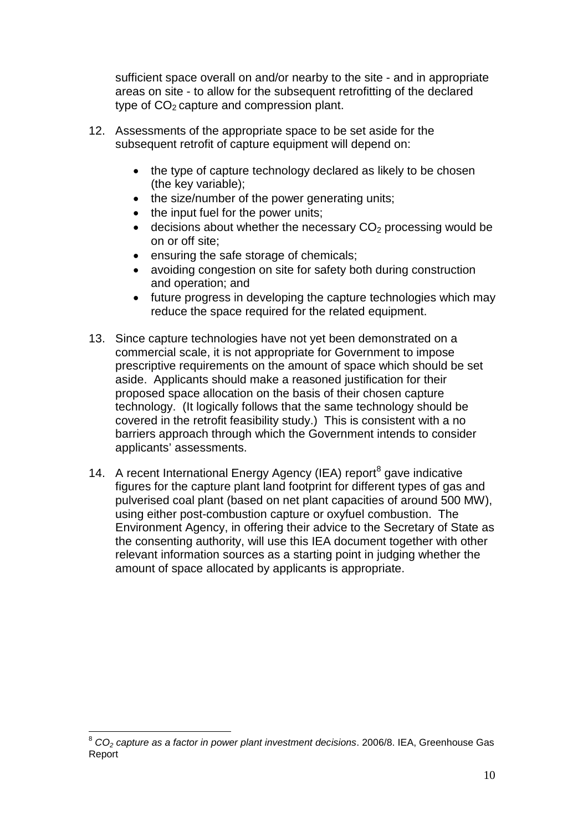sufficient space overall on and/or nearby to the site - and in appropriate areas on site - to allow for the subsequent retrofitting of the declared type of  $CO<sub>2</sub>$  capture and compression plant.

- 12. Assessments of the appropriate space to be set aside for the subsequent retrofit of capture equipment will depend on:
	- the type of capture technology declared as likely to be chosen (the key variable);
	- the size/number of the power generating units;
	- the input fuel for the power units;
	- decisions about whether the necessary  $CO<sub>2</sub>$  processing would be on or off site;
	- ensuring the safe storage of chemicals;
	- avoiding congestion on site for safety both during construction and operation; and
	- future progress in developing the capture technologies which may reduce the space required for the related equipment.
- 13. Since capture technologies have not yet been demonstrated on a commercial scale, it is not appropriate for Government to impose prescriptive requirements on the amount of space which should be set aside. Applicants should make a reasoned justification for their proposed space allocation on the basis of their chosen capture technology. (It logically follows that the same technology should be covered in the retrofit feasibility study.) This is consistent with a no barriers approach through which the Government intends to consider applicants' assessments.
- 14. A recent International Energy Agency (IEA) report<sup>[8](#page-9-0)</sup> gave indicative figures for the capture plant land footprint for different types of gas and pulverised coal plant (based on net plant capacities of around 500 MW), using either post-combustion capture or oxyfuel combustion. The Environment Agency, in offering their advice to the Secretary of State as the consenting authority, will use this IEA document together with other relevant information sources as a starting point in judging whether the amount of space allocated by applicants is appropriate.

<span id="page-9-0"></span><sup>8</sup> *CO2 capture as a factor in power plant investment decisions*. 2006/8. IEA, Greenhouse Gas Report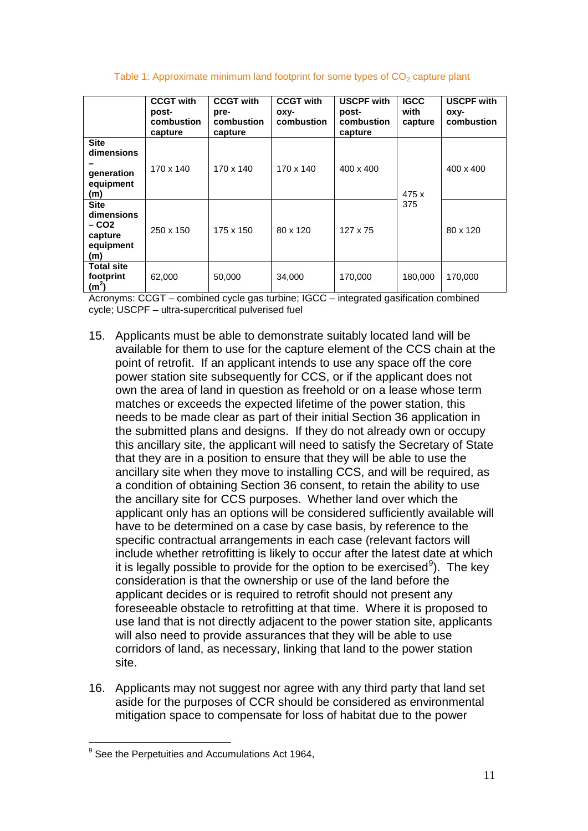#### Table 1: Approximate minimum land footprint for some types of  $CO<sub>2</sub>$  capture plant

|                                                                    | <b>CCGT with</b><br>post-<br>combustion<br>capture | <b>CCGT with</b><br>pre-<br>combustion<br>capture | <b>CCGT with</b><br>oxy-<br>combustion | <b>USCPF with</b><br>post-<br>combustion<br>capture | <b>IGCC</b><br>with<br>capture | <b>USCPF with</b><br>оху-<br>combustion |
|--------------------------------------------------------------------|----------------------------------------------------|---------------------------------------------------|----------------------------------------|-----------------------------------------------------|--------------------------------|-----------------------------------------|
| <b>Site</b><br>dimensions<br>generation<br>equipment<br>(m)        | 170 x 140                                          | 170 x 140                                         | 170 x 140                              | $400 \times 400$                                    | 475 x                          | 400 x 400                               |
| <b>Site</b><br>dimensions<br>$-CO2$<br>capture<br>equipment<br>(m) | 250 x 150                                          | 175 x 150                                         | 80 x 120                               | 127 x 75                                            | 375                            | 80 x 120                                |
| <b>Total site</b><br>footprint<br>(m <sup>2</sup> )                | 62,000                                             | 50,000                                            | 34.000                                 | 170,000                                             | 180,000                        | 170,000                                 |

Acronyms: CCGT – combined cycle gas turbine; IGCC – integrated gasification combined cycle; USCPF – ultra-supercritical pulverised fuel

- 15. Applicants must be able to demonstrate suitably located land will be available for them to use for the capture element of the CCS chain at the point of retrofit. If an applicant intends to use any space off the core power station site subsequently for CCS, or if the applicant does not own the area of land in question as freehold or on a lease whose term matches or exceeds the expected lifetime of the power station, this needs to be made clear as part of their initial Section 36 application in the submitted plans and designs. If they do not already own or occupy this ancillary site, the applicant will need to satisfy the Secretary of State that they are in a position to ensure that they will be able to use the ancillary site when they move to installing CCS, and will be required, as a condition of obtaining Section 36 consent, to retain the ability to use the ancillary site for CCS purposes. Whether land over which the applicant only has an options will be considered sufficiently available will have to be determined on a case by case basis, by reference to the specific contractual arrangements in each case (relevant factors will include whether retrofitting is likely to occur after the latest date at which it is legally possible to provide for the option to be exercised<sup>[9](#page-10-0)</sup>). The key consideration is that the ownership or use of the land before the applicant decides or is required to retrofit should not present any foreseeable obstacle to retrofitting at that time. Where it is proposed to use land that is not directly adjacent to the power station site, applicants will also need to provide assurances that they will be able to use corridors of land, as necessary, linking that land to the power station site.
- 16. Applicants may not suggest nor agree with any third party that land set aside for the purposes of CCR should be considered as environmental mitigation space to compensate for loss of habitat due to the power

<span id="page-10-0"></span><sup>&</sup>lt;sup>9</sup> See the Perpetuities and Accumulations Act 1964.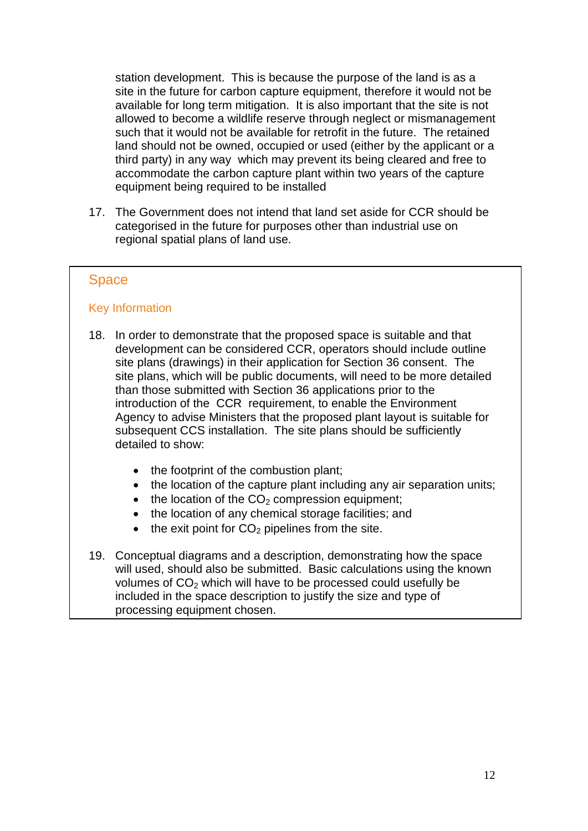station development. This is because the purpose of the land is as a site in the future for carbon capture equipment, therefore it would not be available for long term mitigation. It is also important that the site is not allowed to become a wildlife reserve through neglect or mismanagement such that it would not be available for retrofit in the future. The retained land should not be owned, occupied or used (either by the applicant or a third party) in any way which may prevent its being cleared and free to accommodate the carbon capture plant within two years of the capture equipment being required to be installed

17. The Government does not intend that land set aside for CCR should be categorised in the future for purposes other than industrial use on regional spatial plans of land use.

#### Space

#### Key Information

- 18. In order to demonstrate that the proposed space is suitable and that development can be considered CCR, operators should include outline site plans (drawings) in their application for Section 36 consent. The site plans, which will be public documents, will need to be more detailed than those submitted with Section 36 applications prior to the introduction of the CCR requirement, to enable the Environment Agency to advise Ministers that the proposed plant layout is suitable for subsequent CCS installation. The site plans should be sufficiently detailed to show:
	- the footprint of the combustion plant;
	- the location of the capture plant including any air separation units;
	- $\bullet$  the location of the CO<sub>2</sub> compression equipment;
	- the location of any chemical storage facilities; and
	- $\bullet$  the exit point for  $CO<sub>2</sub>$  pipelines from the site.
- 19. Conceptual diagrams and a description, demonstrating how the space will used, should also be submitted. Basic calculations using the known volumes of  $CO<sub>2</sub>$  which will have to be processed could usefully be included in the space description to justify the size and type of processing equipment chosen.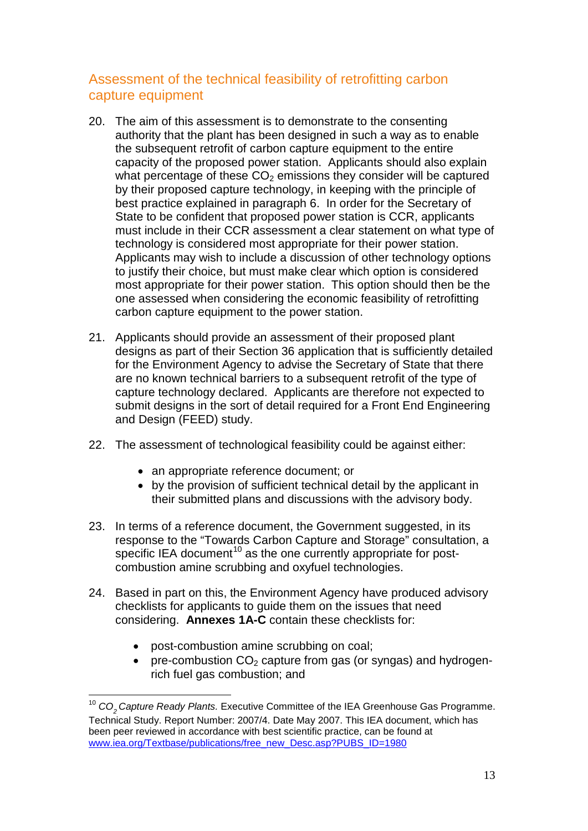## <span id="page-12-0"></span>Assessment of the technical feasibility of retrofitting carbon capture equipment

- 20. The aim of this assessment is to demonstrate to the consenting authority that the plant has been designed in such a way as to enable the subsequent retrofit of carbon capture equipment to the entire capacity of the proposed power station. Applicants should also explain what percentage of these  $CO<sub>2</sub>$  emissions they consider will be captured by their proposed capture technology, in keeping with the principle of best practice explained in paragraph [6.](#page-7-2) In order for the Secretary of State to be confident that proposed power station is CCR, applicants must include in their CCR assessment a clear statement on what type of technology is considered most appropriate for their power station. Applicants may wish to include a discussion of other technology options to justify their choice, but must make clear which option is considered most appropriate for their power station. This option should then be the one assessed when considering the economic feasibility of retrofitting carbon capture equipment to the power station.
- 21. Applicants should provide an assessment of their proposed plant designs as part of their Section 36 application that is sufficiently detailed for the Environment Agency to advise the Secretary of State that there are no known technical barriers to a subsequent retrofit of the type of capture technology declared. Applicants are therefore not expected to submit designs in the sort of detail required for a Front End Engineering and Design (FEED) study.
- 22. The assessment of technological feasibility could be against either:
	- an appropriate reference document; or
	- by the provision of sufficient technical detail by the applicant in their submitted plans and discussions with the advisory body.
- <span id="page-12-2"></span>23. In terms of a reference document, the Government suggested, in its response to the "Towards Carbon Capture and Storage" consultation, a specific IEA document<sup>[10](#page-12-1)</sup> as the one currently appropriate for postcombustion amine scrubbing and oxyfuel technologies.
- 24. Based in part on this, the Environment Agency have produced advisory checklists for applicants to guide them on the issues that need considering. **Annexes 1A-C** contain these checklists for:
	- post-combustion amine scrubbing on coal;
	- pre-combustion  $CO<sub>2</sub>$  capture from gas (or syngas) and hydrogenrich fuel gas combustion; and

<span id="page-12-1"></span><sup>&</sup>lt;sup>10</sup> CO<sub>2</sub> Capture Ready Plants. Executive Committee of the IEA Greenhouse Gas Programme. Technical Study. Report Number: 2007/4. Date May 2007. This IEA document, which has been peer reviewed in accordance with best scientific practice, can be found at [www.iea.org/Textbase/publications/free\\_new\\_Desc.asp?PUBS\\_ID=1980](http://www.iea.org/Textbase/publications/free_new_Desc.asp?PUBS_ID=1980)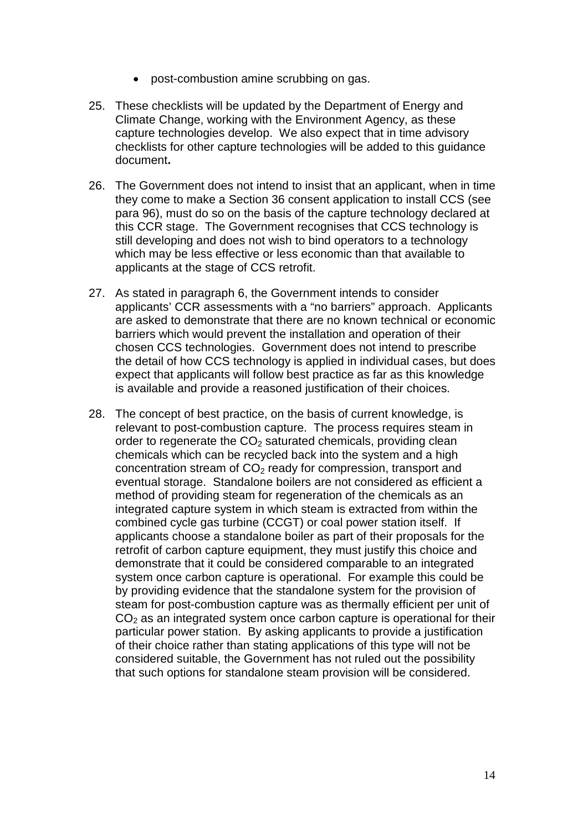- post-combustion amine scrubbing on gas.
- 25. These checklists will be updated by the Department of Energy and Climate Change, working with the Environment Agency, as these capture technologies develop. We also expect that in time advisory checklists for other capture technologies will be added to this guidance document**.**
- 26. The Government does not intend to insist that an applicant, when in time they come to make a Section 36 consent application to install CCS (see para [96\)](#page-32-1), must do so on the basis of the capture technology declared at this CCR stage. The Government recognises that CCS technology is still developing and does not wish to bind operators to a technology which may be less effective or less economic than that available to applicants at the stage of CCS retrofit.
- 27. As stated in paragraph 6, the Government intends to consider applicants' CCR assessments with a "no barriers" approach. Applicants are asked to demonstrate that there are no known technical or economic barriers which would prevent the installation and operation of their chosen CCS technologies. Government does not intend to prescribe the detail of how CCS technology is applied in individual cases, but does expect that applicants will follow best practice as far as this knowledge is available and provide a reasoned justification of their choices.
- 28. The concept of best practice, on the basis of current knowledge, is relevant to post-combustion capture. The process requires steam in order to regenerate the  $CO<sub>2</sub>$  saturated chemicals, providing clean chemicals which can be recycled back into the system and a high concentration stream of  $CO<sub>2</sub>$  ready for compression, transport and eventual storage. Standalone boilers are not considered as efficient a method of providing steam for regeneration of the chemicals as an integrated capture system in which steam is extracted from within the combined cycle gas turbine (CCGT) or coal power station itself. If applicants choose a standalone boiler as part of their proposals for the retrofit of carbon capture equipment, they must justify this choice and demonstrate that it could be considered comparable to an integrated system once carbon capture is operational. For example this could be by providing evidence that the standalone system for the provision of steam for post-combustion capture was as thermally efficient per unit of  $CO<sub>2</sub>$  as an integrated system once carbon capture is operational for their particular power station. By asking applicants to provide a justification of their choice rather than stating applications of this type will not be considered suitable, the Government has not ruled out the possibility that such options for standalone steam provision will be considered.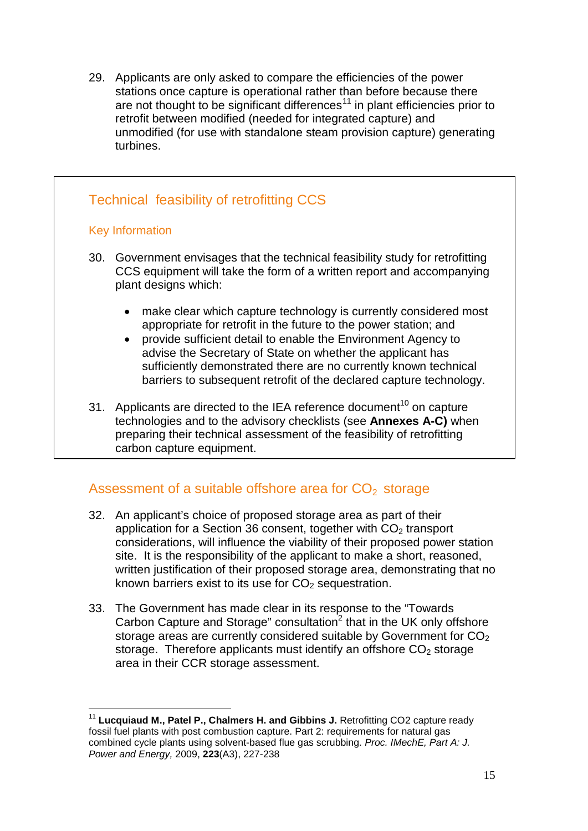29. Applicants are only asked to compare the efficiencies of the power stations once capture is operational rather than before because there are not thought to be significant differences<sup>[11](#page-14-1)</sup> in plant efficiencies prior to retrofit between modified (needed for integrated capture) and unmodified (for use with standalone steam provision capture) generating turbines.

## Technical feasibility of retrofitting CCS

#### Key Information

- 30. Government envisages that the technical feasibility study for retrofitting CCS equipment will take the form of a written report and accompanying plant designs which:
	- make clear which capture technology is currently considered most appropriate for retrofit in the future to the power station; and
	- provide sufficient detail to enable the Environment Agency to advise the Secretary of State on whether the applicant has sufficiently demonstrated there are no currently known technical barriers to subsequent retrofit of the declared capture technology.
- 31. Applicants are directed to the IEA reference document<sup>[10](#page-12-2)</sup> on capture technologies and to the advisory checklists (see **Annexes A-C)** when preparing their technical assessment of the feasibility of retrofitting carbon capture equipment.

## <span id="page-14-0"></span>Assessment of a suitable offshore area for  $CO<sub>2</sub>$  storage

- 32. An applicant's choice of proposed storage area as part of their application for a Section 36 consent, together with  $CO<sub>2</sub>$  transport considerations, will influence the viability of their proposed power station site. It is the responsibility of the applicant to make a short, reasoned, written justification of their proposed storage area, demonstrating that no known barriers exist to its use for  $CO<sub>2</sub>$  sequestration.
- 33. The Government has made clear in its response to the "Towards Carbon Capture and Storage" consultation $2$  that in the UK only offshore storage areas are currently considered suitable by Government for  $CO<sub>2</sub>$ storage. Therefore applicants must identify an offshore  $CO<sub>2</sub>$  storage area in their CCR storage assessment.

<span id="page-14-1"></span><sup>&</sup>lt;sup>11</sup> Lucquiaud M., Patel P., Chalmers H. and Gibbins J. Retrofitting CO2 capture ready fossil fuel plants with post combustion capture. Part 2: requirements for natural gas combined cycle plants using solvent-based flue gas scrubbing. *Proc. IMechE, Part A: J. Power and Energy,* 2009, **223**(A3), 227-238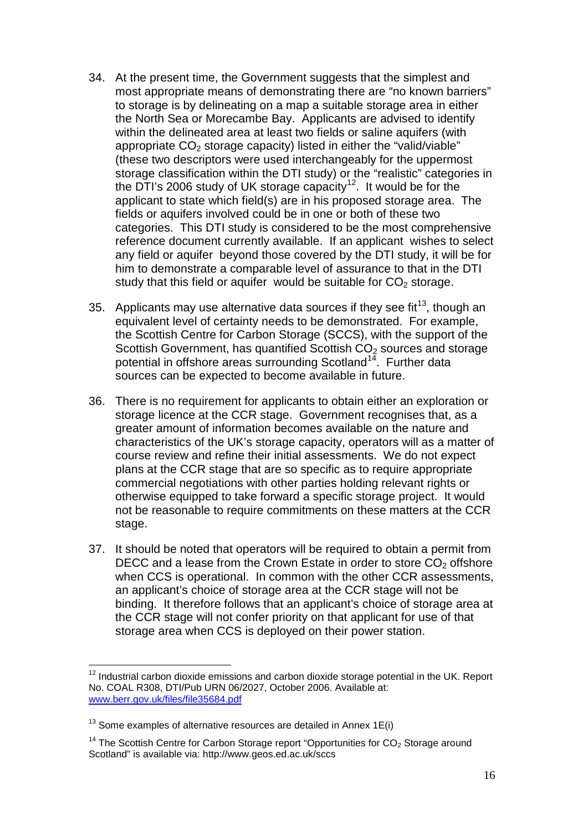- 34. At the present time, the Government suggests that the simplest and most appropriate means of demonstrating there are "no known barriers" to storage is by delineating on a map a suitable storage area in either the North Sea or Morecambe Bay. Applicants are advised to identify within the delineated area at least two fields or saline aquifers (with appropriate  $CO<sub>2</sub>$  storage capacity) listed in either the "valid/viable" (these two descriptors were used interchangeably for the uppermost storage classification within the DTI study) or the "realistic" categories in the DTI's 2006 study of UK storage capacity<sup>[12](#page-15-0)</sup>. It would be for the applicant to state which field(s) are in his proposed storage area. The fields or aquifers involved could be in one or both of these two categories. This DTI study is considered to be the most comprehensive reference document currently available. If an applicant wishes to select any field or aquifer beyond those covered by the DTI study, it will be for him to demonstrate a comparable level of assurance to that in the DTI study that this field or aquifer would be suitable for  $CO<sub>2</sub>$  storage.
- 35. Applicants may use alternative data sources if they see fit<sup>13</sup>, though an equivalent level of certainty needs to be demonstrated. For example, the Scottish Centre for Carbon Storage (SCCS), with the support of the Scottish Government, has quantified Scottish  $CO<sub>2</sub>$  sources and storage potential in offshore areas surrounding Scotland<sup>[14](#page-15-2)</sup>. Further data sources can be expected to become available in future.
- 36. There is no requirement for applicants to obtain either an exploration or storage licence at the CCR stage. Government recognises that, as a greater amount of information becomes available on the nature and characteristics of the UK's storage capacity, operators will as a matter of course review and refine their initial assessments. We do not expect plans at the CCR stage that are so specific as to require appropriate commercial negotiations with other parties holding relevant rights or otherwise equipped to take forward a specific storage project. It would not be reasonable to require commitments on these matters at the CCR stage.
- 37. It should be noted that operators will be required to obtain a permit from DECC and a lease from the Crown Estate in order to store  $CO<sub>2</sub>$  offshore when CCS is operational. In common with the other CCR assessments, an applicant's choice of storage area at the CCR stage will not be binding. It therefore follows that an applicant's choice of storage area at the CCR stage will not confer priority on that applicant for use of that storage area when CCS is deployed on their power station.

<span id="page-15-0"></span> $12$  Industrial carbon dioxide emissions and carbon dioxide storage potential in the UK. Report No. COAL R308, DTI/Pub URN 06/2027, October 2006. Available at: [www.berr.gov.uk/files/file35684.pdf](http://www.berr.gov.uk/files/file35684.pdf)

<span id="page-15-1"></span> $13$  Some examples of alternative resources are detailed in Annex 1E(i)

<span id="page-15-2"></span><sup>&</sup>lt;sup>14</sup> The Scottish Centre for Carbon Storage report "Opportunities for  $CO<sub>2</sub>$  Storage around Scotland" is available via: http://www.geos.ed.ac.uk/sccs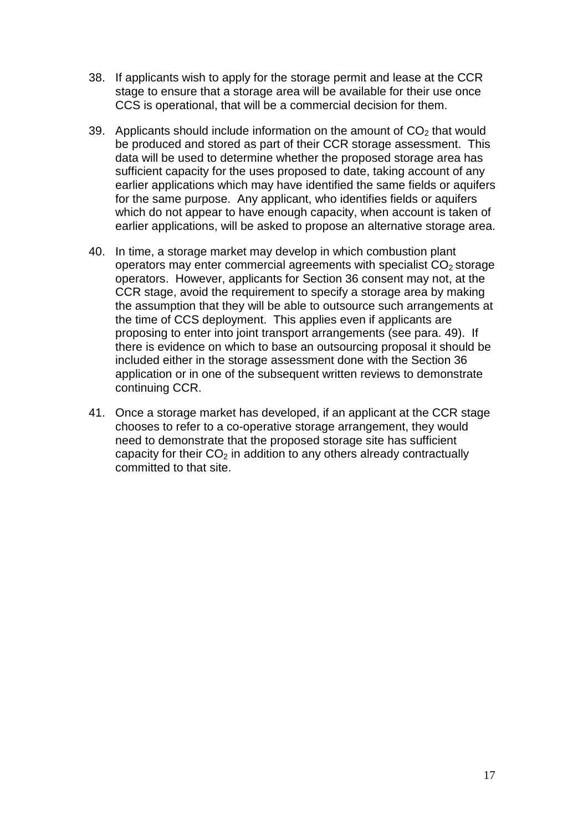- 38. If applicants wish to apply for the storage permit and lease at the CCR stage to ensure that a storage area will be available for their use once CCS is operational, that will be a commercial decision for them.
- 39. Applicants should include information on the amount of  $CO<sub>2</sub>$  that would be produced and stored as part of their CCR storage assessment. This data will be used to determine whether the proposed storage area has sufficient capacity for the uses proposed to date, taking account of any earlier applications which may have identified the same fields or aquifers for the same purpose. Any applicant, who identifies fields or aquifers which do not appear to have enough capacity, when account is taken of earlier applications, will be asked to propose an alternative storage area.
- 40. In time, a storage market may develop in which combustion plant operators may enter commercial agreements with specialist  $CO<sub>2</sub>$  storage operators. However, applicants for Section 36 consent may not, at the CCR stage, avoid the requirement to specify a storage area by making the assumption that they will be able to outsource such arrangements at the time of CCS deployment. This applies even if applicants are proposing to enter into joint transport arrangements (see para. 49). If there is evidence on which to base an outsourcing proposal it should be included either in the storage assessment done with the Section 36 application or in one of the subsequent written reviews to demonstrate continuing CCR.
- 41. Once a storage market has developed, if an applicant at the CCR stage chooses to refer to a co-operative storage arrangement, they would need to demonstrate that the proposed storage site has sufficient capacity for their  $CO<sub>2</sub>$  in addition to any others already contractually committed to that site.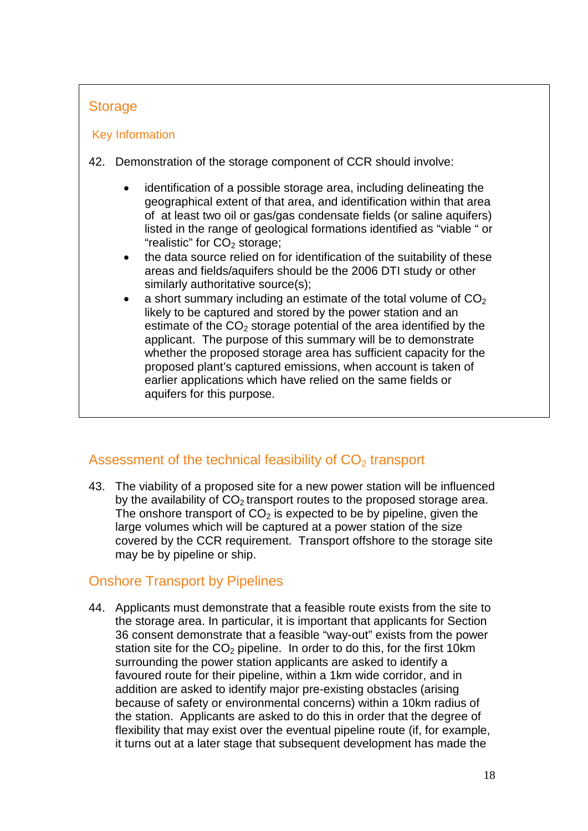## **Storage**

### Key Information

- 42. Demonstration of the storage component of CCR should involve:
	- identification of a possible storage area, including delineating the geographical extent of that area, and identification within that area of at least two oil or gas/gas condensate fields (or saline aquifers) listed in the range of geological formations identified as "viable " or "realistic" for  $CO<sub>2</sub>$  storage;
	- the data source relied on for identification of the suitability of these areas and fields/aquifers should be the 2006 DTI study or other similarly authoritative source(s);
	- a short summary including an estimate of the total volume of  $CO<sub>2</sub>$ likely to be captured and stored by the power station and an estimate of the  $CO<sub>2</sub>$  storage potential of the area identified by the applicant. The purpose of this summary will be to demonstrate whether the proposed storage area has sufficient capacity for the proposed plant's captured emissions, when account is taken of earlier applications which have relied on the same fields or aquifers for this purpose.

## <span id="page-17-0"></span>Assessment of the technical feasibility of  $CO<sub>2</sub>$  transport

43. The viability of a proposed site for a new power station will be influenced by the availability of  $CO<sub>2</sub>$  transport routes to the proposed storage area. The onshore transport of  $CO<sub>2</sub>$  is expected to be by pipeline, given the large volumes which will be captured at a power station of the size covered by the CCR requirement. Transport offshore to the storage site may be by pipeline or ship.

## Onshore Transport by Pipelines

44. Applicants must demonstrate that a feasible route exists from the site to the storage area. In particular, it is important that applicants for Section 36 consent demonstrate that a feasible "way-out" exists from the power station site for the  $CO<sub>2</sub>$  pipeline. In order to do this, for the first 10km surrounding the power station applicants are asked to identify a favoured route for their pipeline, within a 1km wide corridor, and in addition are asked to identify major pre-existing obstacles (arising because of safety or environmental concerns) within a 10km radius of the station. Applicants are asked to do this in order that the degree of flexibility that may exist over the eventual pipeline route (if, for example, it turns out at a later stage that subsequent development has made the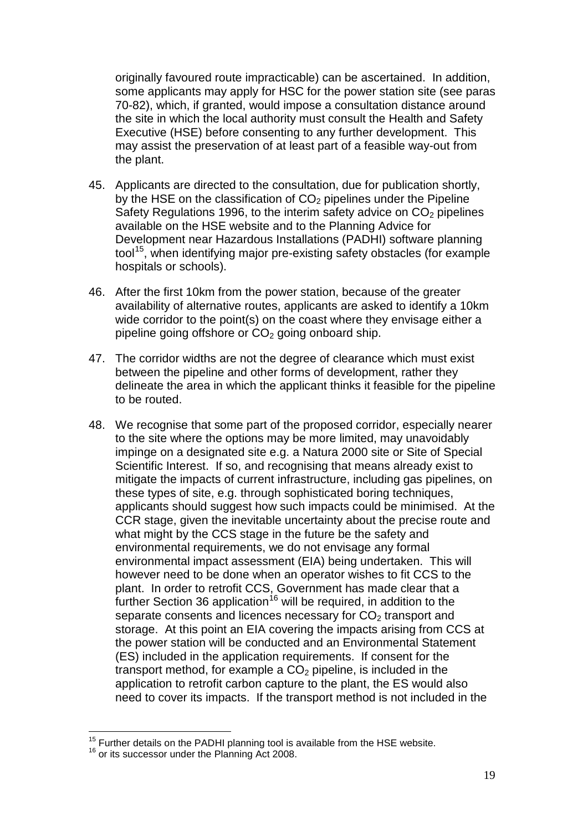originally favoured route impracticable) can be ascertained. In addition, some applicants may apply for HSC for the power station site (see paras 70-82), which, if granted, would impose a consultation distance around the site in which the local authority must consult the Health and Safety Executive (HSE) before consenting to any further development. This may assist the preservation of at least part of a feasible way-out from the plant.

- 45. Applicants are directed to the consultation, due for publication shortly, by the HSE on the classification of  $CO<sub>2</sub>$  pipelines under the Pipeline Safety Regulations 1996, to the interim safety advice on  $CO<sub>2</sub>$  pipelines available on the HSE website and to the Planning Advice for Development near Hazardous Installations (PADHI) software planning tool<sup>[15](#page-18-0)</sup>, when identifying major pre-existing safety obstacles (for example hospitals or schools).
- 46. After the first 10km from the power station, because of the greater availability of alternative routes, applicants are asked to identify a 10km wide corridor to the point(s) on the coast where they envisage either a pipeline going offshore or  $CO<sub>2</sub>$  going onboard ship.
- 47. The corridor widths are not the degree of clearance which must exist between the pipeline and other forms of development, rather they delineate the area in which the applicant thinks it feasible for the pipeline to be routed.
- <span id="page-18-2"></span>48. We recognise that some part of the proposed corridor, especially nearer to the site where the options may be more limited, may unavoidably impinge on a designated site e.g. a Natura 2000 site or Site of Special Scientific Interest. If so, and recognising that means already exist to mitigate the impacts of current infrastructure, including gas pipelines, on these types of site, e.g. through sophisticated boring techniques, applicants should suggest how such impacts could be minimised. At the CCR stage, given the inevitable uncertainty about the precise route and what might by the CCS stage in the future be the safety and environmental requirements, we do not envisage any formal environmental impact assessment (EIA) being undertaken. This will however need to be done when an operator wishes to fit CCS to the plant. In order to retrofit CCS, Government has made clear that a further Section 36 application<sup>[16](#page-18-1)</sup> will be required, in addition to the separate consents and licences necessary for  $CO<sub>2</sub>$  transport and storage. At this point an EIA covering the impacts arising from CCS at the power station will be conducted and an Environmental Statement (ES) included in the application requirements. If consent for the transport method, for example a  $CO<sub>2</sub>$  pipeline, is included in the application to retrofit carbon capture to the plant, the ES would also need to cover its impacts. If the transport method is not included in the

<span id="page-18-1"></span><span id="page-18-0"></span> $^{15}$  Further details on the PADHI planning tool is available from the HSE website.  $^{16}$  or its successor under the Planning Act 2008.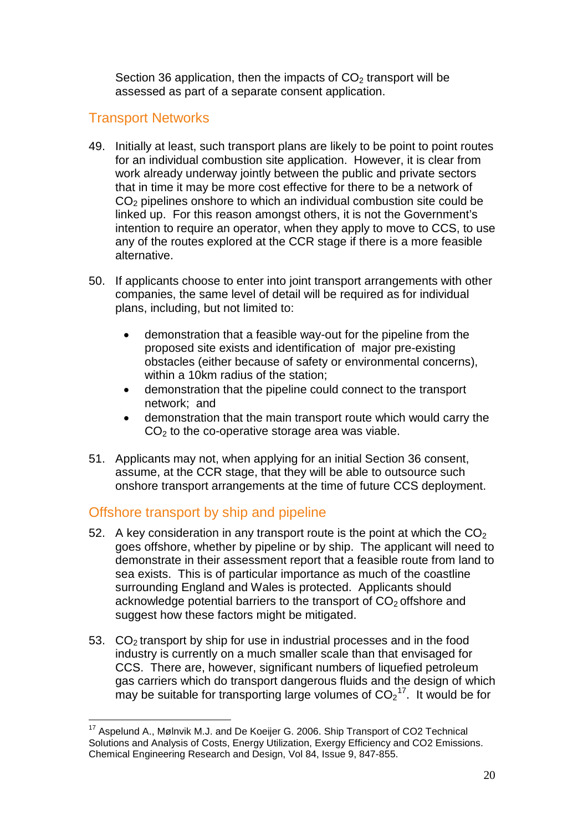Section 36 application, then the impacts of  $CO<sub>2</sub>$  transport will be assessed as part of a separate consent application.

## Transport Networks

- 49. Initially at least, such transport plans are likely to be point to point routes for an individual combustion site application. However, it is clear from work already underway jointly between the public and private sectors that in time it may be more cost effective for there to be a network of CO<sub>2</sub> pipelines onshore to which an individual combustion site could be linked up. For this reason amongst others, it is not the Government's intention to require an operator, when they apply to move to CCS, to use any of the routes explored at the CCR stage if there is a more feasible alternative.
- 50. If applicants choose to enter into joint transport arrangements with other companies, the same level of detail will be required as for individual plans, including, but not limited to:
	- demonstration that a feasible way-out for the pipeline from the proposed site exists and identification of major pre-existing obstacles (either because of safety or environmental concerns), within a 10km radius of the station;
	- demonstration that the pipeline could connect to the transport network; and
	- demonstration that the main transport route which would carry the  $CO<sub>2</sub>$  to the co-operative storage area was viable.
- 51. Applicants may not, when applying for an initial Section 36 consent, assume, at the CCR stage, that they will be able to outsource such onshore transport arrangements at the time of future CCS deployment.

## Offshore transport by ship and pipeline

- 52. A key consideration in any transport route is the point at which the  $CO<sub>2</sub>$ goes offshore, whether by pipeline or by ship. The applicant will need to demonstrate in their assessment report that a feasible route from land to sea exists. This is of particular importance as much of the coastline surrounding England and Wales is protected. Applicants should acknowledge potential barriers to the transport of  $CO<sub>2</sub>$  offshore and suggest how these factors might be mitigated.
- 53.  $CO<sub>2</sub>$  transport by ship for use in industrial processes and in the food industry is currently on a much smaller scale than that envisaged for CCS. There are, however, significant numbers of liquefied petroleum gas carriers which do transport dangerous fluids and the design of which may be suitable for transporting large volumes of  $CO_2$ <sup>[17](#page-19-0)</sup>. It would be for

<span id="page-19-0"></span><sup>&</sup>lt;sup>17</sup> Aspelund A., Mølnvik M.J. and De Koeijer G. 2006. Ship Transport of CO2 Technical Solutions and Analysis of Costs, Energy Utilization, Exergy Efficiency and CO2 Emissions. Chemical Engineering Research and Design, Vol 84, Issue 9, 847-855.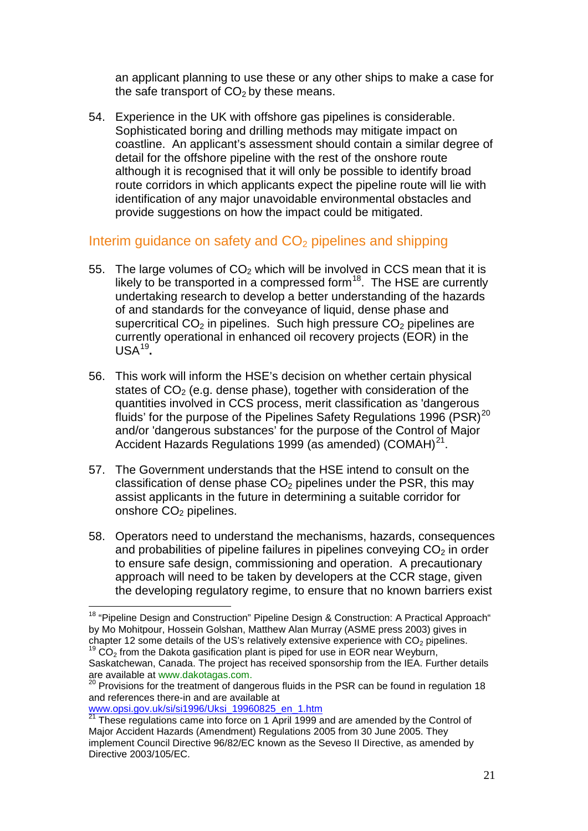an applicant planning to use these or any other ships to make a case for the safe transport of  $CO<sub>2</sub>$  by these means.

54. Experience in the UK with offshore gas pipelines is considerable. Sophisticated boring and drilling methods may mitigate impact on coastline. An applicant's assessment should contain a similar degree of detail for the offshore pipeline with the rest of the onshore route although it is recognised that it will only be possible to identify broad route corridors in which applicants expect the pipeline route will lie with identification of any major unavoidable environmental obstacles and provide suggestions on how the impact could be mitigated.

## Interim guidance on safety and  $CO<sub>2</sub>$  pipelines and shipping

- 55. The large volumes of  $CO<sub>2</sub>$  which will be involved in CCS mean that it is likely to be transported in a compressed form<sup>18</sup>. The HSE are currently undertaking research to develop a better understanding of the hazards of and standards for the conveyance of liquid, dense phase and supercritical  $CO<sub>2</sub>$  in pipelines. Such high pressure  $CO<sub>2</sub>$  pipelines are currently operational in enhanced oil recovery projects (EOR) in the USA[19](#page-20-1) **.**
- 56. This work will inform the HSE's decision on whether certain physical states of  $CO<sub>2</sub>$  (e.g. dense phase), together with consideration of the quantities involved in CCS process, merit classification as 'dangerous fluids' for the purpose of the Pipelines Safety Regulations 1996 (PSR)<sup>[20](#page-20-2)</sup> and/or 'dangerous substances' for the purpose of the Control of Major Accident Hazards Regulations 1999 (as amended) (COMAH) $^{21}$  $^{21}$  $^{21}$ .
- 57. The Government understands that the HSE intend to consult on the classification of dense phase  $CO<sub>2</sub>$  pipelines under the PSR, this may assist applicants in the future in determining a suitable corridor for onshore CO<sub>2</sub> pipelines.
- 58. Operators need to understand the mechanisms, hazards, consequences and probabilities of pipeline failures in pipelines conveying  $CO<sub>2</sub>$  in order to ensure safe design, commissioning and operation. A precautionary approach will need to be taken by developers at the CCR stage, given the developing regulatory regime, to ensure that no known barriers exist

www.opsi.gov.uk/si/si1996/Uksi\_19960825\_en\_1.htm

<span id="page-20-0"></span><sup>&</sup>lt;sup>18</sup> "Pipeline Design and Construction" Pipeline Design & Construction: A Practical Approach" by Mo Mohitpour, Hossein Golshan, Matthew Alan Murray (ASME press 2003) gives in chapter 12 some details of the US's relatively extensive experience with  $CO_2$  pipelines.<br><sup>19</sup> CO<sub>2</sub> from the Dakota gasification plant is piped for use in EOR near Weyburn,

<span id="page-20-1"></span>Saskatchewan, Canada. The project has received sponsorship from the IEA. Further details are available at www.dakotagas.com.

<span id="page-20-2"></span> $20$  Provisions for the treatment of dangerous fluids in the PSR can be found in regulation 18 and references there-in and are available at

<span id="page-20-3"></span><sup>21</sup> These regulations came into force on 1 April 1999 and are amended by the Control of Major Accident Hazards (Amendment) Regulations 2005 from 30 June 2005. They implement Council Directive 96/82/EC known as the Seveso II Directive, as amended by Directive 2003/105/EC.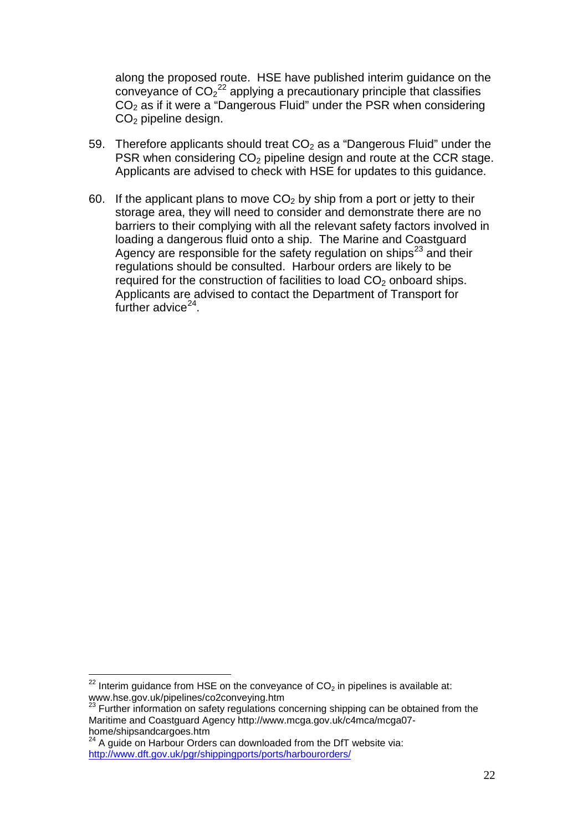along the proposed route. HSE have published interim guidance on the conveyance of  $CO_2^{22}$  $CO_2^{22}$  $CO_2^{22}$  applying a precautionary principle that classifies  $CO<sub>2</sub>$  as if it were a "Dangerous Fluid" under the PSR when considering CO<sub>2</sub> pipeline design.

- 59. Therefore applicants should treat  $CO<sub>2</sub>$  as a "Dangerous Fluid" under the PSR when considering  $CO<sub>2</sub>$  pipeline design and route at the CCR stage. Applicants are advised to check with HSE for updates to this guidance.
- 60. If the applicant plans to move  $CO<sub>2</sub>$  by ship from a port or jetty to their storage area, they will need to consider and demonstrate there are no barriers to their complying with all the relevant safety factors involved in loading a dangerous fluid onto a ship. The Marine and Coastguard Agency are responsible for the safety regulation on ships<sup>[23](#page-21-1)</sup> and their regulations should be consulted. Harbour orders are likely to be required for the construction of facilities to load  $CO<sub>2</sub>$  onboard ships. Applicants are advised to contact the Department of Transport for further advice $24$ .

<span id="page-21-0"></span> $22$  Interim guidance from HSE on the conveyance of CO<sub>2</sub> in pipelines is available at: www.hse.gov.uk/pipelines/co2conveying.htm

<span id="page-21-1"></span><sup>&</sup>lt;sup>23</sup> Further information on safety regulations concerning shipping can be obtained from the Maritime and Coastguard Agency http://www.mcga.gov.uk/c4mca/mcga07 home/shipsandcargoes.htm

<span id="page-21-2"></span><sup>&</sup>lt;sup>24</sup> A guide on Harbour Orders can downloaded from the DfT website via: <http://www.dft.gov.uk/pgr/shippingports/ports/harbourorders/>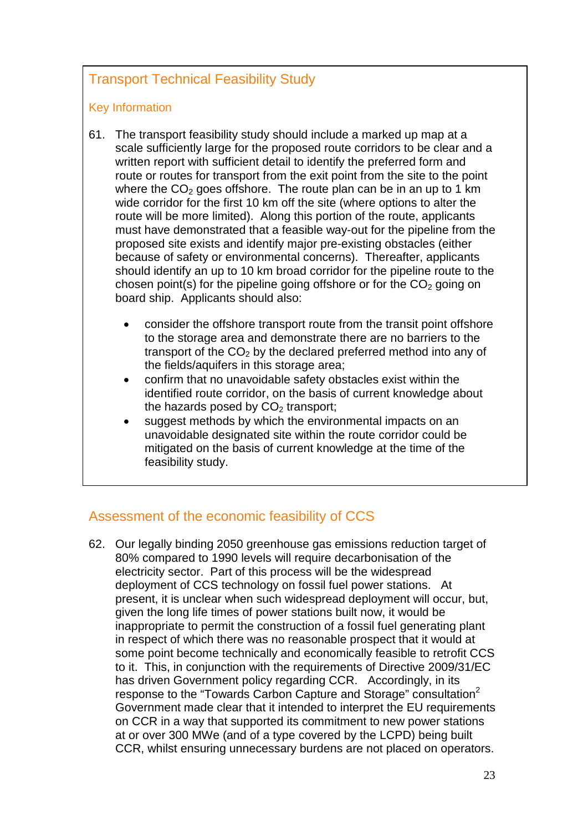## Transport Technical Feasibility Study

#### Key Information

- 61. The transport feasibility study should include a marked up map at a scale sufficiently large for the proposed route corridors to be clear and a written report with sufficient detail to identify the preferred form and route or routes for transport from the exit point from the site to the point where the  $CO<sub>2</sub>$  goes offshore. The route plan can be in an up to 1 km wide corridor for the first 10 km off the site (where options to alter the route will be more limited). Along this portion of the route, applicants must have demonstrated that a feasible way-out for the pipeline from the proposed site exists and identify major pre-existing obstacles (either because of safety or environmental concerns). Thereafter, applicants should identify an up to 10 km broad corridor for the pipeline route to the chosen point(s) for the pipeline going offshore or for the  $CO<sub>2</sub>$  going on board ship. Applicants should also:
	- consider the offshore transport route from the transit point offshore to the storage area and demonstrate there are no barriers to the transport of the  $CO<sub>2</sub>$  by the declared preferred method into any of the fields/aquifers in this storage area;
	- confirm that no unavoidable safety obstacles exist within the identified route corridor, on the basis of current knowledge about the hazards posed by  $CO<sub>2</sub>$  transport:
	- suggest methods by which the environmental impacts on an unavoidable designated site within the route corridor could be mitigated on the basis of current knowledge at the time of the feasibility study.

## Assessment of the economic feasibility of CCS

62. Our legally binding 2050 greenhouse gas emissions reduction target of 80% compared to 1990 levels will require decarbonisation of the electricity sector. Part of this process will be the widespread deployment of CCS technology on fossil fuel power stations. At present, it is unclear when such widespread deployment will occur, but, given the long life times of power stations built now, it would be inappropriate to permit the construction of a fossil fuel generating plant in respect of which there was no reasonable prospect that it would at some point become technically and economically feasible to retrofit CCS to it. This, in conjunction with the requirements of Directive 2009/31/EC has driven Government policy regarding CCR. Accordingly, in its response to the "Towards Carbon Capture and Storage" consultation<sup>[2](#page-1-2)</sup> Government made clear that it intended to interpret the EU requirements on CCR in a way that supported its commitment to new power stations at or over 300 MWe (and of a type covered by the LCPD) being built CCR, whilst ensuring unnecessary burdens are not placed on operators.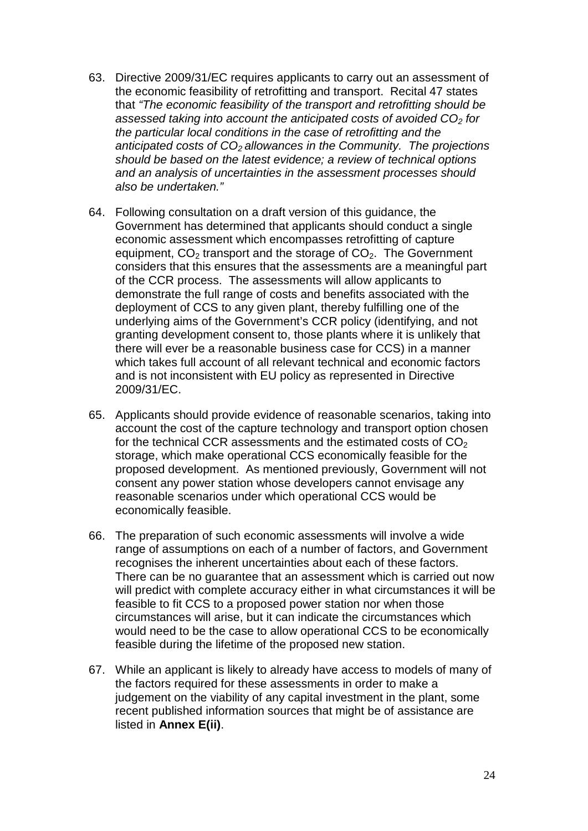- 63. Directive 2009/31/EC requires applicants to carry out an assessment of the economic feasibility of retrofitting and transport. Recital 47 states that *"The economic feasibility of the transport and retrofitting should be assessed taking into account the anticipated costs of avoided CO2 for the particular local conditions in the case of retrofitting and the*  anticipated costs of CO<sub>2</sub> allowances in the Community. The projections *should be based on the latest evidence; a review of technical options and an analysis of uncertainties in the assessment processes should also be undertaken."*
- 64. Following consultation on a draft version of this guidance, the Government has determined that applicants should conduct a single economic assessment which encompasses retrofitting of capture equipment,  $CO<sub>2</sub>$  transport and the storage of  $CO<sub>2</sub>$ . The Government considers that this ensures that the assessments are a meaningful part of the CCR process. The assessments will allow applicants to demonstrate the full range of costs and benefits associated with the deployment of CCS to any given plant, thereby fulfilling one of the underlying aims of the Government's CCR policy (identifying, and not granting development consent to, those plants where it is unlikely that there will ever be a reasonable business case for CCS) in a manner which takes full account of all relevant technical and economic factors and is not inconsistent with EU policy as represented in Directive 2009/31/EC.
- 65. Applicants should provide evidence of reasonable scenarios, taking into account the cost of the capture technology and transport option chosen for the technical CCR assessments and the estimated costs of  $CO<sub>2</sub>$ storage, which make operational CCS economically feasible for the proposed development. As mentioned previously, Government will not consent any power station whose developers cannot envisage any reasonable scenarios under which operational CCS would be economically feasible.
- 66. The preparation of such economic assessments will involve a wide range of assumptions on each of a number of factors, and Government recognises the inherent uncertainties about each of these factors. There can be no guarantee that an assessment which is carried out now will predict with complete accuracy either in what circumstances it will be feasible to fit CCS to a proposed power station nor when those circumstances will arise, but it can indicate the circumstances which would need to be the case to allow operational CCS to be economically feasible during the lifetime of the proposed new station.
- 67. While an applicant is likely to already have access to models of many of the factors required for these assessments in order to make a judgement on the viability of any capital investment in the plant, some recent published information sources that might be of assistance are listed in **Annex E(ii)**.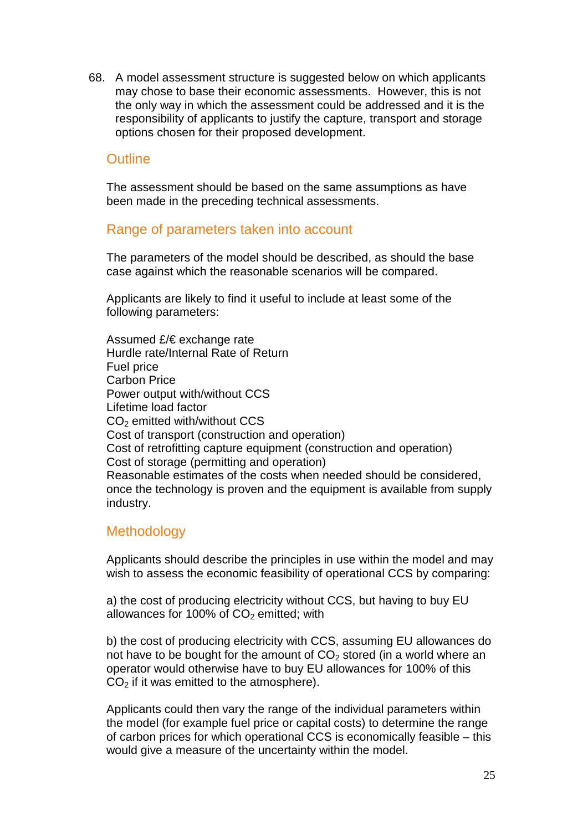68. A model assessment structure is suggested below on which applicants may chose to base their economic assessments. However, this is not the only way in which the assessment could be addressed and it is the responsibility of applicants to justify the capture, transport and storage options chosen for their proposed development.

### **Outline**

The assessment should be based on the same assumptions as have been made in the preceding technical assessments.

#### Range of parameters taken into account

The parameters of the model should be described, as should the base case against which the reasonable scenarios will be compared.

Applicants are likely to find it useful to include at least some of the following parameters:

Assumed £/€ exchange rate Hurdle rate/Internal Rate of Return Fuel price Carbon Price Power output with/without CCS Lifetime load factor CO2 emitted with/without CCS Cost of transport (construction and operation) Cost of retrofitting capture equipment (construction and operation) Cost of storage (permitting and operation) Reasonable estimates of the costs when needed should be considered, once the technology is proven and the equipment is available from supply industry.

### **Methodology**

Applicants should describe the principles in use within the model and may wish to assess the economic feasibility of operational CCS by comparing:

a) the cost of producing electricity without CCS, but having to buy EU allowances for 100% of  $CO<sub>2</sub>$  emitted; with

b) the cost of producing electricity with CCS, assuming EU allowances do not have to be bought for the amount of  $CO<sub>2</sub>$  stored (in a world where an operator would otherwise have to buy EU allowances for 100% of this  $CO<sub>2</sub>$  if it was emitted to the atmosphere).

Applicants could then vary the range of the individual parameters within the model (for example fuel price or capital costs) to determine the range of carbon prices for which operational CCS is economically feasible – this would give a measure of the uncertainty within the model.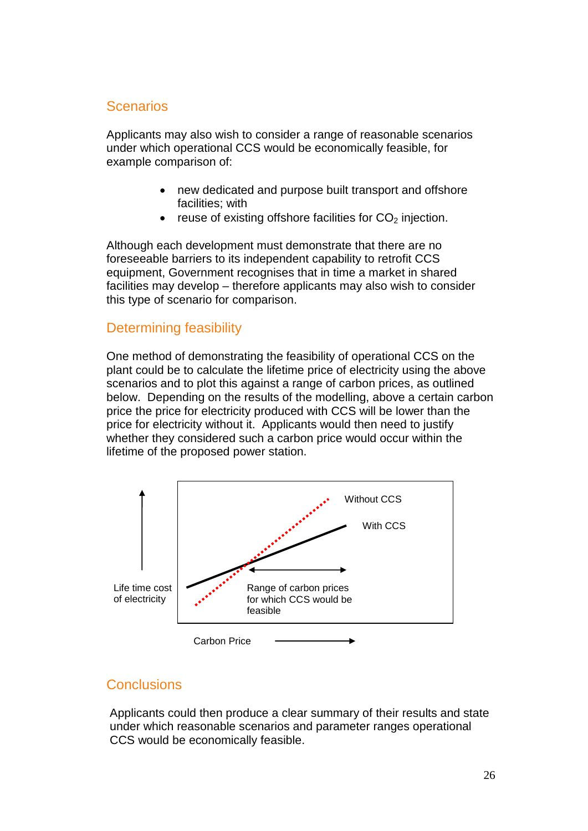## Scenarios

Applicants may also wish to consider a range of reasonable scenarios under which operational CCS would be economically feasible, for example comparison of:

- new dedicated and purpose built transport and offshore facilities; with
- reuse of existing offshore facilities for  $CO<sub>2</sub>$  injection.

Although each development must demonstrate that there are no foreseeable barriers to its independent capability to retrofit CCS equipment, Government recognises that in time a market in shared facilities may develop – therefore applicants may also wish to consider this type of scenario for comparison.

## Determining feasibility

One method of demonstrating the feasibility of operational CCS on the plant could be to calculate the lifetime price of electricity using the above scenarios and to plot this against a range of carbon prices, as outlined below. Depending on the results of the modelling, above a certain carbon price the price for electricity produced with CCS will be lower than the price for electricity without it. Applicants would then need to justify whether they considered such a carbon price would occur within the lifetime of the proposed power station.



## **Conclusions**

Applicants could then produce a clear summary of their results and state under which reasonable scenarios and parameter ranges operational CCS would be economically feasible.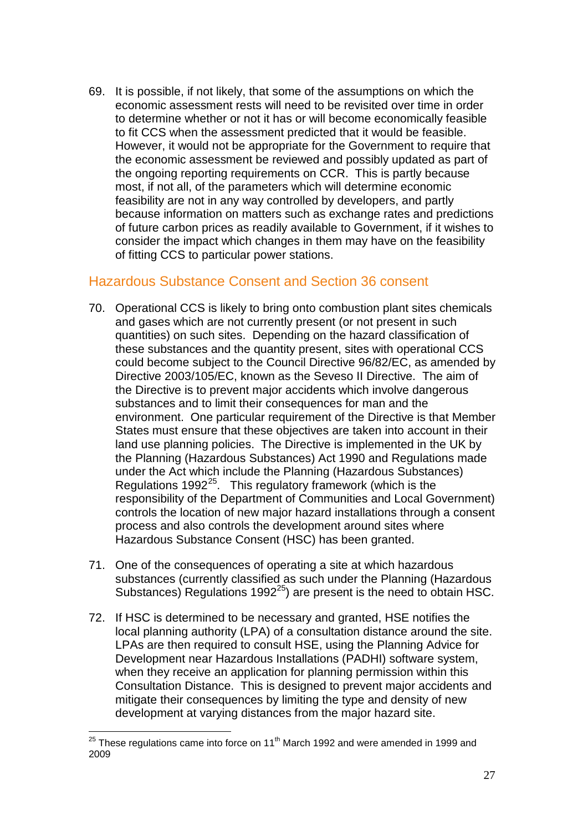69. It is possible, if not likely, that some of the assumptions on which the economic assessment rests will need to be revisited over time in order to determine whether or not it has or will become economically feasible to fit CCS when the assessment predicted that it would be feasible. However, it would not be appropriate for the Government to require that the economic assessment be reviewed and possibly updated as part of the ongoing reporting requirements on CCR. This is partly because most, if not all, of the parameters which will determine economic feasibility are not in any way controlled by developers, and partly because information on matters such as exchange rates and predictions of future carbon prices as readily available to Government, if it wishes to consider the impact which changes in them may have on the feasibility of fitting CCS to particular power stations.

## <span id="page-26-0"></span>Hazardous Substance Consent and Section 36 consent

- <span id="page-26-1"></span>70. Operational CCS is likely to bring onto combustion plant sites chemicals and gases which are not currently present (or not present in such quantities) on such sites. Depending on the hazard classification of these substances and the quantity present, sites with operational CCS could become subject to the Council Directive 96/82/EC, as amended by Directive 2003/105/EC, known as the Seveso II Directive. The aim of the Directive is to prevent major accidents which involve dangerous substances and to limit their consequences for man and the environment. One particular requirement of the Directive is that Member States must ensure that these objectives are taken into account in their land use planning policies. The Directive is implemented in the UK by the Planning (Hazardous Substances) Act 1990 and Regulations made under the Act which include the Planning (Hazardous Substances) Regulations  $1992^{25}$  $1992^{25}$  $1992^{25}$ . This regulatory framework (which is the responsibility of the Department of Communities and Local Government) controls the location of new major hazard installations through a consent process and also controls the development around sites where Hazardous Substance Consent (HSC) has been granted.
- <span id="page-26-2"></span>71. One of the consequences of operating a site at which hazardous substances (currently classified as such under the Planning (Hazardous Substances) Regulations 1992<sup>25</sup>) are present is the need to obtain HSC.
- 72. If HSC is determined to be necessary and granted, HSE notifies the local planning authority (LPA) of a consultation distance around the site. LPAs are then required to consult HSE, using the Planning Advice for Development near Hazardous Installations (PADHI) software system, when they receive an application for planning permission within this Consultation Distance. This is designed to prevent major accidents and mitigate their consequences by limiting the type and density of new development at varying distances from the major hazard site.

<span id="page-26-3"></span> $25$  These regulations came into force on 11<sup>th</sup> March 1992 and were amended in 1999 and 2009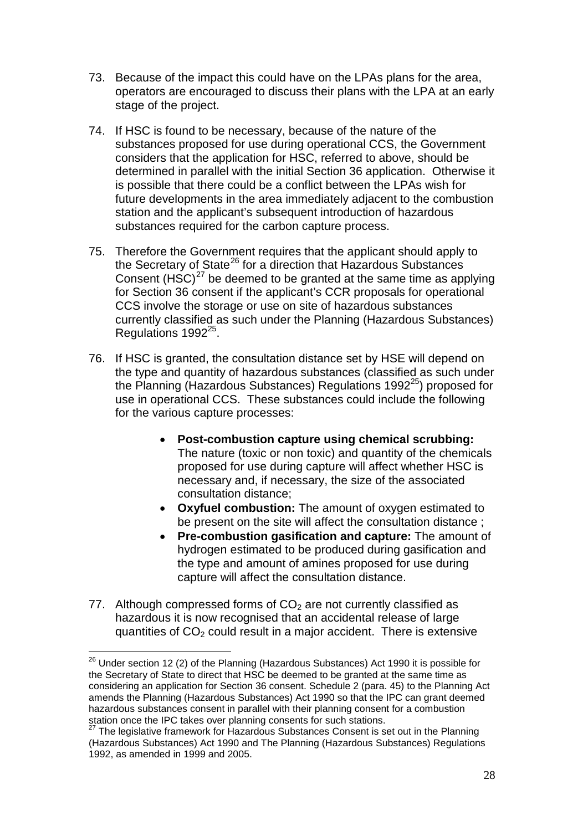- 73. Because of the impact this could have on the LPAs plans for the area, operators are encouraged to discuss their plans with the LPA at an early stage of the project.
- 74. If HSC is found to be necessary, because of the nature of the substances proposed for use during operational CCS, the Government considers that the application for HSC, referred to above, should be determined in parallel with the initial Section 36 application. Otherwise it is possible that there could be a conflict between the LPAs wish for future developments in the area immediately adjacent to the combustion station and the applicant's subsequent introduction of hazardous substances required for the carbon capture process.
- 75. Therefore the Government requires that the applicant should apply to the Secretary of State<sup>[26](#page-27-0)</sup> for a direction that Hazardous Substances Consent (HSC) $<sup>27</sup>$  $<sup>27</sup>$  $<sup>27</sup>$  be deemed to be granted at the same time as applying</sup> Regulations 1992<sup>[25](#page-26-2)</sup>. for Section 36 consent if the applicant's CCR proposals for operational CCS involve the storage or use on site of hazardous substances currently classified as such under the Planning (Hazardous Substances)
- 76. If HSC is granted, the consultation distance set by HSE will depend on the type and quantity of hazardous substances (classified as such under the Planning (Hazardous Substances) Regulations  $1992^{25}$ ) proposed for use in operational CCS. These substances could include the following for the various capture processes:
	- **Post-combustion capture using chemical scrubbing:** The nature (toxic or non toxic) and quantity of the chemicals proposed for use during capture will affect whether HSC is necessary and, if necessary, the size of the associated consultation distance;
	- **Oxyfuel combustion:** The amount of oxygen estimated to be present on the site will affect the consultation distance ;
	- **Pre-combustion gasification and capture:** The amount of hydrogen estimated to be produced during gasification and the type and amount of amines proposed for use during capture will affect the consultation distance.
- 77. Although compressed forms of  $CO<sub>2</sub>$  are not currently classified as hazardous it is now recognised that an accidental release of large quantities of  $CO<sub>2</sub>$  could result in a major accident. There is extensive

<span id="page-27-0"></span><sup>&</sup>lt;sup>26</sup> Under section 12 (2) of the Planning (Hazardous Substances) Act 1990 it is possible for the Secretary of State to direct that HSC be deemed to be granted at the same time as considering an application for Section 36 consent. Schedule 2 (para. 45) to the Planning Act amends the Planning (Hazardous Substances) Act 1990 so that the IPC can grant deemed hazardous substances consent in parallel with their planning consent for a combustion station once the IPC takes over planning consents for such stations.<br><sup>27</sup> The legislative framework for Hazardous Substances Consent is set out in the Planning

<span id="page-27-1"></span><sup>(</sup>Hazardous Substances) Act 1990 and The Planning (Hazardous Substances) Regulations 1992, as amended in 1999 and 2005.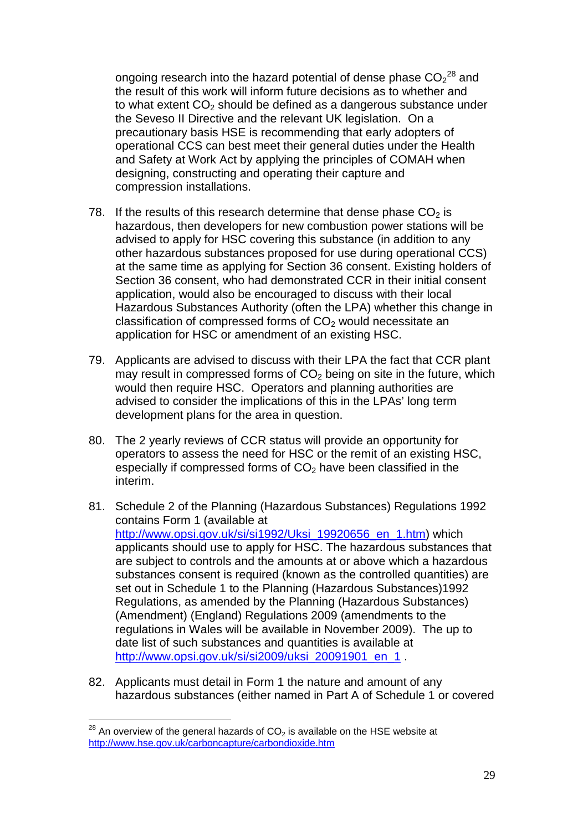ongoing research into the hazard potential of dense phase  $\mathsf{CO_2}^{28}$  $\mathsf{CO_2}^{28}$  $\mathsf{CO_2}^{28}$  and the result of this work will inform future decisions as to whether and to what extent  $CO<sub>2</sub>$  should be defined as a dangerous substance under the Seveso II Directive and the relevant UK legislation. On a precautionary basis HSE is recommending that early adopters of operational CCS can best meet their general duties under the Health and Safety at Work Act by applying the principles of COMAH when designing, constructing and operating their capture and compression installations.

- 78. If the results of this research determine that dense phase  $CO<sub>2</sub>$  is hazardous, then developers for new combustion power stations will be advised to apply for HSC covering this substance (in addition to any other hazardous substances proposed for use during operational CCS) at the same time as applying for Section 36 consent. Existing holders of Section 36 consent, who had demonstrated CCR in their initial consent application, would also be encouraged to discuss with their local Hazardous Substances Authority (often the LPA) whether this change in classification of compressed forms of  $CO<sub>2</sub>$  would necessitate an application for HSC or amendment of an existing HSC.
- 79. Applicants are advised to discuss with their LPA the fact that CCR plant may result in compressed forms of  $CO<sub>2</sub>$  being on site in the future, which would then require HSC. Operators and planning authorities are advised to consider the implications of this in the LPAs' long term development plans for the area in question.
- 80. The 2 yearly reviews of CCR status will provide an opportunity for operators to assess the need for HSC or the remit of an existing HSC, especially if compressed forms of  $CO<sub>2</sub>$  have been classified in the interim.
- 81. Schedule 2 of the Planning (Hazardous Substances) Regulations 1992 contains Form 1 (available at [http://www.opsi.gov.uk/si/si1992/Uksi\\_19920656\\_en\\_1.htm\)](http://www.opsi.gov.uk/si/si1992/Uksi_19920656_en_1.htm) which applicants should use to apply for HSC. The hazardous substances that are subject to controls and the amounts at or above which a hazardous substances consent is required (known as the controlled quantities) are set out in Schedule 1 to the Planning (Hazardous Substances)1992 Regulations, as amended by the Planning (Hazardous Substances) (Amendment) (England) Regulations 2009 (amendments to the regulations in Wales will be available in November 2009). The up to date list of such substances and quantities is available at [http://www.opsi.gov.uk/si/si2009/uksi\\_20091901\\_en\\_1](http://www.opsi.gov.uk/si/si2009/uksi_20091901_en_1) .
- <span id="page-28-0"></span>82. Applicants must detail in Form 1 the nature and amount of any hazardous substances (either named in Part A of Schedule 1 or covered

<span id="page-28-1"></span> $28$  An overview of the general hazards of CO<sub>2</sub> is available on the HSE website at <http://www.hse.gov.uk/carboncapture/carbondioxide.htm>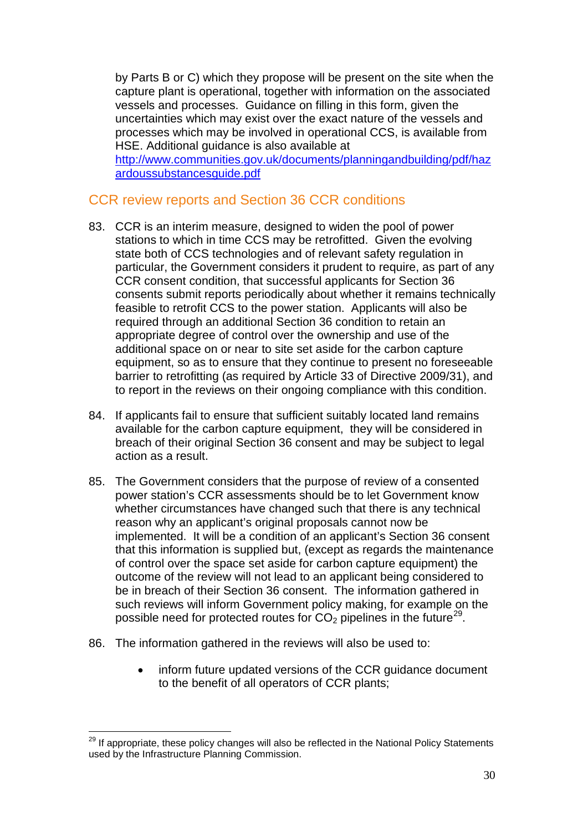by Parts B or C) which they propose will be present on the site when the capture plant is operational, together with information on the associated vessels and processes. Guidance on filling in this form, given the uncertainties which may exist over the exact nature of the vessels and processes which may be involved in operational CCS, is available from HSE. Additional guidance is also available at

[http://www.communities.gov.uk/documents/planningandbuilding/pdf/haz](http://www.communities.gov.uk/documents/planningandbuilding/pdf/hazardoussubstancesguide.pdf) [ardoussubstancesguide.pdf](http://www.communities.gov.uk/documents/planningandbuilding/pdf/hazardoussubstancesguide.pdf)

## <span id="page-29-0"></span>CCR review reports and Section 36 CCR conditions

- 83. CCR is an interim measure, designed to widen the pool of power stations to which in time CCS may be retrofitted. Given the evolving state both of CCS technologies and of relevant safety regulation in particular, the Government considers it prudent to require, as part of any CCR consent condition, that successful applicants for Section 36 consents submit reports periodically about whether it remains technically feasible to retrofit CCS to the power station. Applicants will also be required through an additional Section 36 condition to retain an appropriate degree of control over the ownership and use of the additional space on or near to site set aside for the carbon capture equipment, so as to ensure that they continue to present no foreseeable barrier to retrofitting (as required by Article 33 of Directive 2009/31), and to report in the reviews on their ongoing compliance with this condition.
- 84. If applicants fail to ensure that sufficient suitably located land remains available for the carbon capture equipment, they will be considered in breach of their original Section 36 consent and may be subject to legal action as a result.
- 85. The Government considers that the purpose of review of a consented power station's CCR assessments should be to let Government know whether circumstances have changed such that there is any technical reason why an applicant's original proposals cannot now be implemented. It will be a condition of an applicant's Section 36 consent that this information is supplied but, (except as regards the maintenance of control over the space set aside for carbon capture equipment) the outcome of the review will not lead to an applicant being considered to be in breach of their Section 36 consent. The information gathered in such reviews will inform Government policy making, for example on the possible need for protected routes for  $\text{CO}_2$  pipelines in the future $^{29}$  $^{29}$  $^{29}$ .
- 86. The information gathered in the reviews will also be used to:
	- inform future updated versions of the CCR guidance document to the benefit of all operators of CCR plants;

<span id="page-29-1"></span><sup>&</sup>lt;sup>29</sup> If appropriate, these policy changes will also be reflected in the National Policy Statements used by the Infrastructure Planning Commission.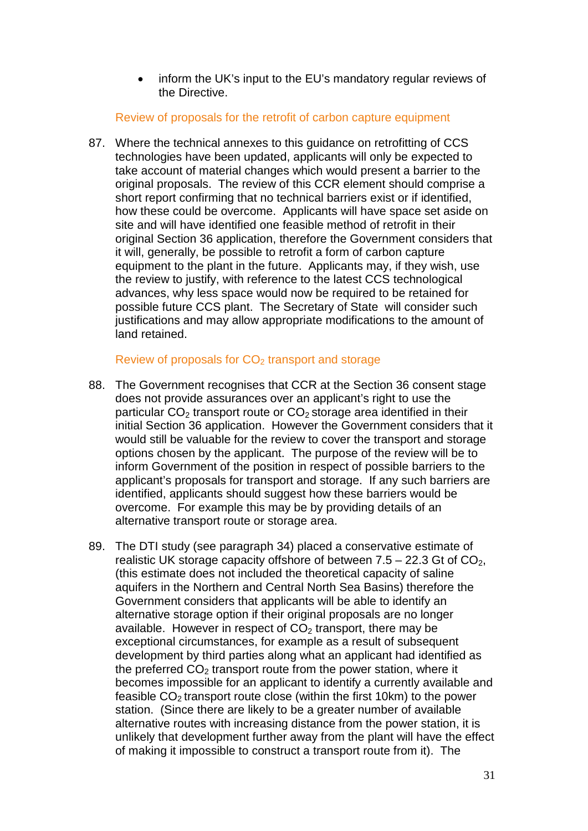• inform the UK's input to the EU's mandatory regular reviews of the Directive.

#### Review of proposals for the retrofit of carbon capture equipment

87. Where the technical annexes to this guidance on retrofitting of CCS technologies have been updated, applicants will only be expected to take account of material changes which would present a barrier to the original proposals. The review of this CCR element should comprise a short report confirming that no technical barriers exist or if identified, how these could be overcome. Applicants will have space set aside on site and will have identified one feasible method of retrofit in their original Section 36 application, therefore the Government considers that it will, generally, be possible to retrofit a form of carbon capture equipment to the plant in the future. Applicants may, if they wish, use the review to justify, with reference to the latest CCS technological advances, why less space would now be required to be retained for possible future CCS plant. The Secretary of State will consider such justifications and may allow appropriate modifications to the amount of land retained.

#### Review of proposals for  $CO<sub>2</sub>$  transport and storage

- 88. The Government recognises that CCR at the Section 36 consent stage does not provide assurances over an applicant's right to use the particular  $CO<sub>2</sub>$  transport route or  $CO<sub>2</sub>$  storage area identified in their initial Section 36 application. However the Government considers that it would still be valuable for the review to cover the transport and storage options chosen by the applicant. The purpose of the review will be to inform Government of the position in respect of possible barriers to the applicant's proposals for transport and storage. If any such barriers are identified, applicants should suggest how these barriers would be overcome. For example this may be by providing details of an alternative transport route or storage area.
- 89. The DTI study (see paragraph 34) placed a conservative estimate of realistic UK storage capacity offshore of between  $7.5 - 22.3$  Gt of  $CO<sub>2</sub>$ , (this estimate does not included the theoretical capacity of saline aquifers in the Northern and Central North Sea Basins) therefore the Government considers that applicants will be able to identify an alternative storage option if their original proposals are no longer available. However in respect of  $CO<sub>2</sub>$  transport, there may be exceptional circumstances, for example as a result of subsequent development by third parties along what an applicant had identified as the preferred  $CO<sub>2</sub>$  transport route from the power station, where it becomes impossible for an applicant to identify a currently available and feasible  $CO<sub>2</sub>$  transport route close (within the first 10km) to the power station. (Since there are likely to be a greater number of available alternative routes with increasing distance from the power station, it is unlikely that development further away from the plant will have the effect of making it impossible to construct a transport route from it). The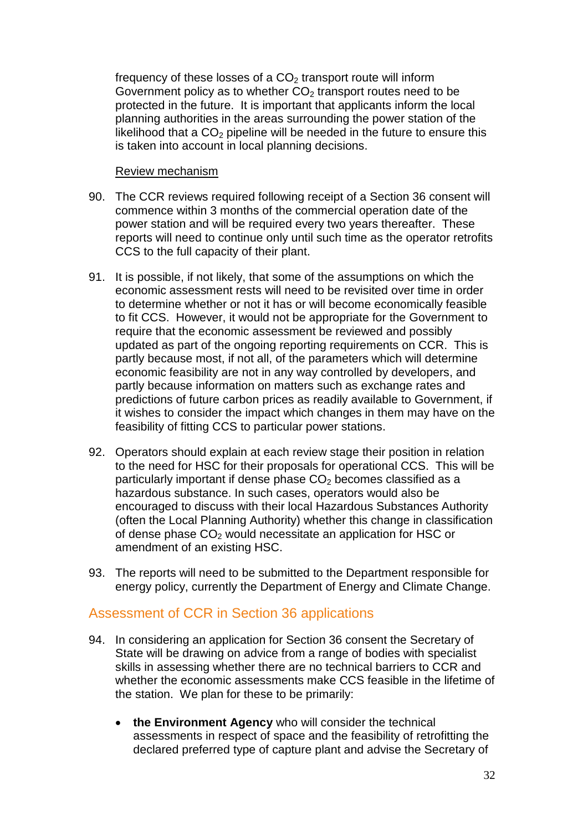frequency of these losses of a  $CO<sub>2</sub>$  transport route will inform Government policy as to whether  $CO<sub>2</sub>$  transport routes need to be protected in the future. It is important that applicants inform the local planning authorities in the areas surrounding the power station of the likelihood that a  $CO<sub>2</sub>$  pipeline will be needed in the future to ensure this is taken into account in local planning decisions.

#### Review mechanism

- 90. The CCR reviews required following receipt of a Section 36 consent will commence within 3 months of the commercial operation date of the power station and will be required every two years thereafter. These reports will need to continue only until such time as the operator retrofits CCS to the full capacity of their plant.
- 91. It is possible, if not likely, that some of the assumptions on which the economic assessment rests will need to be revisited over time in order to determine whether or not it has or will become economically feasible to fit CCS. However, it would not be appropriate for the Government to require that the economic assessment be reviewed and possibly updated as part of the ongoing reporting requirements on CCR. This is partly because most, if not all, of the parameters which will determine economic feasibility are not in any way controlled by developers, and partly because information on matters such as exchange rates and predictions of future carbon prices as readily available to Government, if it wishes to consider the impact which changes in them may have on the feasibility of fitting CCS to particular power stations.
- 92. Operators should explain at each review stage their position in relation to the need for HSC for their proposals for operational CCS. This will be particularly important if dense phase  $CO<sub>2</sub>$  becomes classified as a hazardous substance. In such cases, operators would also be encouraged to discuss with their local Hazardous Substances Authority (often the Local Planning Authority) whether this change in classification of dense phase  $CO<sub>2</sub>$  would necessitate an application for HSC or amendment of an existing HSC.
- 93. The reports will need to be submitted to the Department responsible for energy policy, currently the Department of Energy and Climate Change.

## <span id="page-31-0"></span>Assessment of CCR in Section 36 applications

- 94. In considering an application for Section 36 consent the Secretary of State will be drawing on advice from a range of bodies with specialist skills in assessing whether there are no technical barriers to CCR and whether the economic assessments make CCS feasible in the lifetime of the station. We plan for these to be primarily:
	- **the Environment Agency** who will consider the technical assessments in respect of space and the feasibility of retrofitting the declared preferred type of capture plant and advise the Secretary of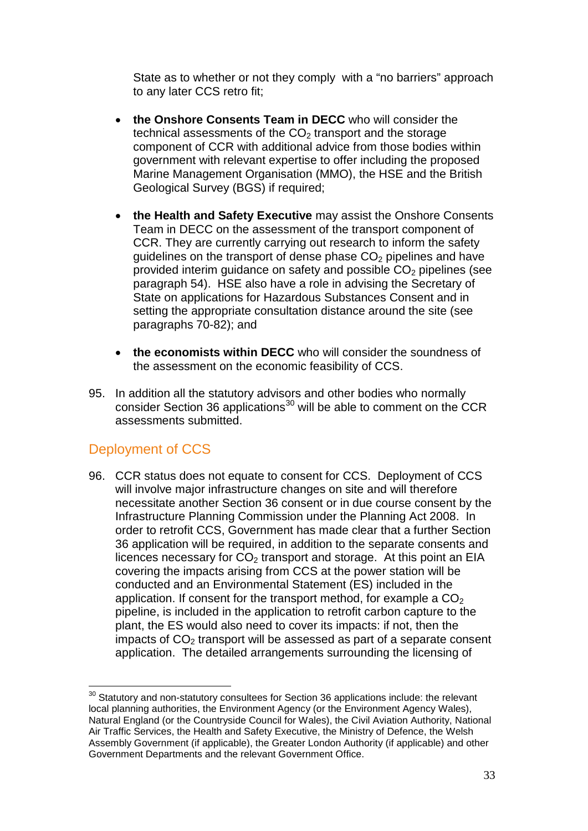State as to whether or not they comply with a "no barriers" approach to any later CCS retro fit;

- **the Onshore Consents Team in DECC** who will consider the technical assessments of the  $CO<sub>2</sub>$  transport and the storage component of CCR with additional advice from those bodies within government with relevant expertise to offer including the proposed Marine Management Organisation (MMO), the HSE and the British Geological Survey (BGS) if required;
- **the Health and Safety Executive** may assist the Onshore Consents Team in DECC on the assessment of the transport component of CCR. They are currently carrying out research to inform the safety quidelines on the transport of dense phase  $CO<sub>2</sub>$  pipelines and have provided interim guidance on safety and possible  $CO<sub>2</sub>$  pipelines (see paragraph 54). HSE also have a role in advising the Secretary of State on applications for Hazardous Substances Consent and in setting the appropriate consultation distance around the site (see paragraphs [70](#page-26-1)[-82\)](#page-28-0); and
- **the economists within DECC** who will consider the soundness of the assessment on the economic feasibility of CCS.
- 95. In addition all the statutory advisors and other bodies who normally consider Section 36 applications $30$  will be able to comment on the CCR assessments submitted.

## <span id="page-32-0"></span>Deployment of CCS

<span id="page-32-1"></span>96. CCR status does not equate to consent for CCS. Deployment of CCS will involve major infrastructure changes on site and will therefore necessitate another Section 36 consent or in due course consent by the Infrastructure Planning Commission under the Planning Act 2008. In order to retrofit CCS, Government has made clear that a further Section 36 application will be required, in addition to the separate consents and licences necessary for  $CO<sub>2</sub>$  transport and storage. At this point an EIA covering the impacts arising from CCS at the power station will be conducted and an Environmental Statement (ES) included in the application. If consent for the transport method, for example a  $CO<sub>2</sub>$ pipeline, is included in the application to retrofit carbon capture to the plant, the ES would also need to cover its impacts: if not, then the impacts of  $CO<sub>2</sub>$  transport will be assessed as part of a separate consent application. The detailed arrangements surrounding the licensing of

<span id="page-32-2"></span> $30$  Statutory and non-statutory consultees for Section 36 applications include: the relevant local planning authorities, the Environment Agency (or the Environment Agency Wales), Natural England (or the Countryside Council for Wales), the Civil Aviation Authority, National Air Traffic Services, the Health and Safety Executive, the Ministry of Defence, the Welsh Assembly Government (if applicable), the Greater London Authority (if applicable) and other Government Departments and the relevant Government Office.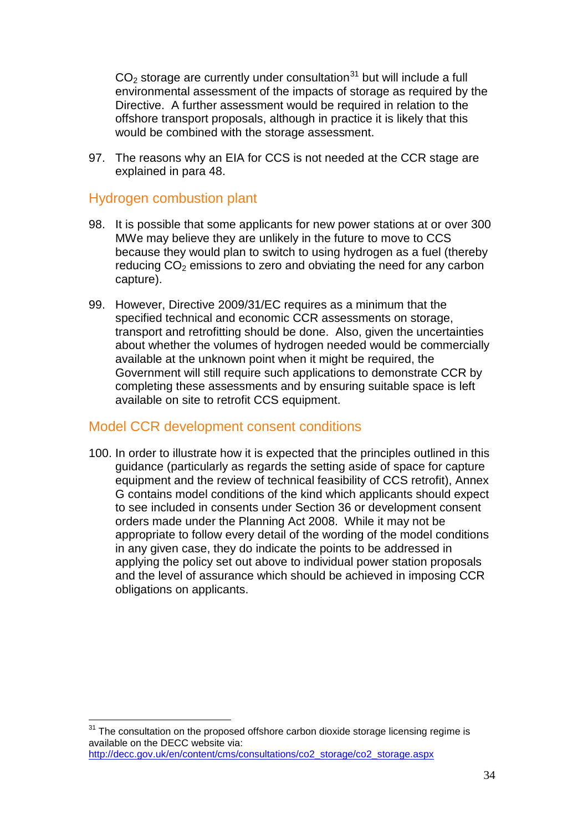$CO<sub>2</sub>$  storage are currently under consultation<sup>[31](#page-33-1)</sup> but will include a full environmental assessment of the impacts of storage as required by the Directive. A further assessment would be required in relation to the offshore transport proposals, although in practice it is likely that this would be combined with the storage assessment.

97. The reasons why an EIA for CCS is not needed at the CCR stage are explained in para [48.](#page-18-2)

### <span id="page-33-0"></span>Hydrogen combustion plant

- 98. It is possible that some applicants for new power stations at or over 300 MWe may believe they are unlikely in the future to move to CCS because they would plan to switch to using hydrogen as a fuel (thereby reducing  $CO<sub>2</sub>$  emissions to zero and obviating the need for any carbon capture).
- 99. However, Directive 2009/31/EC requires as a minimum that the specified technical and economic CCR assessments on storage, transport and retrofitting should be done. Also, given the uncertainties about whether the volumes of hydrogen needed would be commercially available at the unknown point when it might be required, the Government will still require such applications to demonstrate CCR by completing these assessments and by ensuring suitable space is left available on site to retrofit CCS equipment.

### Model CCR development consent conditions

100. In order to illustrate how it is expected that the principles outlined in this guidance (particularly as regards the setting aside of space for capture equipment and the review of technical feasibility of CCS retrofit), Annex G contains model conditions of the kind which applicants should expect to see included in consents under Section 36 or development consent orders made under the Planning Act 2008. While it may not be appropriate to follow every detail of the wording of the model conditions in any given case, they do indicate the points to be addressed in applying the policy set out above to individual power station proposals and the level of assurance which should be achieved in imposing CCR obligations on applicants.

<span id="page-33-1"></span> $31$  The consultation on the proposed offshore carbon dioxide storage licensing regime is available on the DECC website via: [http://decc.gov.uk/en/content/cms/consultations/co2\\_storage/co2\\_storage.aspx](http://decc.gov.uk/en/content/cms/consultations/co2_storage/co2_storage.aspx)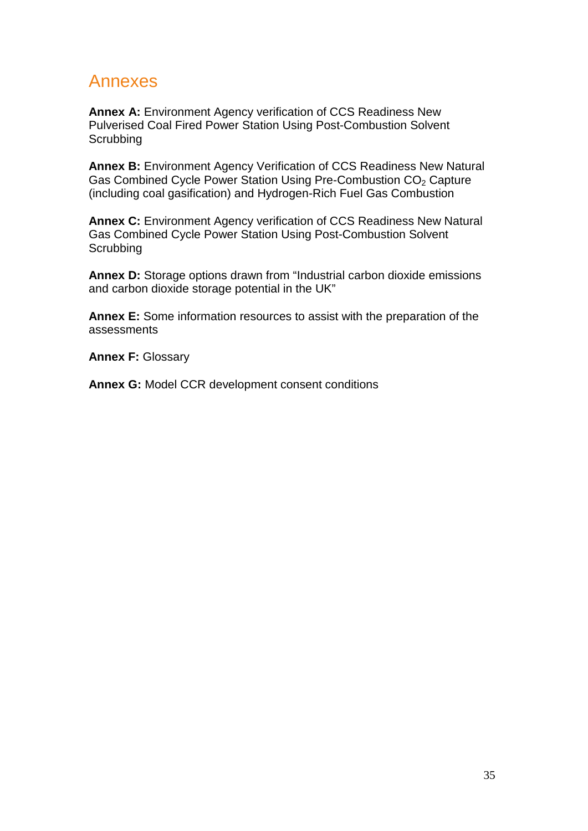## Annexes

**Annex A:** Environment Agency verification of CCS Readiness New Pulverised Coal Fired Power Station Using Post-Combustion Solvent **Scrubbing** 

**Annex B:** Environment Agency Verification of CCS Readiness New Natural Gas Combined Cycle Power Station Using Pre-Combustion CO<sub>2</sub> Capture (including coal gasification) and Hydrogen-Rich Fuel Gas Combustion

**Annex C:** Environment Agency verification of CCS Readiness New Natural Gas Combined Cycle Power Station Using Post-Combustion Solvent **Scrubbing** 

**Annex D:** Storage options drawn from "Industrial carbon dioxide emissions and carbon dioxide storage potential in the UK"

**Annex E:** Some information resources to assist with the preparation of the assessments

**Annex F: Glossary** 

**Annex G:** Model CCR development consent conditions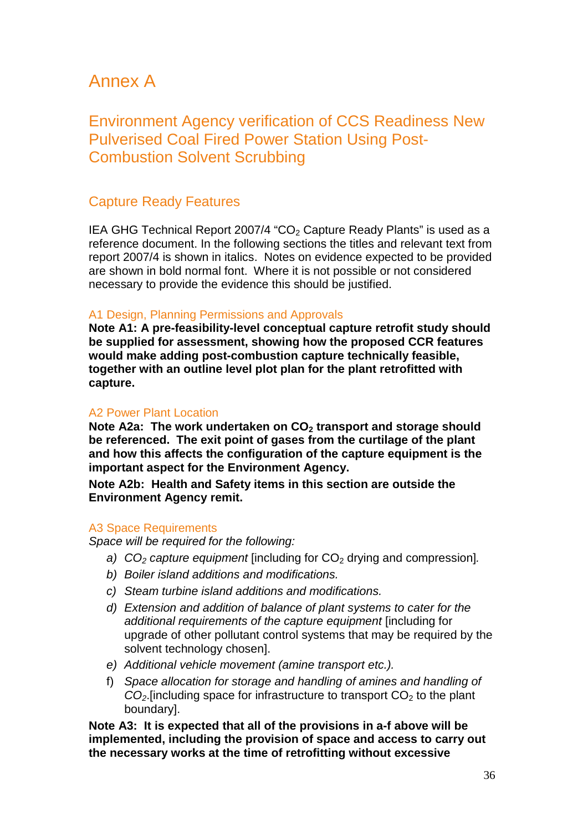## Annex A

## Environment Agency verification of CCS Readiness New Pulverised Coal Fired Power Station Using Post-Combustion Solvent Scrubbing

## Capture Ready Features

IEA GHG Technical Report 2007/4 "CO<sub>2</sub> Capture Ready Plants" is used as a reference document. In the following sections the titles and relevant text from report 2007/4 is shown in italics. Notes on evidence expected to be provided are shown in bold normal font. Where it is not possible or not considered necessary to provide the evidence this should be justified.

#### A1 Design, Planning Permissions and Approvals

**Note A1: A pre-feasibility-level conceptual capture retrofit study should be supplied for assessment, showing how the proposed CCR features would make adding post-combustion capture technically feasible, together with an outline level plot plan for the plant retrofitted with capture.** 

#### A2 Power Plant Location

Note A2a: The work undertaken on CO<sub>2</sub> transport and storage should **be referenced. The exit point of gases from the curtilage of the plant and how this affects the configuration of the capture equipment is the important aspect for the Environment Agency.**

**Note A2b: Health and Safety items in this section are outside the Environment Agency remit.**

#### A3 Space Requirements

*Space will be required for the following:* 

- *a)*  $CO<sub>2</sub>$  *capture equipment* [including for  $CO<sub>2</sub>$  drying and compression].
- *b) Boiler island additions and modifications.*
- *c) Steam turbine island additions and modifications.*
- *d) Extension and addition of balance of plant systems to cater for the additional requirements of the capture equipment* [including for upgrade of other pollutant control systems that may be required by the solvent technology chosen].
- *e) Additional vehicle movement (amine transport etc.).*
- f) *Space allocation for storage and handling of amines and handling of*   $CO<sub>2</sub>$ . [including space for infrastructure to transport  $CO<sub>2</sub>$  to the plant boundary].

**Note A3: It is expected that all of the provisions in a-f above will be implemented, including the provision of space and access to carry out the necessary works at the time of retrofitting without excessive**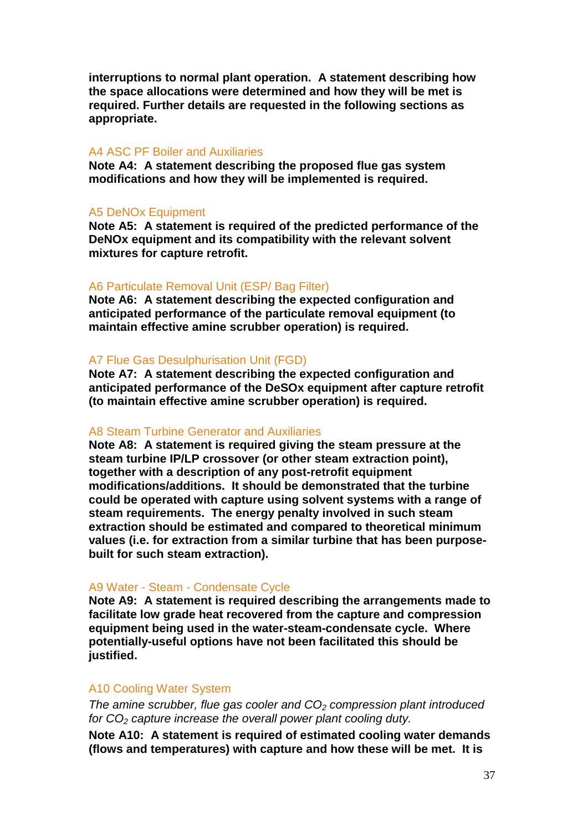**interruptions to normal plant operation. A statement describing how the space allocations were determined and how they will be met is required. Further details are requested in the following sections as appropriate.** 

#### A4 ASC PF Boiler and Auxiliaries

**Note A4: A statement describing the proposed flue gas system modifications and how they will be implemented is required.** 

#### A5 DeNOx Equipment

**Note A5: A statement is required of the predicted performance of the DeNOx equipment and its compatibility with the relevant solvent mixtures for capture retrofit.**

#### A6 Particulate Removal Unit (ESP/ Bag Filter)

**Note A6: A statement describing the expected configuration and anticipated performance of the particulate removal equipment (to maintain effective amine scrubber operation) is required.**

#### A7 Flue Gas Desulphurisation Unit (FGD)

**Note A7: A statement describing the expected configuration and anticipated performance of the DeSOx equipment after capture retrofit (to maintain effective amine scrubber operation) is required.**

#### A8 Steam Turbine Generator and Auxiliaries

**Note A8: A statement is required giving the steam pressure at the steam turbine IP/LP crossover (or other steam extraction point), together with a description of any post-retrofit equipment modifications/additions. It should be demonstrated that the turbine could be operated with capture using solvent systems with a range of steam requirements. The energy penalty involved in such steam extraction should be estimated and compared to theoretical minimum values (i.e. for extraction from a similar turbine that has been purposebuilt for such steam extraction).**

#### A9 Water - Steam - Condensate Cycle

**Note A9: A statement is required describing the arrangements made to facilitate low grade heat recovered from the capture and compression equipment being used in the water-steam-condensate cycle. Where potentially-useful options have not been facilitated this should be justified.**

#### A10 Cooling Water System

*The amine scrubber, flue gas cooler and CO2 compression plant introduced for CO2 capture increase the overall power plant cooling duty.* 

**Note A10: A statement is required of estimated cooling water demands (flows and temperatures) with capture and how these will be met. It is**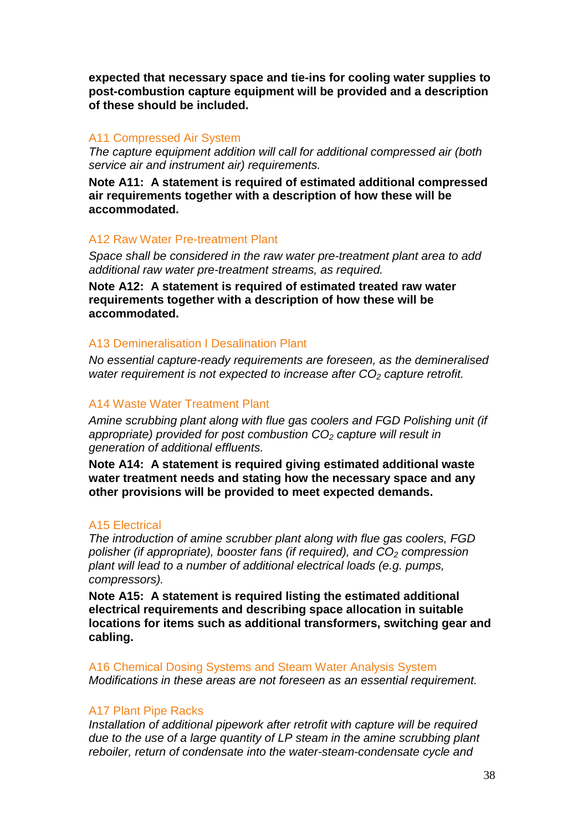**expected that necessary space and tie-ins for cooling water supplies to post-combustion capture equipment will be provided and a description of these should be included.** 

#### A11 Compressed Air System

*The capture equipment addition will call for additional compressed air (both service air and instrument air) requirements.*

**Note A11: A statement is required of estimated additional compressed air requirements together with a description of how these will be accommodated.**

#### A12 Raw Water Pre-treatment Plant

*Space shall be considered in the raw water pre-treatment plant area to add additional raw water pre-treatment streams, as required.* 

**Note A12: A statement is required of estimated treated raw water requirements together with a description of how these will be accommodated.**

#### A13 Demineralisation I Desalination Plant

*No essential capture-ready requirements are foreseen, as the demineralised water requirement is not expected to increase after CO<sub>2</sub> capture retrofit.* 

#### A14 Waste Water Treatment Plant

*Amine scrubbing plant along with flue gas coolers and FGD Polishing unit (if appropriate) provided for post combustion CO2 capture will result in generation of additional effluents.* 

**Note A14: A statement is required giving estimated additional waste water treatment needs and stating how the necessary space and any other provisions will be provided to meet expected demands.**

#### A15 Electrical

*The introduction of amine scrubber plant along with flue gas coolers, FGD polisher (if appropriate), booster fans (if required), and CO<sub>2</sub> compression plant will lead to a number of additional electrical loads (e.g. pumps, compressors).*

**Note A15: A statement is required listing the estimated additional electrical requirements and describing space allocation in suitable locations for items such as additional transformers, switching gear and cabling.**

A16 Chemical Dosing Systems and Steam Water Analysis System *Modifications in these areas are not foreseen as an essential requirement.*

#### A17 Plant Pipe Racks

*Installation of additional pipework after retrofit with capture will be required due to the use of a large quantity of LP steam in the amine scrubbing plant reboiler, return of condensate into the water-steam-condensate cycle and*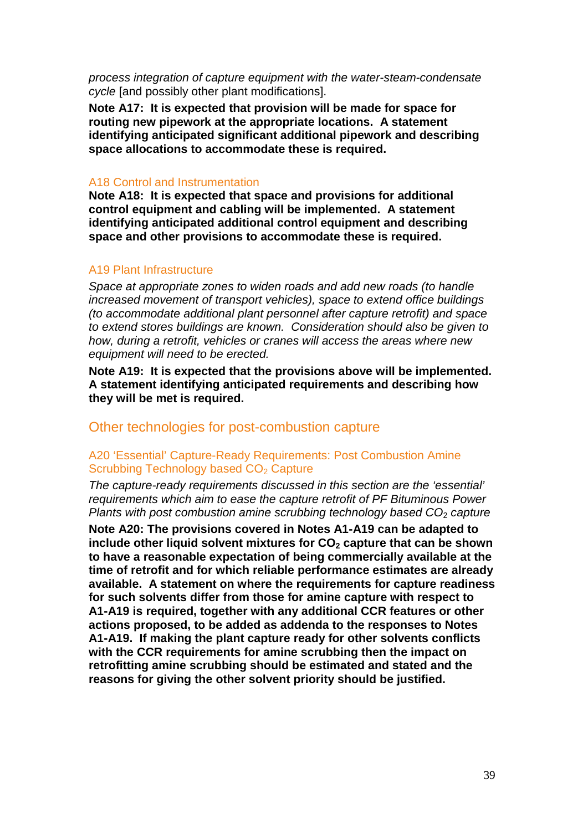*process integration of capture equipment with the water-steam-condensate cycle* [and possibly other plant modifications].

**Note A17: It is expected that provision will be made for space for routing new pipework at the appropriate locations. A statement identifying anticipated significant additional pipework and describing space allocations to accommodate these is required.** 

#### A18 Control and Instrumentation

**Note A18: It is expected that space and provisions for additional control equipment and cabling will be implemented. A statement identifying anticipated additional control equipment and describing space and other provisions to accommodate these is required.**

#### A19 Plant Infrastructure

*Space at appropriate zones to widen roads and add new roads (to handle increased movement of transport vehicles), space to extend office buildings (to accommodate additional plant personnel after capture retrofit) and space to extend stores buildings are known. Consideration should also be given to how, during a retrofit, vehicles or cranes will access the areas where new equipment will need to be erected.*

**Note A19: It is expected that the provisions above will be implemented. A statement identifying anticipated requirements and describing how they will be met is required.**

#### Other technologies for post-combustion capture

#### A20 'Essential' Capture-Ready Requirements: Post Combustion Amine Scrubbing Technology based CO<sub>2</sub> Capture

*The capture-ready requirements discussed in this section are the 'essential' requirements which aim to ease the capture retrofit of PF Bituminous Power Plants with post combustion amine scrubbing technology based CO<sub>2</sub> capture* 

**Note A20: The provisions covered in Notes A1-A19 can be adapted to include other liquid solvent mixtures for CO<sub>2</sub> capture that can be shown to have a reasonable expectation of being commercially available at the time of retrofit and for which reliable performance estimates are already available. A statement on where the requirements for capture readiness for such solvents differ from those for amine capture with respect to A1-A19 is required, together with any additional CCR features or other actions proposed, to be added as addenda to the responses to Notes A1-A19. If making the plant capture ready for other solvents conflicts with the CCR requirements for amine scrubbing then the impact on retrofitting amine scrubbing should be estimated and stated and the reasons for giving the other solvent priority should be justified.**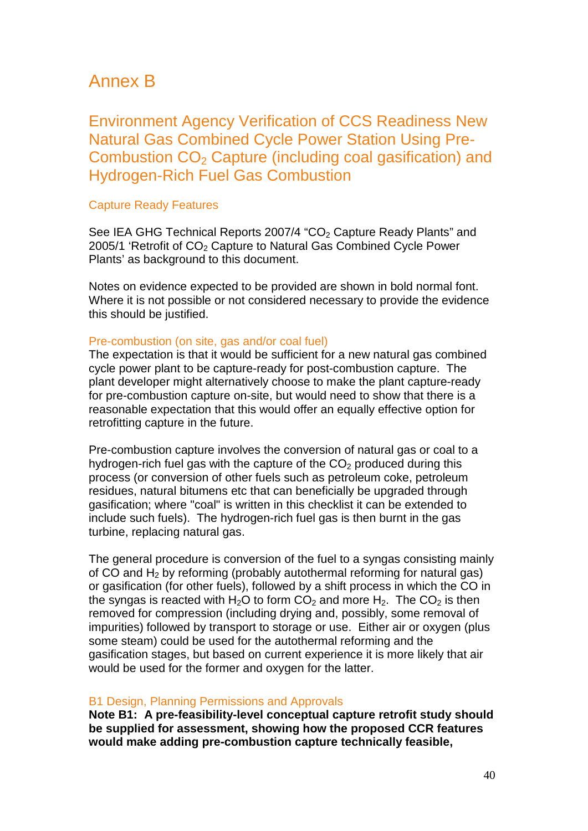## Annex B

Environment Agency Verification of CCS Readiness New Natural Gas Combined Cycle Power Station Using Pre-Combustion  $CO<sub>2</sub>$  Capture (including coal gasification) and Hydrogen-Rich Fuel Gas Combustion

#### Capture Ready Features

See IEA GHG Technical Reports 2007/4 "CO<sub>2</sub> Capture Ready Plants" and 2005/1 'Retrofit of CO<sub>2</sub> Capture to Natural Gas Combined Cycle Power Plants' as background to this document.

Notes on evidence expected to be provided are shown in bold normal font. Where it is not possible or not considered necessary to provide the evidence this should be justified.

#### Pre-combustion (on site, gas and/or coal fuel)

The expectation is that it would be sufficient for a new natural gas combined cycle power plant to be capture-ready for post-combustion capture. The plant developer might alternatively choose to make the plant capture-ready for pre-combustion capture on-site, but would need to show that there is a reasonable expectation that this would offer an equally effective option for retrofitting capture in the future.

Pre-combustion capture involves the conversion of natural gas or coal to a hydrogen-rich fuel gas with the capture of the  $CO<sub>2</sub>$  produced during this process (or conversion of other fuels such as petroleum coke, petroleum residues, natural bitumens etc that can beneficially be upgraded through gasification; where "coal" is written in this checklist it can be extended to include such fuels). The hydrogen-rich fuel gas is then burnt in the gas turbine, replacing natural gas.

The general procedure is conversion of the fuel to a syngas consisting mainly of CO and  $H_2$  by reforming (probably autothermal reforming for natural gas) or gasification (for other fuels), followed by a shift process in which the CO in the syngas is reacted with H<sub>2</sub>O to form  $CO<sub>2</sub>$  and more H<sub>2</sub>. The  $CO<sub>2</sub>$  is then removed for compression (including drying and, possibly, some removal of impurities) followed by transport to storage or use. Either air or oxygen (plus some steam) could be used for the autothermal reforming and the gasification stages, but based on current experience it is more likely that air would be used for the former and oxygen for the latter.

#### B1 Design, Planning Permissions and Approvals

**Note B1: A pre-feasibility-level conceptual capture retrofit study should be supplied for assessment, showing how the proposed CCR features would make adding pre-combustion capture technically feasible,**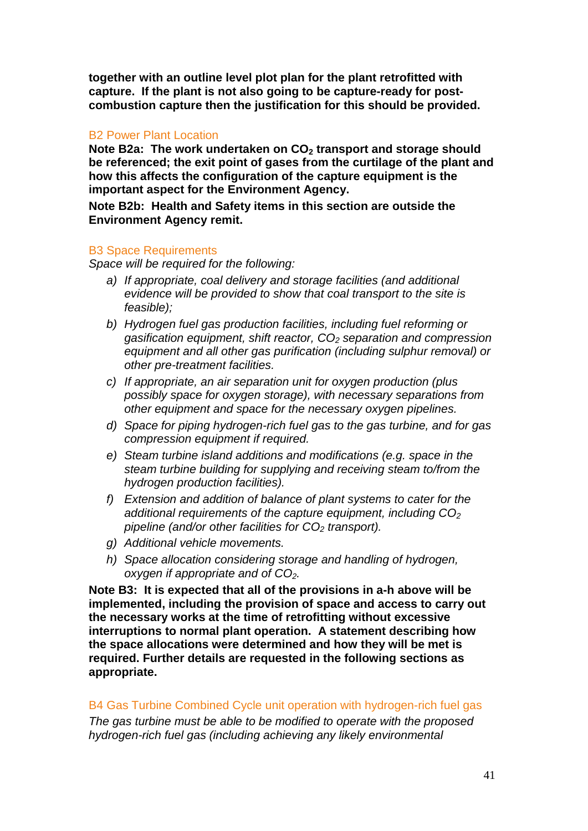**together with an outline level plot plan for the plant retrofitted with capture. If the plant is not also going to be capture-ready for postcombustion capture then the justification for this should be provided.**

#### B2 Power Plant Location

Note B2a: The work undertaken on CO<sub>2</sub> transport and storage should **be referenced; the exit point of gases from the curtilage of the plant and how this affects the configuration of the capture equipment is the important aspect for the Environment Agency.**

**Note B2b: Health and Safety items in this section are outside the Environment Agency remit.**

#### B3 Space Requirements

*Space will be required for the following:* 

- *a) If appropriate, coal delivery and storage facilities (and additional evidence will be provided to show that coal transport to the site is feasible);*
- *b) Hydrogen fuel gas production facilities, including fuel reforming or gasification equipment, shift reactor, CO2 separation and compression equipment and all other gas purification (including sulphur removal) or other pre-treatment facilities.*
- *c) If appropriate, an air separation unit for oxygen production (plus possibly space for oxygen storage), with necessary separations from other equipment and space for the necessary oxygen pipelines.*
- *d) Space for piping hydrogen-rich fuel gas to the gas turbine, and for gas compression equipment if required.*
- *e) Steam turbine island additions and modifications (e.g. space in the steam turbine building for supplying and receiving steam to/from the hydrogen production facilities).*
- *f) Extension and addition of balance of plant systems to cater for the*  additional requirements of the capture equipment, including CO<sub>2</sub> *pipeline (and/or other facilities for CO2 transport).*
- *g) Additional vehicle movements.*
- *h) Space allocation considering storage and handling of hydrogen, oxygen if appropriate and of CO2.*

**Note B3: It is expected that all of the provisions in a-h above will be implemented, including the provision of space and access to carry out the necessary works at the time of retrofitting without excessive interruptions to normal plant operation. A statement describing how the space allocations were determined and how they will be met is required. Further details are requested in the following sections as appropriate.** 

#### B4 Gas Turbine Combined Cycle unit operation with hydrogen-rich fuel gas

*The gas turbine must be able to be modified to operate with the proposed hydrogen-rich fuel gas (including achieving any likely environmental*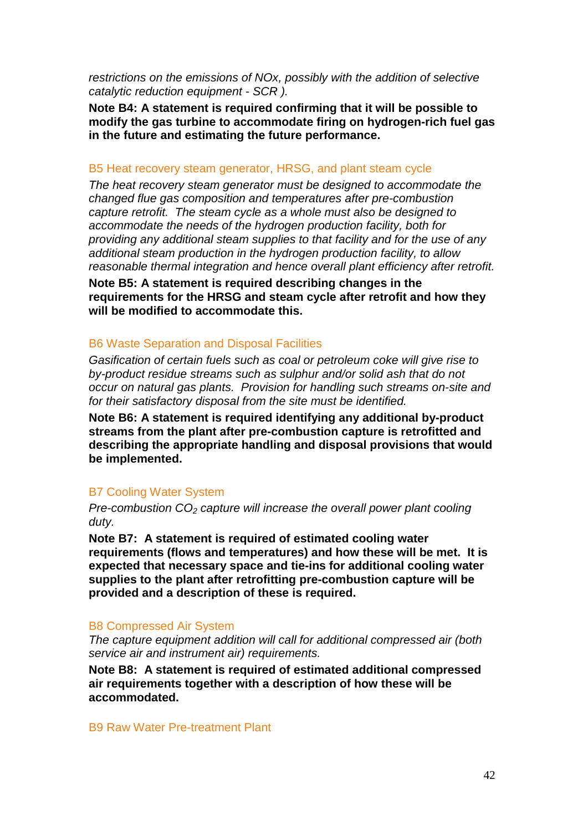*restrictions on the emissions of NOx, possibly with the addition of selective catalytic reduction equipment - SCR ).* 

**Note B4: A statement is required confirming that it will be possible to modify the gas turbine to accommodate firing on hydrogen-rich fuel gas in the future and estimating the future performance.**

#### B5 Heat recovery steam generator, HRSG, and plant steam cycle

*The heat recovery steam generator must be designed to accommodate the changed flue gas composition and temperatures after pre-combustion capture retrofit. The steam cycle as a whole must also be designed to accommodate the needs of the hydrogen production facility, both for providing any additional steam supplies to that facility and for the use of any additional steam production in the hydrogen production facility, to allow reasonable thermal integration and hence overall plant efficiency after retrofit.*

**Note B5: A statement is required describing changes in the requirements for the HRSG and steam cycle after retrofit and how they will be modified to accommodate this.** 

#### B6 Waste Separation and Disposal Facilities

*Gasification of certain fuels such as coal or petroleum coke will give rise to by-product residue streams such as sulphur and/or solid ash that do not occur on natural gas plants. Provision for handling such streams on-site and for their satisfactory disposal from the site must be identified.*

**Note B6: A statement is required identifying any additional by-product streams from the plant after pre-combustion capture is retrofitted and describing the appropriate handling and disposal provisions that would be implemented.**

#### B7 Cooling Water System

*Pre-combustion CO<sub>2</sub> capture will increase the overall power plant cooling duty.* 

**Note B7: A statement is required of estimated cooling water requirements (flows and temperatures) and how these will be met. It is expected that necessary space and tie-ins for additional cooling water supplies to the plant after retrofitting pre-combustion capture will be provided and a description of these is required.** 

#### B8 Compressed Air System

*The capture equipment addition will call for additional compressed air (both service air and instrument air) requirements.*

**Note B8: A statement is required of estimated additional compressed air requirements together with a description of how these will be accommodated.**

#### B9 Raw Water Pre-treatment Plant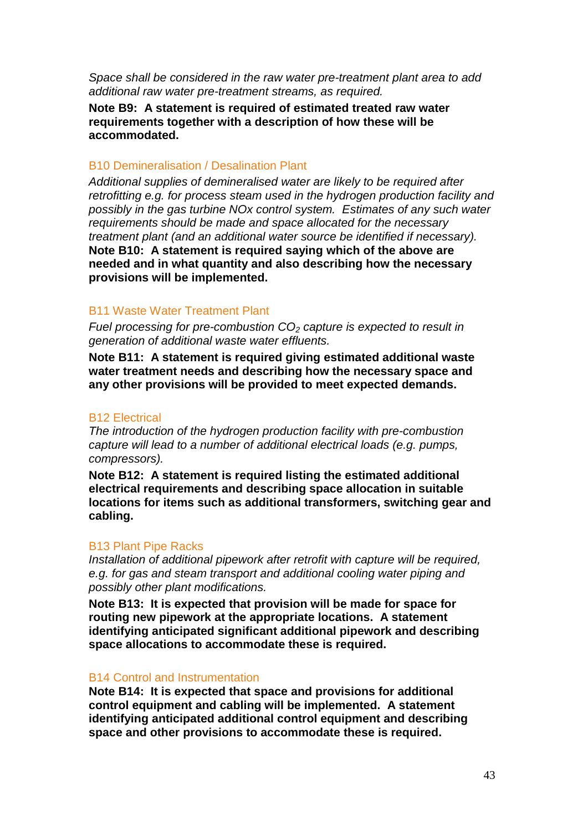*Space shall be considered in the raw water pre-treatment plant area to add additional raw water pre-treatment streams, as required.* 

**Note B9: A statement is required of estimated treated raw water requirements together with a description of how these will be accommodated.**

#### B10 Demineralisation / Desalination Plant

*Additional supplies of demineralised water are likely to be required after retrofitting e.g. for process steam used in the hydrogen production facility and possibly in the gas turbine NOx control system. Estimates of any such water requirements should be made and space allocated for the necessary treatment plant (and an additional water source be identified if necessary).*  **Note B10: A statement is required saying which of the above are needed and in what quantity and also describing how the necessary provisions will be implemented.** 

#### B11 Waste Water Treatment Plant

*Fuel processing for pre-combustion CO2 capture is expected to result in generation of additional waste water effluents.* 

**Note B11: A statement is required giving estimated additional waste water treatment needs and describing how the necessary space and any other provisions will be provided to meet expected demands.**

#### B12 Electrical

*The introduction of the hydrogen production facility with pre-combustion capture will lead to a number of additional electrical loads (e.g. pumps, compressors).*

**Note B12: A statement is required listing the estimated additional electrical requirements and describing space allocation in suitable locations for items such as additional transformers, switching gear and cabling.** 

#### B13 Plant Pipe Racks

*Installation of additional pipework after retrofit with capture will be required, e.g. for gas and steam transport and additional cooling water piping and possibly other plant modifications.*

**Note B13: It is expected that provision will be made for space for routing new pipework at the appropriate locations. A statement identifying anticipated significant additional pipework and describing space allocations to accommodate these is required.** 

#### B14 Control and Instrumentation

**Note B14: It is expected that space and provisions for additional control equipment and cabling will be implemented. A statement identifying anticipated additional control equipment and describing space and other provisions to accommodate these is required.**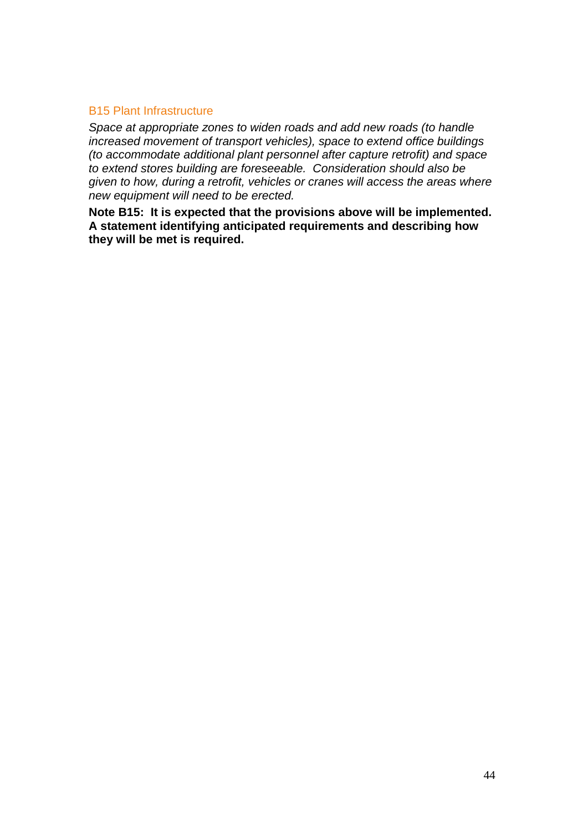#### B15 Plant Infrastructure

*Space at appropriate zones to widen roads and add new roads (to handle increased movement of transport vehicles), space to extend office buildings (to accommodate additional plant personnel after capture retrofit) and space to extend stores building are foreseeable. Consideration should also be given to how, during a retrofit, vehicles or cranes will access the areas where new equipment will need to be erected.*

**Note B15: It is expected that the provisions above will be implemented. A statement identifying anticipated requirements and describing how they will be met is required.**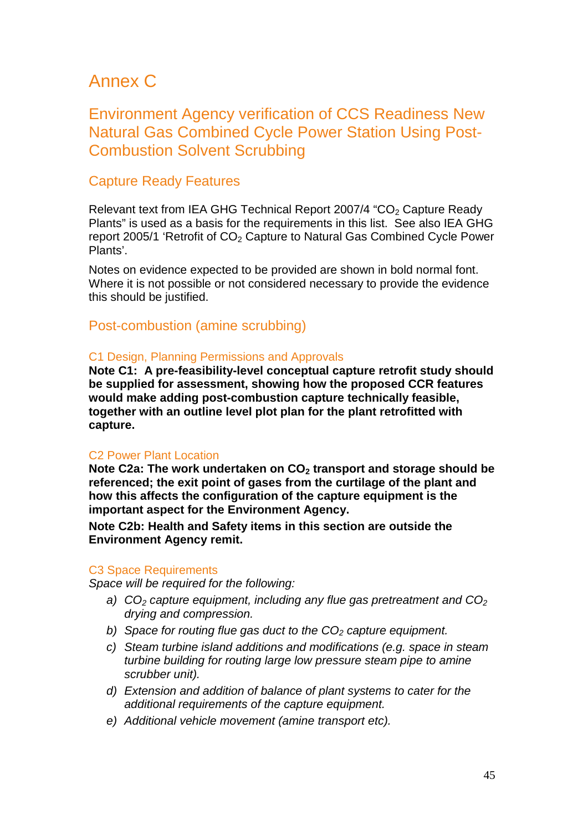## Annex C

## Environment Agency verification of CCS Readiness New Natural Gas Combined Cycle Power Station Using Post-Combustion Solvent Scrubbing

## Capture Ready Features

Relevant text from IEA GHG Technical Report 2007/4 "CO<sub>2</sub> Capture Ready Plants" is used as a basis for the requirements in this list. See also IEA GHG report 2005/1 'Retrofit of  $CO<sub>2</sub>$  Capture to Natural Gas Combined Cycle Power Plants'.

Notes on evidence expected to be provided are shown in bold normal font. Where it is not possible or not considered necessary to provide the evidence this should be justified.

### Post-combustion (amine scrubbing)

#### C1 Design, Planning Permissions and Approvals

**Note C1: A pre-feasibility-level conceptual capture retrofit study should be supplied for assessment, showing how the proposed CCR features would make adding post-combustion capture technically feasible, together with an outline level plot plan for the plant retrofitted with capture.** 

#### C2 Power Plant Location

Note C2a: The work undertaken on CO<sub>2</sub> transport and storage should be **referenced; the exit point of gases from the curtilage of the plant and how this affects the configuration of the capture equipment is the important aspect for the Environment Agency.**

**Note C2b: Health and Safety items in this section are outside the Environment Agency remit.**

#### C3 Space Requirements

*Space will be required for the following:* 

- *a) CO2 capture equipment, including any flue gas pretreatment and CO2 drying and compression.*
- *b)* Space for routing flue gas duct to the CO<sub>2</sub> capture equipment.
- *c) Steam turbine island additions and modifications (e.g. space in steam turbine building for routing large low pressure steam pipe to amine scrubber unit).*
- *d) Extension and addition of balance of plant systems to cater for the additional requirements of the capture equipment.*
- *e) Additional vehicle movement (amine transport etc).*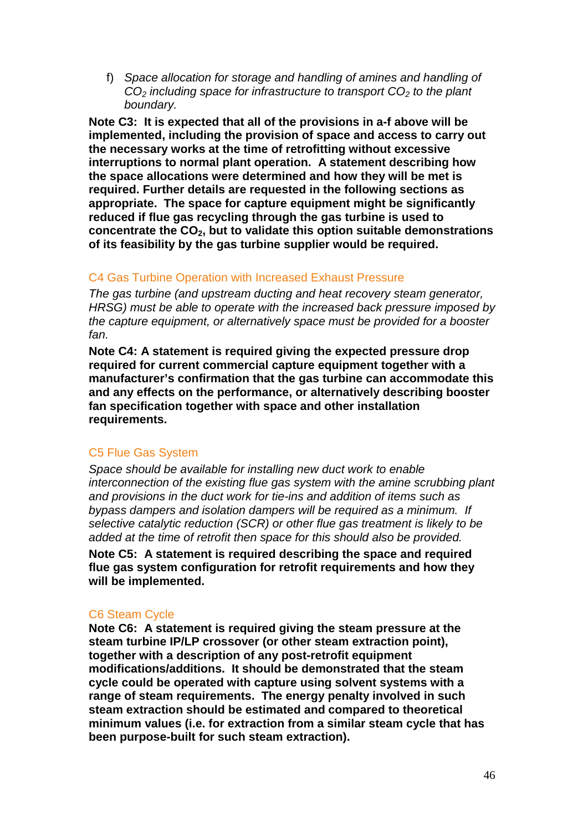f) *Space allocation for storage and handling of amines and handling of CO2 including space for infrastructure to transport CO2 to the plant boundary.*

**Note C3: It is expected that all of the provisions in a-f above will be implemented, including the provision of space and access to carry out the necessary works at the time of retrofitting without excessive interruptions to normal plant operation. A statement describing how the space allocations were determined and how they will be met is required. Further details are requested in the following sections as appropriate. The space for capture equipment might be significantly reduced if flue gas recycling through the gas turbine is used to concentrate the CO2, but to validate this option suitable demonstrations of its feasibility by the gas turbine supplier would be required.**

#### C4 Gas Turbine Operation with Increased Exhaust Pressure

*The gas turbine (and upstream ducting and heat recovery steam generator, HRSG) must be able to operate with the increased back pressure imposed by the capture equipment, or alternatively space must be provided for a booster fan.* 

**Note C4: A statement is required giving the expected pressure drop required for current commercial capture equipment together with a manufacturer's confirmation that the gas turbine can accommodate this and any effects on the performance, or alternatively describing booster fan specification together with space and other installation requirements.**

### C5 Flue Gas System

*Space should be available for installing new duct work to enable interconnection of the existing flue gas system with the amine scrubbing plant and provisions in the duct work for tie-ins and addition of items such as bypass dampers and isolation dampers will be required as a minimum. If selective catalytic reduction (SCR) or other flue gas treatment is likely to be added at the time of retrofit then space for this should also be provided.*

**Note C5: A statement is required describing the space and required flue gas system configuration for retrofit requirements and how they will be implemented.** 

### C6 Steam Cycle

**Note C6: A statement is required giving the steam pressure at the steam turbine IP/LP crossover (or other steam extraction point), together with a description of any post-retrofit equipment modifications/additions. It should be demonstrated that the steam cycle could be operated with capture using solvent systems with a range of steam requirements. The energy penalty involved in such steam extraction should be estimated and compared to theoretical minimum values (i.e. for extraction from a similar steam cycle that has been purpose-built for such steam extraction).**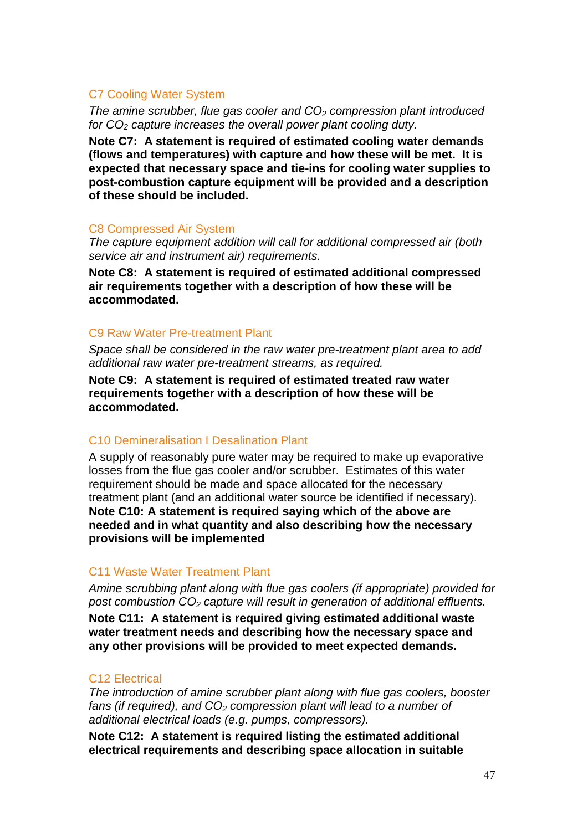#### C7 Cooling Water System

*The amine scrubber, flue gas cooler and CO2 compression plant introduced for CO2 capture increases the overall power plant cooling duty.* 

**Note C7: A statement is required of estimated cooling water demands (flows and temperatures) with capture and how these will be met. It is expected that necessary space and tie-ins for cooling water supplies to post-combustion capture equipment will be provided and a description of these should be included.** 

#### C8 Compressed Air System

*The capture equipment addition will call for additional compressed air (both service air and instrument air) requirements.*

**Note C8: A statement is required of estimated additional compressed air requirements together with a description of how these will be accommodated.**

#### C9 Raw Water Pre-treatment Plant

*Space shall be considered in the raw water pre-treatment plant area to add additional raw water pre-treatment streams, as required.* 

**Note C9: A statement is required of estimated treated raw water requirements together with a description of how these will be accommodated.**

### C10 Demineralisation I Desalination Plant

A supply of reasonably pure water may be required to make up evaporative losses from the flue gas cooler and/or scrubber. Estimates of this water requirement should be made and space allocated for the necessary treatment plant (and an additional water source be identified if necessary). **Note C10: A statement is required saying which of the above are needed and in what quantity and also describing how the necessary provisions will be implemented**

#### C11 Waste Water Treatment Plant

*Amine scrubbing plant along with flue gas coolers (if appropriate) provided for post combustion CO2 capture will result in generation of additional effluents.* 

**Note C11: A statement is required giving estimated additional waste water treatment needs and describing how the necessary space and any other provisions will be provided to meet expected demands.**

#### C12 Electrical

*The introduction of amine scrubber plant along with flue gas coolers, booster*  fans (if required), and CO<sub>2</sub> compression plant will lead to a number of *additional electrical loads (e.g. pumps, compressors).*

**Note C12: A statement is required listing the estimated additional electrical requirements and describing space allocation in suitable**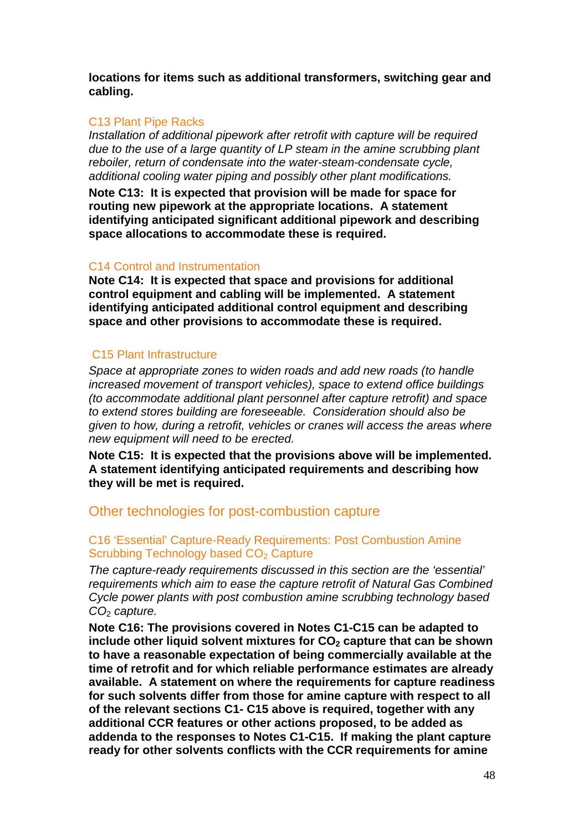**locations for items such as additional transformers, switching gear and cabling.**

#### C13 Plant Pipe Racks

*Installation of additional pipework after retrofit with capture will be required due to the use of a large quantity of LP steam in the amine scrubbing plant reboiler, return of condensate into the water-steam-condensate cycle, additional cooling water piping and possibly other plant modifications.*

**Note C13: It is expected that provision will be made for space for routing new pipework at the appropriate locations. A statement identifying anticipated significant additional pipework and describing space allocations to accommodate these is required.** 

#### C14 Control and Instrumentation

**Note C14: It is expected that space and provisions for additional control equipment and cabling will be implemented. A statement identifying anticipated additional control equipment and describing space and other provisions to accommodate these is required.** 

#### C15 Plant Infrastructure

*Space at appropriate zones to widen roads and add new roads (to handle increased movement of transport vehicles), space to extend office buildings (to accommodate additional plant personnel after capture retrofit) and space to extend stores building are foreseeable. Consideration should also be given to how, during a retrofit, vehicles or cranes will access the areas where new equipment will need to be erected.*

**Note C15: It is expected that the provisions above will be implemented. A statement identifying anticipated requirements and describing how they will be met is required.** 

### Other technologies for post-combustion capture

#### C16 'Essential' Capture-Ready Requirements: Post Combustion Amine Scrubbing Technology based CO<sub>2</sub> Capture

*The capture-ready requirements discussed in this section are the 'essential' requirements which aim to ease the capture retrofit of Natural Gas Combined Cycle power plants with post combustion amine scrubbing technology based CO*<sup>2</sup> *capture.*

**Note C16: The provisions covered in Notes C1-C15 can be adapted to include other liquid solvent mixtures for CO<sub>2</sub> capture that can be shown to have a reasonable expectation of being commercially available at the time of retrofit and for which reliable performance estimates are already available. A statement on where the requirements for capture readiness for such solvents differ from those for amine capture with respect to all of the relevant sections C1- C15 above is required, together with any additional CCR features or other actions proposed, to be added as addenda to the responses to Notes C1-C15. If making the plant capture ready for other solvents conflicts with the CCR requirements for amine**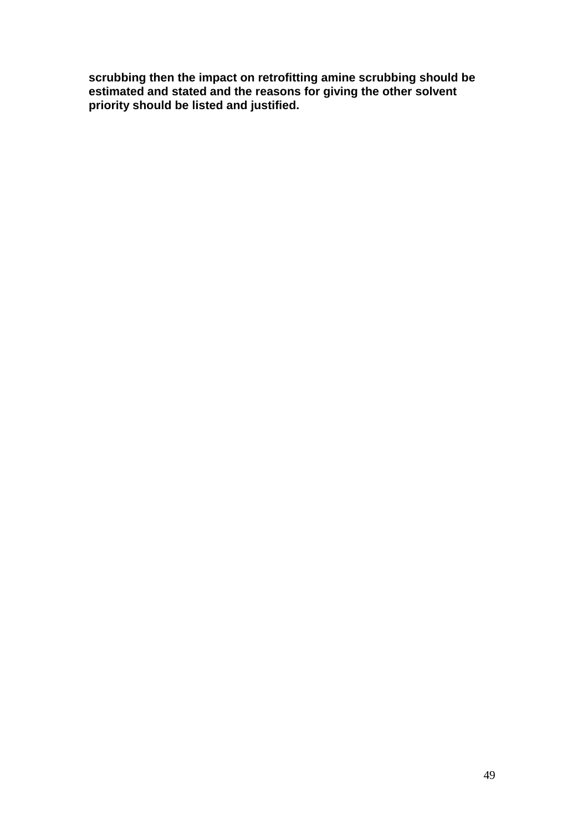**scrubbing then the impact on retrofitting amine scrubbing should be estimated and stated and the reasons for giving the other solvent priority should be listed and justified.**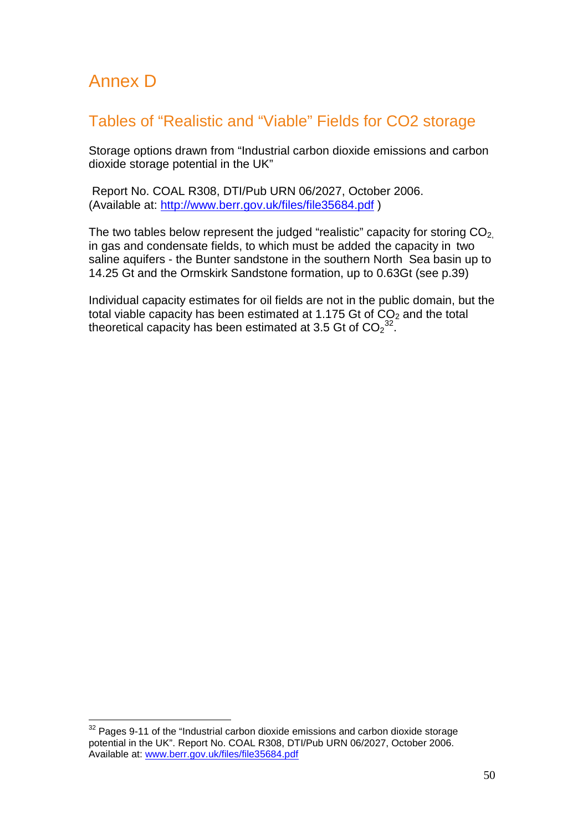## Annex D

## Tables of "Realistic and "Viable" Fields for CO2 storage

Storage options drawn from "Industrial carbon dioxide emissions and carbon dioxide storage potential in the UK"

Report No. COAL R308, DTI/Pub URN 06/2027, October 2006. (Available at:<http://www.berr.gov.uk/files/file35684.pdf> )

The two tables below represent the judged "realistic" capacity for storing  $CO<sub>2</sub>$ in gas and condensate fields, to which must be added the capacity in two saline aquifers - the Bunter sandstone in the southern North Sea basin up to 14.25 Gt and the Ormskirk Sandstone formation, up to 0.63Gt (see p.39)

Individual capacity estimates for oil fields are not in the public domain, but the total viable capacity has been estimated at 1.175 Gt of  $CO<sub>2</sub>$  and the total theoretical capacity has been estimated at 3.5 Gt of  $\mathsf{CO_{2}}^{32}$  $\mathsf{CO_{2}}^{32}$  $\mathsf{CO_{2}}^{32}$ .

<span id="page-49-0"></span> $32$  Pages 9-11 of the "Industrial carbon dioxide emissions and carbon dioxide storage potential in the UK". Report No. COAL R308, DTI/Pub URN 06/2027, October 2006. Available at: [www.berr.gov.uk/files/file35684.pdf](http://www.berr.gov.uk/files/file35684.pdf)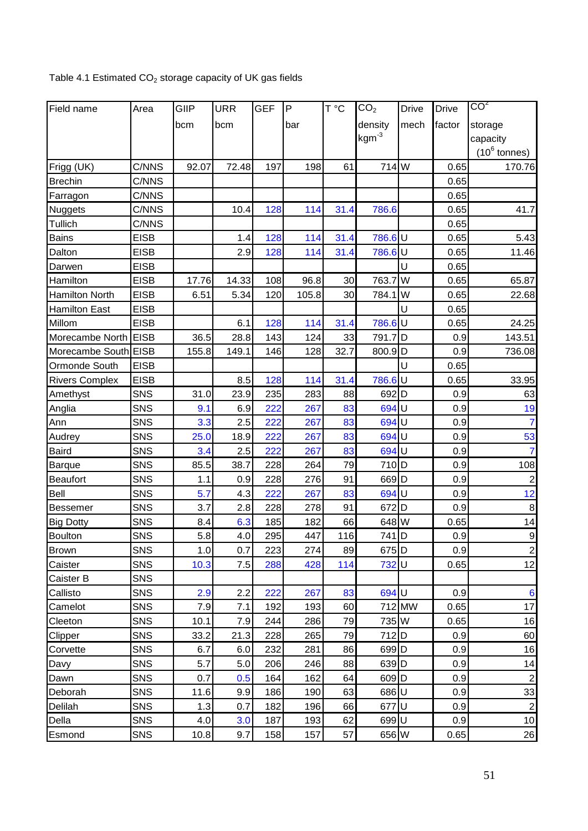## Table 4.1 Estimated  $CO<sub>2</sub>$  storage capacity of UK gas fields

| Field name            | Area        | GIIP  | <b>URR</b> | <b>GEF</b> | $\mathsf P$ | T °C            | CO <sub>2</sub>    | <b>Drive</b> | <b>Drive</b> | CO <sup>2</sup>         |
|-----------------------|-------------|-------|------------|------------|-------------|-----------------|--------------------|--------------|--------------|-------------------------|
|                       |             | bcm   | bcm        |            | bar         |                 | density            | mech         | factor       | storage                 |
|                       |             |       |            |            |             |                 | $kgm^{-3}$         |              |              | capacity                |
|                       |             |       |            |            |             |                 |                    |              |              | $(10^6 \text{ tonnes})$ |
| Frigg (UK)            | C/NNS       | 92.07 | 72.48      | 197        | 198         | 61              | 714 W              |              | 0.65         | 170.76                  |
| <b>Brechin</b>        | C/NNS       |       |            |            |             |                 |                    |              | 0.65         |                         |
| Farragon              | C/NNS       |       |            |            |             |                 |                    |              | 0.65         |                         |
| <b>Nuggets</b>        | C/NNS       |       | 10.4       | 128        | 114         | 31.4            | 786.6              |              | 0.65         | 41.7                    |
| Tullich               | C/NNS       |       |            |            |             |                 |                    |              | 0.65         |                         |
| <b>Bains</b>          | <b>EISB</b> |       | 1.4        | 128        | 114         | 31.4            | 786.6U             |              | 0.65         | 5.43                    |
| Dalton                | <b>EISB</b> |       | 2.9        | 128        | 114         | 31.4            | 786.6U             |              | 0.65         | 11.46                   |
| Darwen                | <b>EISB</b> |       |            |            |             |                 |                    | U            | 0.65         |                         |
| Hamilton              | <b>EISB</b> | 17.76 | 14.33      | 108        | 96.8        | 30 <sup>°</sup> | 763.7              | W            | 0.65         | 65.87                   |
| <b>Hamilton North</b> | <b>EISB</b> | 6.51  | 5.34       | 120        | 105.8       | 30              | 784.1              | lw           | 0.65         | 22.68                   |
| <b>Hamilton East</b>  | <b>EISB</b> |       |            |            |             |                 |                    | U            | 0.65         |                         |
| Millom                | <b>EISB</b> |       | 6.1        | 128        | 114         | 31.4            | 786.6U             |              | 0.65         | 24.25                   |
| Morecambe North       | <b>EISB</b> | 36.5  | 28.8       | 143        | 124         | 33              | 791.7              | ID           | 0.9          | 143.51                  |
| Morecambe South EISB  |             | 155.8 | 149.1      | 146        | 128         | 32.7            | 800.9D             |              | 0.9          | 736.08                  |
| Ormonde South         | <b>EISB</b> |       |            |            |             |                 |                    | U            | 0.65         |                         |
| <b>Rivers Complex</b> | <b>EISB</b> |       | 8.5        | 128        | 114         | 31.4            | 786.6U             |              | 0.65         | 33.95                   |
| Amethyst              | SNS         | 31.0  | 23.9       | 235        | 283         | 88              | 692 D              |              | 0.9          | 63                      |
| Anglia                | SNS         | 9.1   | 6.9        | 222        | 267         | 83              | 694                | lu           | 0.9          | 19                      |
| Ann                   | SNS         | 3.3   | 2.5        | 222        | 267         | 83              | 694 U              |              | 0.9          | $\overline{7}$          |
| Audrey                | SNS         | 25.0  | 18.9       | 222        | 267         | 83              | 694 U              |              | 0.9          | 53                      |
| <b>Baird</b>          | <b>SNS</b>  | 3.4   | 2.5        | 222        | 267         | 83              | 694 U              |              | 0.9          | $\overline{7}$          |
| Barque                | SNS         | 85.5  | 38.7       | 228        | 264         | 79              | 710 <sub>D</sub>   |              | 0.9          | 108                     |
| Beaufort              | SNS         | 1.1   | 0.9        | 228        | 276         | 91              | 669D               |              | 0.9          | $\boldsymbol{2}$        |
| <b>Bell</b>           | SNS         | 5.7   | 4.3        | 222        | 267         | 83              | 694 U              |              | 0.9          | 12                      |
| <b>Bessemer</b>       | SNS         | 3.7   | 2.8        | 228        | 278         | 91              | $672$ D            |              | 0.9          | $\,$ 8 $\,$             |
| <b>Big Dotty</b>      | SNS         | 8.4   | 6.3        | 185        | 182         | 66              | 648 W              |              | 0.65         | 14                      |
| Boulton               | SNS         | 5.8   | 4.0        | 295        | 447         | 116             | 741D               |              | 0.9          | $\mathsf{g}$            |
| Brown                 | <b>SNS</b>  | 1.0   | 0.7        | 223        | 274         | 89              | 675 D              |              | 0.9          | $\sqrt{2}$              |
| Caister               | SNS         | 10.3  | 7.5        | 288        | 428         | 114             | 732U               |              | 0.65         | 12                      |
| Caister B             | <b>SNS</b>  |       |            |            |             |                 |                    |              |              |                         |
| Callisto              | SNS         | 2.9   | 2.2        | 222        | 267         | 83              | 694 U              |              | 0.9          | $6\phantom{1}6$         |
| Camelot               | <b>SNS</b>  | $7.9$ | 7.1        | 192        | 193         | 60              |                    | 712 MW       | 0.65         | 17                      |
| Cleeton               | <b>SNS</b>  | 10.1  | 7.9        | 244        | 286         | 79              | 735 W              |              | 0.65         | 16                      |
| Clipper               | SNS         | 33.2  | 21.3       | 228        | 265         | 79              | $712$ D            |              | 0.9          | 60                      |
| Corvette              | <b>SNS</b>  | 6.7   | 6.0        | 232        | 281         | 86              | 699 <sub>D</sub>   |              | 0.9          | 16                      |
| Davy                  | <b>SNS</b>  | 5.7   | 5.0        | 206        | 246         | 88              | $639$ <sub>D</sub> |              | 0.9          | 14                      |
| Dawn                  | <b>SNS</b>  | 0.7   | 0.5        | 164        | 162         | 64              | 609 D              |              | 0.9          | $\sqrt{2}$              |
| Deborah               | <b>SNS</b>  | 11.6  | 9.9        | 186        | 190         | 63              | 686U               |              | 0.9          | 33                      |
| Delilah               | SNS         | 1.3   | 0.7        | 182        | 196         | 66              | 677U               |              | 0.9          | $\sqrt{2}$              |
| Della                 | <b>SNS</b>  | 4.0   | 3.0        | 187        | 193         | 62              | 699U               |              | 0.9          | 10                      |
| Esmond                | <b>SNS</b>  | 10.8  | 9.7        | 158        | 157         | 57              | 656 W              |              | 0.65         | 26                      |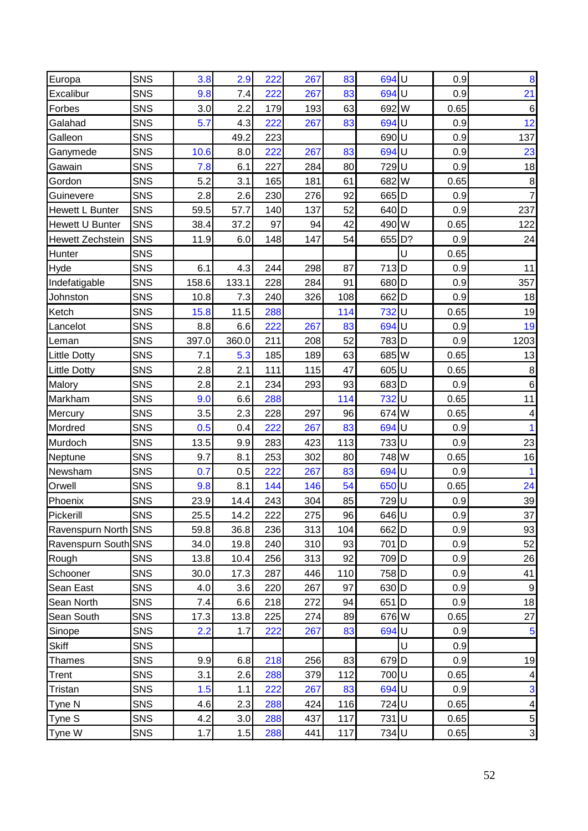| Europa                  | SNS        | 3.8   | 2.9   | 222 | 267 | 83  | 694 U            |   | 0.9  | 8                       |
|-------------------------|------------|-------|-------|-----|-----|-----|------------------|---|------|-------------------------|
| Excalibur               | <b>SNS</b> | 9.8   | 7.4   | 222 | 267 | 83  | 694 U            |   | 0.9  | 21                      |
| Forbes                  | SNS        | 3.0   | 2.2   | 179 | 193 | 63  | 692 W            |   | 0.65 | $\,6$                   |
| Galahad                 | <b>SNS</b> | 5.7   | 4.3   | 222 | 267 | 83  | 694 U            |   | 0.9  | 12                      |
| Galleon                 | SNS        |       | 49.2  | 223 |     |     | 690U             |   | 0.9  | 137                     |
| Ganymede                | SNS        | 10.6  | 8.0   | 222 | 267 | 83  | 694 U            |   | 0.9  | 23                      |
| Gawain                  | SNS        | 7.8   | 6.1   | 227 | 284 | 80  | 729              | U | 0.9  | 18                      |
| Gordon                  | SNS        | 5.2   | 3.1   | 165 | 181 | 61  | 682 W            |   | 0.65 | $\bf8$                  |
| Guinevere               | SNS        | 2.8   | 2.6   | 230 | 276 | 92  | 665 D            |   | 0.9  | $\overline{7}$          |
| <b>Hewett L Bunter</b>  | SNS        | 59.5  | 57.7  | 140 | 137 | 52  | 640 D            |   | 0.9  | 237                     |
| <b>Hewett U Bunter</b>  | SNS        | 38.4  | 37.2  | 97  | 94  | 42  | 490 W            |   | 0.65 | 122                     |
| <b>Hewett Zechstein</b> | SNS        | 11.9  | 6.0   | 148 | 147 | 54  | 655 D?           |   | 0.9  | 24                      |
| <b>Hunter</b>           | <b>SNS</b> |       |       |     |     |     |                  | U | 0.65 |                         |
| Hyde                    | SNS        | 6.1   | 4.3   | 244 | 298 | 87  | 713D             |   | 0.9  | 11                      |
| Indefatigable           | SNS        | 158.6 | 133.1 | 228 | 284 | 91  | 680 D            |   | 0.9  | 357                     |
| Johnston                | SNS        | 10.8  | 7.3   | 240 | 326 | 108 | 662O             |   | 0.9  | 18                      |
| Ketch                   | SNS        | 15.8  | 11.5  | 288 |     | 114 | 732U             |   | 0.65 | 19                      |
| Lancelot                | SNS        | 8.8   | 6.6   | 222 | 267 | 83  | 694 U            |   | 0.9  | 19                      |
| Leman                   | SNS        | 397.0 | 360.0 | 211 | 208 | 52  | 783D             |   | 0.9  | 1203                    |
| <b>Little Dotty</b>     | <b>SNS</b> | 7.1   | 5.3   | 185 | 189 | 63  | 685 W            |   | 0.65 | 13                      |
| <b>Little Dotty</b>     | <b>SNS</b> | 2.8   | 2.1   | 111 | 115 | 47  | 605U             |   | 0.65 | $\bf 8$                 |
| Malory                  | <b>SNS</b> | 2.8   | 2.1   | 234 | 293 | 93  | 683 D            |   | 0.9  | $\,6$                   |
| Markham                 | SNS        | 9.0   | 6.6   | 288 |     | 114 | 732U             |   | 0.65 | 11                      |
| Mercury                 | SNS        | 3.5   | 2.3   | 228 | 297 | 96  | 674 W            |   | 0.65 | $\overline{\mathbf{4}}$ |
| Mordred                 | SNS        | 0.5   | 0.4   | 222 | 267 | 83  | 694 U            |   | 0.9  |                         |
| Murdoch                 | SNS        | 13.5  | 9.9   | 283 | 423 | 113 | 733 U            |   | 0.9  | 23                      |
| Neptune                 | SNS        | 9.7   | 8.1   | 253 | 302 | 80  | 748 W            |   | 0.65 | 16                      |
| Newsham                 | SNS        | 0.7   | 0.5   | 222 | 267 | 83  | 694 U            |   | 0.9  |                         |
| Orwell                  | <b>SNS</b> | 9.8   | 8.1   | 144 | 146 | 54  | 650U             |   | 0.65 | 24                      |
| Phoenix                 | SNS        | 23.9  | 14.4  | 243 | 304 | 85  | 729U             |   | 0.9  | 39                      |
| Pickerill               | <b>SNS</b> | 25.5  | 14.2  | 222 | 275 | 96  | 646U             |   | 0.9  | 37                      |
| Ravenspurn North SNS    |            | 59.8  | 36.8  | 236 | 313 | 104 | 662 D            |   | 0.9  | 93                      |
| Ravenspurn South SNS    |            | 34.0  | 19.8  | 240 | 310 | 93  | $701$ D          |   | 0.9  | 52                      |
| Rough                   | <b>SNS</b> | 13.8  | 10.4  | 256 | 313 | 92  | 709 <sub>D</sub> |   | 0.9  | 26                      |
| Schooner                | <b>SNS</b> | 30.0  | 17.3  | 287 | 446 | 110 | 758 D            |   | 0.9  | 41                      |
| Sean East               | <b>SNS</b> | 4.0   | 3.6   | 220 | 267 | 97  | 630 D            |   | 0.9  | $\mathsf g$             |
| Sean North              | <b>SNS</b> | 7.4   | 6.6   | 218 | 272 | 94  | 651 D            |   | 0.9  | 18                      |
| Sean South              | <b>SNS</b> | 17.3  | 13.8  | 225 | 274 | 89  | 676 W            |   | 0.65 | 27                      |
| Sinope                  | <b>SNS</b> | 2.2   | 1.7   | 222 | 267 | 83  | 694 U            |   | 0.9  | 5                       |
| <b>Skiff</b>            | <b>SNS</b> |       |       |     |     |     |                  | Ù | 0.9  |                         |
| Thames                  | SNS        | 9.9   | 6.8   | 218 | 256 | 83  | 679 <sub>D</sub> |   | 0.9  | 19                      |
| Trent                   | SNS        | 3.1   | 2.6   | 288 | 379 | 112 | 700U             |   | 0.65 | $\vert 4 \vert$         |
| Tristan                 | SNS        | 1.5   | 1.1   | 222 | 267 | 83  | 694 U            |   | 0.9  | $\overline{3}$          |
| Tyne N                  | <b>SNS</b> | 4.6   | 2.3   | 288 | 424 | 116 | 724U             |   | 0.65 | $\vert 4 \vert$         |
| Tyne S                  | <b>SNS</b> | 4.2   | 3.0   | 288 | 437 | 117 | 731U             |   | 0.65 | 5 <sup>1</sup>          |
| Tyne W                  | <b>SNS</b> | 1.7   | 1.5   | 288 | 441 | 117 | 734U             |   | 0.65 | $\overline{3}$          |
|                         |            |       |       |     |     |     |                  |   |      |                         |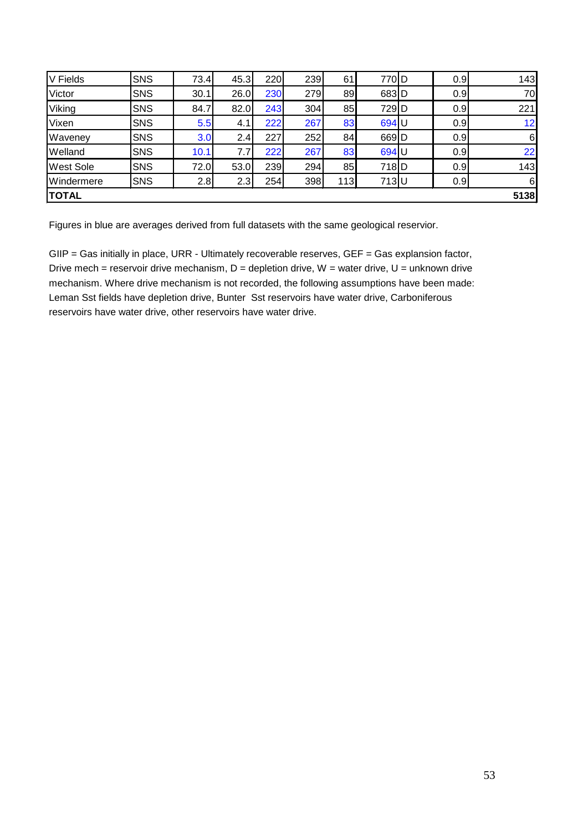| V Fields         | SNS        | 73.4 | 45.3 | 220 | 239 | 61  | 770 <sub>ID</sub> | 0.9 | 143      |
|------------------|------------|------|------|-----|-----|-----|-------------------|-----|----------|
| Victor           | <b>SNS</b> | 30.1 | 26.0 | 230 | 279 | 89  | 683D              | 0.9 | 70       |
| Viking           | <b>SNS</b> | 84.7 | 82.0 | 243 | 304 | 85  | 729 <sub>ID</sub> | 0.9 | 221      |
| Vixen            | <b>SNS</b> | 5.5  | 4.1  | 222 | 267 | 83  | 694 U             | 0.9 | 12       |
| Waveney          | <b>SNS</b> | 3.0  | 2.4  | 227 | 252 | 84  | 669D              | 0.9 | $6 \mid$ |
| Welland          | <b>SNS</b> | 10.1 | 7.7I | 222 | 267 | 83  | 694 U             | 0.9 | 22       |
| <b>West Sole</b> | <b>SNS</b> | 72.0 | 53.0 | 239 | 294 | 85  | 718 <b>D</b>      | 0.9 | 143      |
| Windermere       | <b>SNS</b> | 2.8  | 2.3  | 254 | 398 | 113 | 713U              | 0.9 | 61       |
| <b>TOTAL</b>     |            |      |      |     |     |     |                   |     | 5138     |

Figures in blue are averages derived from full datasets with the same geological reservior.

GIIP = Gas initially in place, URR - Ultimately recoverable reserves, GEF = Gas explansion factor, Drive mech = reservoir drive mechanism,  $D =$  depletion drive,  $W =$  water drive,  $U =$  unknown drive mechanism. Where drive mechanism is not recorded, the following assumptions have been made: Leman Sst fields have depletion drive, Bunter Sst reservoirs have water drive, Carboniferous reservoirs have water drive, other reservoirs have water drive.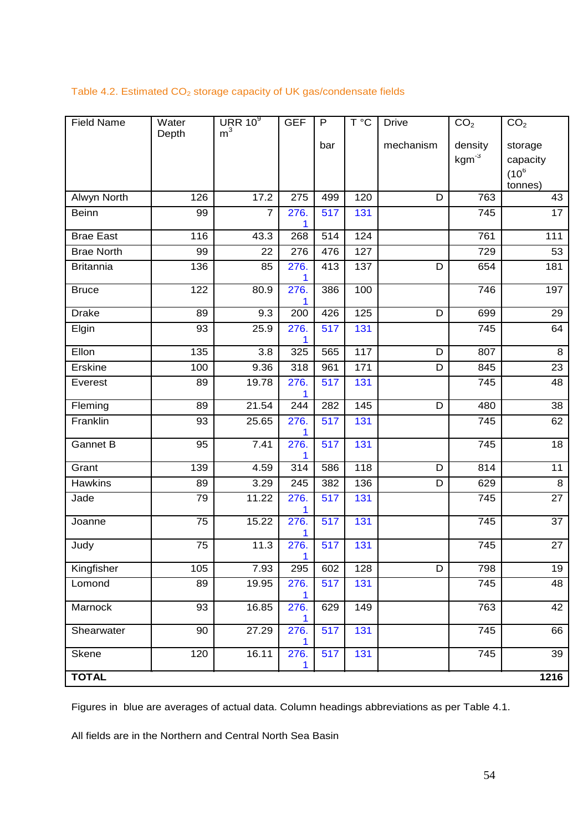#### Table 4.2. Estimated  $CO<sub>2</sub>$  storage capacity of UK gas/condensate fields

| <b>Field Name</b> | Water | URR $10^9$       | <b>GEF</b> | $\mathsf{P}$     | $\overline{\mathsf{T}^{\,\circ} \mathsf{C}}$ | <b>Drive</b> | CO <sub>2</sub> | CO <sub>2</sub> |
|-------------------|-------|------------------|------------|------------------|----------------------------------------------|--------------|-----------------|-----------------|
|                   | Depth | m <sup>3</sup>   |            | bar              |                                              | mechanism    | density         | storage         |
|                   |       |                  |            |                  |                                              |              | $kgm-3$         | capacity        |
|                   |       |                  |            |                  |                                              |              |                 | $(10^6$         |
|                   |       |                  |            |                  |                                              |              |                 | tonnes)         |
| Alwyn North       | 126   | 17.2             | 275        | 499              | 120                                          | D            | 763             | 43              |
| Beinn             | 99    | $\overline{7}$   | 276.<br>1  | $\overline{517}$ | 131                                          |              | 745             | $\overline{17}$ |
| <b>Brae East</b>  | 116   | 43.3             | 268        | 514              | 124                                          |              | 761             | 111             |
| <b>Brae North</b> | 99    | 22               | 276        | 476              | 127                                          |              | 729             | 53              |
| <b>Britannia</b>  | 136   | 85               | 276.<br>1  | 413              | 137                                          | D            | 654             | 181             |
| <b>Bruce</b>      | 122   | 80.9             | 276.<br>1  | 386              | 100                                          |              | 746             | 197             |
| <b>Drake</b>      | 89    | $\overline{9.3}$ | 200        | 426              | 125                                          | D            | 699             | 29              |
| Elgin             | 93    | 25.9             | 276.<br>1  | 517              | 131                                          |              | 745             | 64              |
| Ellon             | 135   | 3.8              | 325        | 565              | 117                                          | D            | 807             | 8               |
| <b>Erskine</b>    | 100   | 9.36             | 318        | 961              | 171                                          | D            | 845             | 23              |
| Everest           | 89    | 19.78            | 276.<br>1  | 517              | 131                                          |              | 745             | 48              |
| Fleming           | 89    | 21.54            | 244        | 282              | 145                                          | D            | 480             | 38              |
| Franklin          | 93    | 25.65            | 276.<br>1  | 517              | 131                                          |              | 745             | 62              |
| <b>Gannet B</b>   | 95    | 7.41             | 276.<br>1  | 517              | 131                                          |              | 745             | 18              |
| Grant             | 139   | 4.59             | 314        | 586              | 118                                          | D            | 814             | 11              |
| <b>Hawkins</b>    | 89    | 3.29             | 245        | 382              | 136                                          | D            | 629             | 8               |
| Jade              | 79    | 11.22            | 276.<br>1  | 517              | 131                                          |              | 745             | 27              |
| Joanne            | 75    | 15.22            | 276.       | 517              | 131                                          |              | 745             | 37              |
| Judy              | 75    | 11.3             | 276.<br>1  | 517              | 131                                          |              | 745             | 27              |
| Kingfisher        | 105   | 7.93             | 295        | 602              | 128                                          | D            | 798             | 19              |
| Lomond            | 89    | 19.95            | 276.<br>1  | 517              | 131                                          |              | 745             | 48              |
| <b>Marnock</b>    | 93    | 16.85            | 276.<br>1  | 629              | 149                                          |              | 763             | 42              |
| Shearwater        | 90    | 27.29            | 276.<br>1  | 517              | 131                                          |              | 745             | 66              |
| Skene             | 120   | 16.11            | 276.<br>1  | 517              | 131                                          |              | 745             | 39              |
| <b>TOTAL</b>      |       |                  |            |                  |                                              |              |                 | 1216            |

Figures in blue are averages of actual data. Column headings abbreviations as per Table 4.1.

All fields are in the Northern and Central North Sea Basin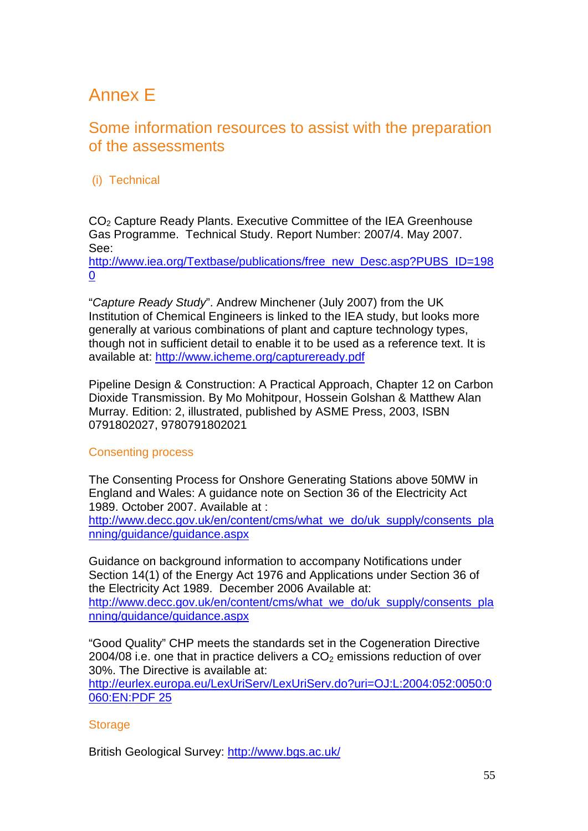## Annex E

## Some information resources to assist with the preparation of the assessments

### (i) Technical

CO2 Capture Ready Plants. Executive Committee of the IEA Greenhouse Gas Programme. Technical Study. Report Number: 2007/4. May 2007. See:

[http://www.iea.org/Textbase/publications/free\\_new\\_Desc.asp?PUBS\\_ID=198](http://www.iea.org/Textbase/publications/free_new_Desc.asp?PUBS_ID=1980) [0](http://www.iea.org/Textbase/publications/free_new_Desc.asp?PUBS_ID=1980)

"*Capture Ready Study*". Andrew Minchener (July 2007) from the UK Institution of Chemical Engineers is linked to the IEA study, but looks more generally at various combinations of plant and capture technology types, though not in sufficient detail to enable it to be used as a reference text. It is available at:<http://www.icheme.org/captureready.pdf>

Pipeline Design & Construction: A Practical Approach, Chapter 12 on Carbon Dioxide Transmission. By Mo Mohitpour, Hossein Golshan & Matthew Alan Murray. Edition: 2, illustrated, published by ASME Press, 2003, ISBN 0791802027, 9780791802021

### Consenting process

The Consenting Process for Onshore Generating Stations above 50MW in England and Wales: A guidance note on Section 36 of the Electricity Act 1989. October 2007. Available at :

[http://www.decc.gov.uk/en/content/cms/what\\_we\\_do/uk\\_supply/consents\\_pla](http://www.decc.gov.uk/en/content/cms/what_we_do/uk_supply/consents_planning/guidance/guidance.aspx) [nning/guidance/guidance.aspx](http://www.decc.gov.uk/en/content/cms/what_we_do/uk_supply/consents_planning/guidance/guidance.aspx)

Guidance on background information to accompany Notifications under Section 14(1) of the Energy Act 1976 and Applications under Section 36 of the Electricity Act 1989. December 2006 Available at: [http://www.decc.gov.uk/en/content/cms/what\\_we\\_do/uk\\_supply/consents\\_pla](http://www.decc.gov.uk/en/content/cms/what_we_do/uk_supply/consents_planning/guidance/guidance.aspx) [nning/guidance/guidance.aspx](http://www.decc.gov.uk/en/content/cms/what_we_do/uk_supply/consents_planning/guidance/guidance.aspx)

"Good Quality" CHP meets the standards set in the Cogeneration Directive 2004/08 i.e. one that in practice delivers a  $CO<sub>2</sub>$  emissions reduction of over 30%. The Directive is available at:

[http://eurlex.europa.eu/LexUriServ/LexUriServ.do?uri=OJ:L:2004:052:0050:0](http://eurlex.europa.eu/LexUriServ/LexUriServ.do?uri=OJ:L:2004:052:0050:0060:EN:PDF%2025%20) [060:EN:PDF 25](http://eurlex.europa.eu/LexUriServ/LexUriServ.do?uri=OJ:L:2004:052:0050:0060:EN:PDF%2025%20) 

### **Storage**

British Geological Survey:<http://www.bgs.ac.uk/>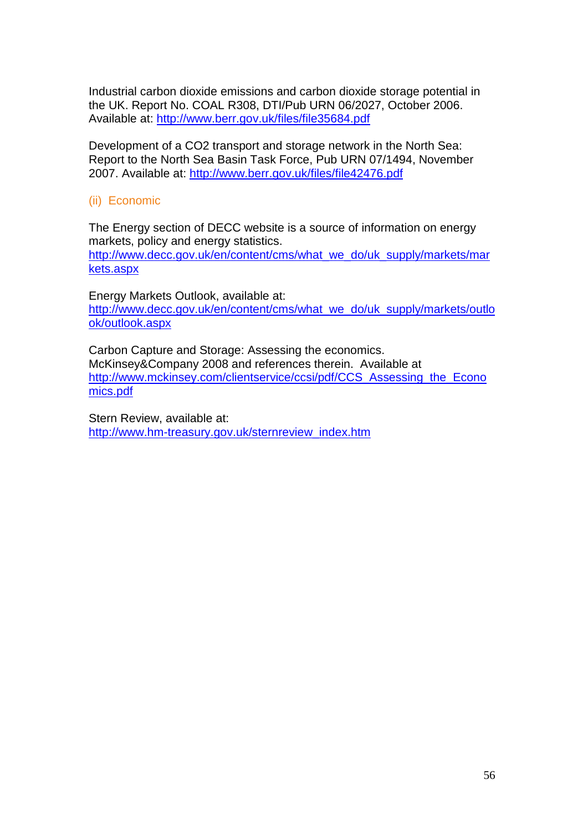Industrial carbon dioxide emissions and carbon dioxide storage potential in the UK. Report No. COAL R308, DTI/Pub URN 06/2027, October 2006. Available at:<http://www.berr.gov.uk/files/file35684.pdf>

Development of a CO2 transport and storage network in the North Sea: Report to the North Sea Basin Task Force, Pub URN 07/1494, November 2007. Available at:<http://www.berr.gov.uk/files/file42476.pdf>

#### (ii) Economic

The Energy section of DECC website is a source of information on energy markets, policy and energy statistics.

[http://www.decc.gov.uk/en/content/cms/what\\_we\\_do/uk\\_supply/markets/mar](http://www.decc.gov.uk/en/content/cms/what_we_do/uk_supply/markets/markets.aspx) [kets.aspx](http://www.decc.gov.uk/en/content/cms/what_we_do/uk_supply/markets/markets.aspx)

Energy Markets Outlook, available at: [http://www.decc.gov.uk/en/content/cms/what\\_we\\_do/uk\\_supply/markets/outlo](http://www.decc.gov.uk/en/content/cms/what_we_do/uk_supply/markets/outlook/outlook.aspx) [ok/outlook.aspx](http://www.decc.gov.uk/en/content/cms/what_we_do/uk_supply/markets/outlook/outlook.aspx)

Carbon Capture and Storage: Assessing the economics. McKinsey&Company 2008 and references therein. Available at http://www.mckinsey.com/clientservice/ccsi/pdf/CCS Assessing the Econo [mics.pdf](http://www.mckinsey.com/clientservice/ccsi/pdf/CCS_Assessing_the_Economics.pdf)

Stern Review, available at: [http://www.hm-treasury.gov.uk/sternreview\\_index.htm](http://www.hm-treasury.gov.uk/sternreview_index.htm)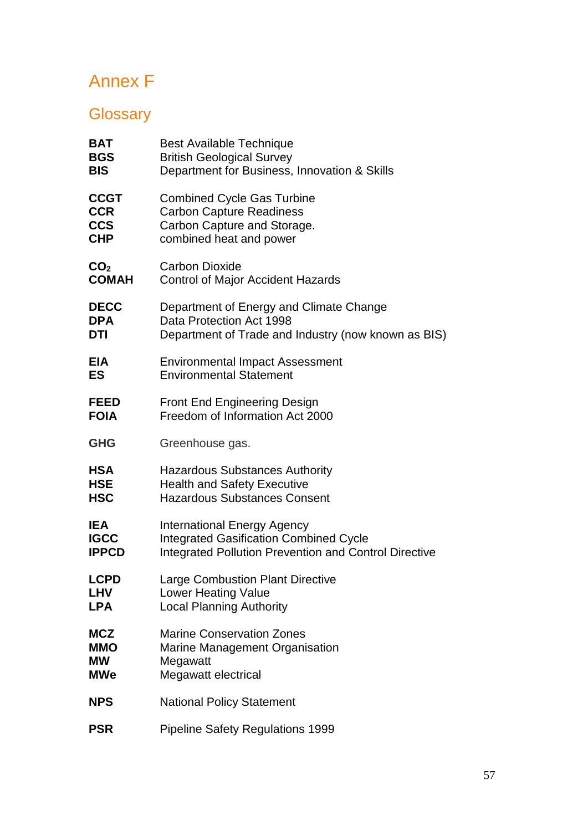## Annex F

## **Glossary**

| BAT             | <b>Best Available Technique</b>                              |
|-----------------|--------------------------------------------------------------|
| <b>BGS</b>      | <b>British Geological Survey</b>                             |
| <b>BIS</b>      | Department for Business, Innovation & Skills                 |
| <b>CCGT</b>     | <b>Combined Cycle Gas Turbine</b>                            |
| <b>CCR</b>      | <b>Carbon Capture Readiness</b>                              |
| <b>CCS</b>      | Carbon Capture and Storage.                                  |
| <b>CHP</b>      | combined heat and power                                      |
| CO <sub>2</sub> | <b>Carbon Dioxide</b>                                        |
| <b>COMAH</b>    | <b>Control of Major Accident Hazards</b>                     |
| <b>DECC</b>     | Department of Energy and Climate Change                      |
| <b>DPA</b>      | Data Protection Act 1998                                     |
| DTI             | Department of Trade and Industry (now known as BIS)          |
| <b>EIA</b>      | <b>Environmental Impact Assessment</b>                       |
| <b>ES</b>       | <b>Environmental Statement</b>                               |
| <b>FEED</b>     | <b>Front End Engineering Design</b>                          |
| <b>FOIA</b>     | Freedom of Information Act 2000                              |
| <b>GHG</b>      | Greenhouse gas.                                              |
| <b>HSA</b>      | <b>Hazardous Substances Authority</b>                        |
| <b>HSE</b>      | <b>Health and Safety Executive</b>                           |
| <b>HSC</b>      | <b>Hazardous Substances Consent</b>                          |
| <b>IEA</b>      | <b>International Energy Agency</b>                           |
| <b>IGCC</b>     | <b>Integrated Gasification Combined Cycle</b>                |
| <b>IPPCD</b>    | <b>Integrated Pollution Prevention and Control Directive</b> |
| <b>LCPD</b>     | <b>Large Combustion Plant Directive</b>                      |
| <b>LHV</b>      | <b>Lower Heating Value</b>                                   |
| <b>LPA</b>      | <b>Local Planning Authority</b>                              |
| <b>MCZ</b>      | <b>Marine Conservation Zones</b>                             |
| <b>MMO</b>      | Marine Management Organisation                               |
| <b>MW</b>       | Megawatt                                                     |
| <b>MWe</b>      | Megawatt electrical                                          |
| <b>NPS</b>      | <b>National Policy Statement</b>                             |
| <b>PSR</b>      | <b>Pipeline Safety Regulations 1999</b>                      |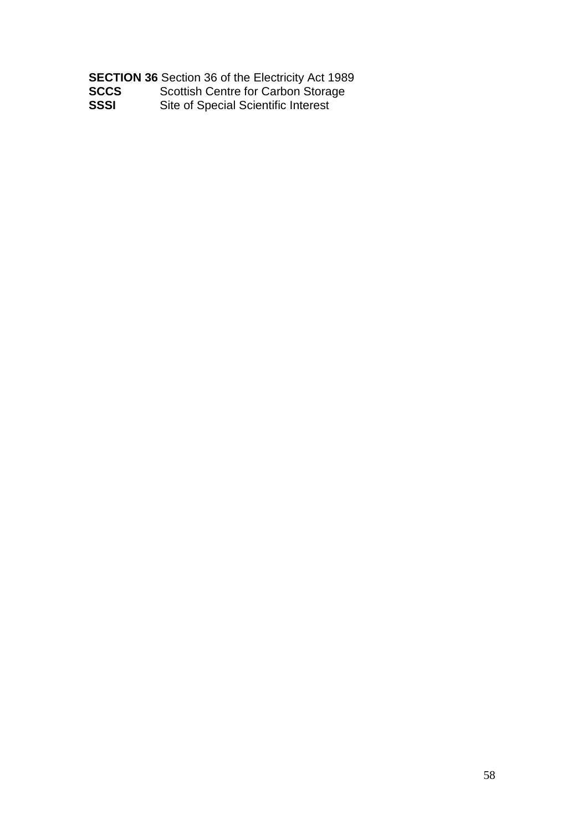|             | <b>SECTION 36 Section 36 of the Electricity Act 1989</b> |
|-------------|----------------------------------------------------------|
| <b>SCCS</b> | Scottish Centre for Carbon Storage                       |
| SSSI        | Site of Special Scientific Interest                      |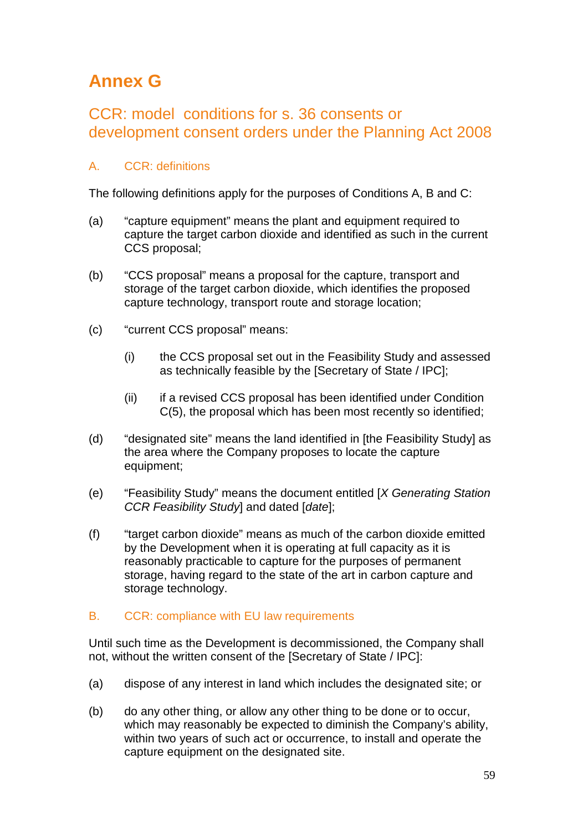## **Annex G**

## CCR: model conditions for s. 36 consents or development consent orders under the Planning Act 2008

### A. CCR: definitions

The following definitions apply for the purposes of Conditions A, B and C:

- (a) "capture equipment" means the plant and equipment required to capture the target carbon dioxide and identified as such in the current CCS proposal;
- (b) "CCS proposal" means a proposal for the capture, transport and storage of the target carbon dioxide, which identifies the proposed capture technology, transport route and storage location;
- (c) "current CCS proposal" means:
	- (i) the CCS proposal set out in the Feasibility Study and assessed as technically feasible by the [Secretary of State / IPC];
	- (ii) if a revised CCS proposal has been identified under Condition C(5), the proposal which has been most recently so identified;
- (d) "designated site" means the land identified in [the Feasibility Study] as the area where the Company proposes to locate the capture equipment;
- (e) "Feasibility Study" means the document entitled [*X Generating Station CCR Feasibility Study*] and dated [*date*];
- (f) "target carbon dioxide" means as much of the carbon dioxide emitted by the Development when it is operating at full capacity as it is reasonably practicable to capture for the purposes of permanent storage, having regard to the state of the art in carbon capture and storage technology.

### B. CCR: compliance with EU law requirements

Until such time as the Development is decommissioned, the Company shall not, without the written consent of the [Secretary of State / IPC]:

- (a) dispose of any interest in land which includes the designated site; or
- (b) do any other thing, or allow any other thing to be done or to occur, which may reasonably be expected to diminish the Company's ability, within two years of such act or occurrence, to install and operate the capture equipment on the designated site.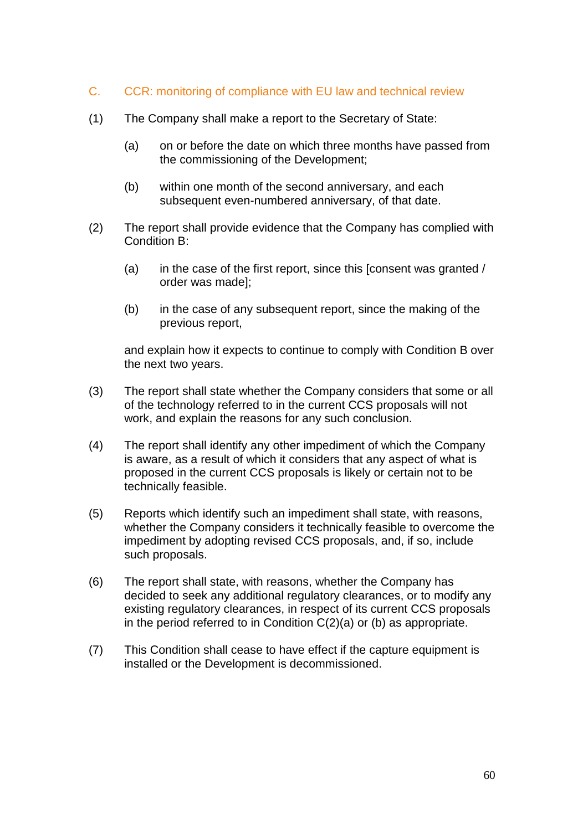- C. CCR: monitoring of compliance with EU law and technical review
- (1) The Company shall make a report to the Secretary of State:
	- (a) on or before the date on which three months have passed from the commissioning of the Development;
	- (b) within one month of the second anniversary, and each subsequent even-numbered anniversary, of that date.
- (2) The report shall provide evidence that the Company has complied with Condition B:
	- (a) in the case of the first report, since this [consent was granted / order was made];
	- (b) in the case of any subsequent report, since the making of the previous report,

and explain how it expects to continue to comply with Condition B over the next two years.

- (3) The report shall state whether the Company considers that some or all of the technology referred to in the current CCS proposals will not work, and explain the reasons for any such conclusion.
- (4) The report shall identify any other impediment of which the Company is aware, as a result of which it considers that any aspect of what is proposed in the current CCS proposals is likely or certain not to be technically feasible.
- (5) Reports which identify such an impediment shall state, with reasons, whether the Company considers it technically feasible to overcome the impediment by adopting revised CCS proposals, and, if so, include such proposals.
- (6) The report shall state, with reasons, whether the Company has decided to seek any additional regulatory clearances, or to modify any existing regulatory clearances, in respect of its current CCS proposals in the period referred to in Condition C(2)(a) or (b) as appropriate.
- (7) This Condition shall cease to have effect if the capture equipment is installed or the Development is decommissioned.